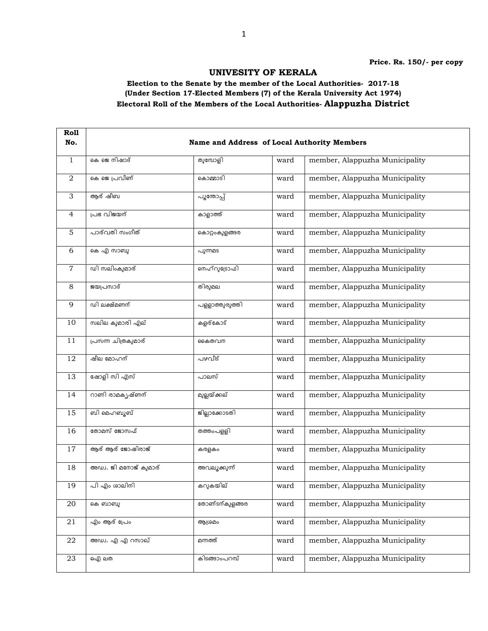## UNIVESITY OF KERALA

## Election to the Senate by the member of the Local Authorities- 2017-18 (Under Section 17-Elected Members (7) of the Kerala University Act 1974) Electoral Roll of the Members of the Local Authorities- Alappuzha District

| Roll           |                       |                                             |      |                                |  |
|----------------|-----------------------|---------------------------------------------|------|--------------------------------|--|
| No.            |                       | Name and Address of Local Authority Members |      |                                |  |
| $\mathbf{1}$   | കെ ജെ നിഷാദ്          | തുമ്പോളി                                    | ward | member, Alappuzha Municipality |  |
| 2              | കെ ജെ പ്രവീണ്         | കൊമ്മാടി                                    | ward | member, Alappuzha Municipality |  |
| 3              | ആര് ഷീബ               | പൂന്തോപ്പ്                                  | ward | member, Alappuzha Municipality |  |
| $\overline{4}$ | പ്രഭ വിജയന്           | കാളാത്ത്                                    | ward | member, Alappuzha Municipality |  |
| 5              | പാര്വതി സംഗീത്        | കൊറ്റംകുളങ്ങര                               | ward | member, Alappuzha Municipality |  |
| 6              | കെ എ സാബു             | പുന്നമട                                     | ward | member, Alappuzha Municipality |  |
| 7              | ഡി സലിംകുമാര്         | നെഹ്റുട്രോഫി                                | ward | member, Alappuzha Municipality |  |
| 8              | ജയപ്രസാദ്             | തിരുമല                                      | ward | member, Alappuzha Municipality |  |
| 9              | ഡി ലക്ഷ്മണന്          | പളളാത്തുരുത്തി                              | ward | member, Alappuzha Municipality |  |
| 10             | സലില കുമാരി എല്       | കളര്കോട്                                    | ward | member, Alappuzha Municipality |  |
| 11             | പ്രസന്ന ചിത്രകുമാര്   | കൈതവന                                       | ward | member, Alappuzha Municipality |  |
| 12             | ഷീല മോഹന്             | പഴവീട്                                      | ward | member, Alappuzha Municipality |  |
| 13             | ഷോളി സി എസ്           | പാലസ്                                       | ward | member, Alappuzha Municipality |  |
| 14             | റാണി രാമകൃഷ്ണന്       | മുല്ലയ്ക്കല്                                | ward | member, Alappuzha Municipality |  |
| 15             | ബി മെഹബുബ്            | ജില്ലാക്കോടതി                               | ward | member, Alappuzha Municipality |  |
| 16             | തോമസ് ജോസഫ്           | ___<br>തത്തംപളളി                            | ward | member, Alappuzha Municipality |  |
| 17             | ആര് ആര് ജോഷിരാജ്      | കരളകം                                       | ward | member, Alappuzha Municipality |  |
| 18             | അഡ്വ. ജി മനോജ് കുമാര് | അവലൂക്കുന്ന്                                | ward | member, Alappuzha Municipality |  |
| 19             | പി എം ശാലിനി          | കറുകയില്                                    | ward | member, Alappuzha Municipality |  |
| 20             | കെ ബാബു               |                                             | ward | member, Alappuzha Municipality |  |
| 21             | എം ആര് പ്രേം          | ആശ്രമം                                      | ward | member, Alappuzha Municipality |  |
| 22             | അഡ്വ. എ എ റസാഖ്       | മന്നത്ത്                                    | ward | member, Alappuzha Municipality |  |
| 23             | ഐ) ലത                 | കിടങ്ങാംപറമ്പ്                              | ward | member, Alappuzha Municipality |  |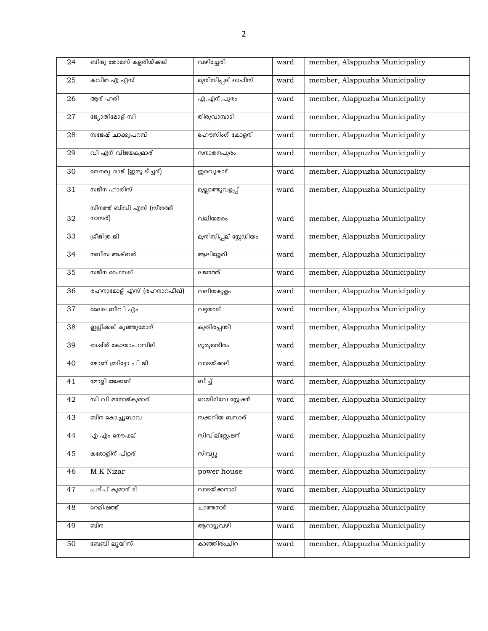| 24 | ബിന്ദു തോമസ് കളരിയ്ക്കല്   | വഴിച്ചേരി              | ward | member, Alappuzha Municipality |
|----|----------------------------|------------------------|------|--------------------------------|
| 25 | കവിത എ എസ്                 | മുനിസിപ്പല് ഓഫീസ്      | ward | member, Alappuzha Municipality |
| 26 | ആര് ഹരി                    | എ.എന്.പുരം             | ward | member, Alappuzha Municipality |
| 27 | ജ്യോതിമോള് സി              | തിരുവാമ്പാടി           | ward | member, Alappuzha Municipality |
| 28 | സജേഷ് ചാക്കുപറമ്പ്         | ഹൌസിംഗ് കോളനി          | ward | member, Alappuzha Municipality |
| 29 | വി എന് വിജയകുമാര്          | സനാതനപുരം              | ward | member, Alappuzha Municipality |
| 30 | സൌമ്യ രാജ് (ഇന്ദു ടീച്ചര്) | ഇരവുകാട്               | ward | member, Alappuzha Municipality |
| 31 | സജീന ഹാരിസ്                | മുല്ലാത്തുവളപ്പ്       | ward | member, Alappuzha Municipality |
|    | സീനത്ത് ബീവി എസ് (സീനത്ത്  |                        |      |                                |
| 32 | നാസര്)                     | വലിയമരം                | ward | member, Alappuzha Municipality |
| 33 | ശ്രീജിത്ര ജി               | മുനിസിപ്പല് സ്റ്റേഡിയം | ward | member, Alappuzha Municipality |
| 34 | നബീസ അക്ബര്                | ആലിശ്ശേരി              | ward | member, Alappuzha Municipality |
| 35 | സജീന ഫൈസല്                 | ലജനത്ത്                | ward | member, Alappuzha Municipality |
| 36 | രഹനാമോള് എസ് (രഹനാറഫീഖ്)   | വലിയകുളം               | ward | member, Alappuzha Municipality |
| 37 | ലൈല ബീവി എം                | വട്ടയാല്               | ward | member, Alappuzha Municipality |
| 38 | ഇല്ലിക്കല് കുഞ്ഞുമോന്      | കുതിരപ്പന്തി           | ward | member, Alappuzha Municipality |
| 39 | ബഷീര് കോയാപറമ്പില്         | ഗുരുമന്ദിരം            | ward | member, Alappuzha Municipality |
| 40 | ജോണ് ബ്രിട്ടോ പി ജി        | വാടയ്ക്കല്             | ward | member, Alappuzha Municipality |
| 41 | മോളി ജേക്കബ്               | விച്ച്                 | ward | member, Alappuzha Municipality |
| 42 | സി വി മനോജ്കുമാര്          | റെയില്വേ സ്റ്റേഷന്     | ward | member, Alappuzha Municipality |
| 43 | ബീന കൊച്ചുബാവ              | സക്കറിയ ബസാര്          | ward | member, Alappuzha Municipality |
| 44 | എ എം നൌഫല്                 | സിവില്സ്റ്റേഷന്        | ward | member, Alappuzha Municipality |
| 45 | കരോളിന് പീറ്റര്            | സീവ്യൂ                 | ward | member, Alappuzha Municipality |
| 46 | M.K Nizar                  | power house            | ward | member, Alappuzha Municipality |
| 47 | പ്രദീപ് കുമാര് ടി          | വാടയ്ക്കനാല്           | ward | member, Alappuzha Municipality |
| 48 | റെമിഷത്ത്                  | ചാത്തനാട്              | ward | member, Alappuzha Municipality |
| 49 | ബീന                        | ആറാട്ടുവഴി             | ward | member, Alappuzha Municipality |
| 50 | ബേബി ലൂയിസ്                | കാഞ്ഞിരംചിറ            | ward | member, Alappuzha Municipality |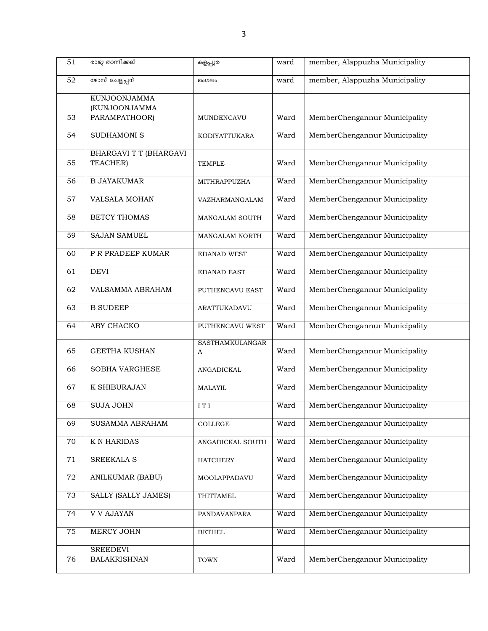| 51              | രാജു താന്നിക്കല്              | കളപ്പുര          | ward | member, Alappuzha Municipality |
|-----------------|-------------------------------|------------------|------|--------------------------------|
| $\overline{52}$ | ജോസ് ചെല്ലപ്പന്               | മംഗലം            | ward | member, Alappuzha Municipality |
|                 | KUNJOONJAMMA                  |                  |      |                                |
|                 | (KUNJOONJAMMA                 |                  |      |                                |
| 53              | PARAMPATHOOR)                 | MUNDENCAVU       | Ward | MemberChengannur Municipality  |
| 54              | <b>SUDHAMONI S</b>            | KODIYATTUKARA    | Ward | MemberChengannur Municipality  |
|                 | <b>BHARGAVI T T (BHARGAVI</b> |                  |      |                                |
| 55              | TEACHER)                      | <b>TEMPLE</b>    | Ward | MemberChengannur Municipality  |
| 56              | <b>B JAYAKUMAR</b>            | MITHRAPPUZHA     | Ward | MemberChengannur Municipality  |
| 57              | <b>VALSALA MOHAN</b>          | VAZHARMANGALAM   | Ward | MemberChengannur Municipality  |
| 58              | <b>BETCY THOMAS</b>           | MANGALAM SOUTH   | Ward | MemberChengannur Municipality  |
| 59              | <b>SAJAN SAMUEL</b>           | MANGALAM NORTH   | Ward | MemberChengannur Municipality  |
| 60              | P R PRADEEP KUMAR             | EDANAD WEST      | Ward | MemberChengannur Municipality  |
| 61              | <b>DEVI</b>                   | EDANAD EAST      | Ward | MemberChengannur Municipality  |
| 62              | VALSAMMA ABRAHAM              | PUTHENCAVU EAST  | Ward | MemberChengannur Municipality  |
| 63              | <b>B SUDEEP</b>               | ARATTUKADAVU     | Ward | MemberChengannur Municipality  |
| 64              | ABY CHACKO                    | PUTHENCAVU WEST  | Ward | MemberChengannur Municipality  |
|                 |                               | SASTHAMKULANGAR  |      |                                |
| 65              | <b>GEETHA KUSHAN</b>          | A                | Ward | MemberChengannur Municipality  |
| 66              | SOBHA VARGHESE                | ANGADICKAL       | Ward | MemberChengannur Municipality  |
| 67              | K SHIBURAJAN                  | MALAYIL          | Ward | MemberChengannur Municipality  |
| 68              | <b>SUJA JOHN</b>              | ITI              | Ward | MemberChengannur Municipality  |
| 69              | SUSAMMA ABRAHAM               | COLLEGE          | Ward | MemberChengannur Municipality  |
| 70              | <b>K N HARIDAS</b>            | ANGADICKAL SOUTH | Ward | MemberChengannur Municipality  |
| 71              | SREEKALA S                    | <b>HATCHERY</b>  | Ward | MemberChengannur Municipality  |
| $\rm 72$        | <b>ANILKUMAR (BABU)</b>       | MOOLAPPADAVU     | Ward | MemberChengannur Municipality  |
| 73              | <b>SALLY (SALLY JAMES)</b>    | THITTAMEL        | Ward | MemberChengannur Municipality  |
| 74              | <b>V V AJAYAN</b>             | PANDAVANPARA     | Ward | MemberChengannur Municipality  |
| 75              | MERCY JOHN                    | <b>BETHEL</b>    | Ward | MemberChengannur Municipality  |
|                 | <b>SREEDEVI</b>               |                  |      |                                |
| 76              | <b>BALAKRISHNAN</b>           | TOWN             | Ward | MemberChengannur Municipality  |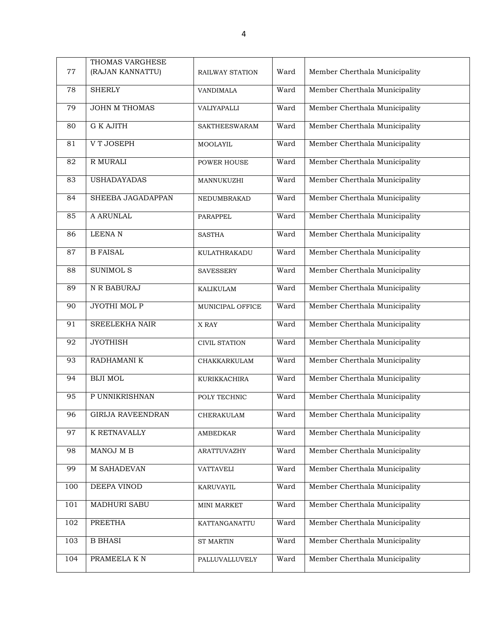| 77  | THOMAS VARGHESE<br>(RAJAN KANNATTU) | RAILWAY STATION      | Ward | Member Cherthala Municipality |
|-----|-------------------------------------|----------------------|------|-------------------------------|
| 78  | <b>SHERLY</b>                       | <b>VANDIMALA</b>     | Ward | Member Cherthala Municipality |
| 79  | <b>JOHN M THOMAS</b>                | VALIYAPALLI          | Ward | Member Cherthala Municipality |
| 80  | <b>G K AJITH</b>                    | <b>SAKTHEESWARAM</b> | Ward | Member Cherthala Municipality |
| 81  | V T JOSEPH                          | MOOLAYIL             | Ward | Member Cherthala Municipality |
| 82  | R MURALI                            | <b>POWER HOUSE</b>   | Ward | Member Cherthala Municipality |
| 83  | <b>USHADAYADAS</b>                  | MANNUKUZHI           | Ward | Member Cherthala Municipality |
| 84  | SHEEBA JAGADAPPAN                   | NEDUMBRAKAD          | Ward | Member Cherthala Municipality |
| 85  | A ARUNLAL                           | PARAPPEL             | Ward | Member Cherthala Municipality |
| 86  | <b>LEENAN</b>                       | <b>SASTHA</b>        | Ward | Member Cherthala Municipality |
| 87  | <b>B FAISAL</b>                     | KULATHRAKADU         | Ward | Member Cherthala Municipality |
| 88  | SUNIMOL S                           | <b>SAVESSERY</b>     | Ward | Member Cherthala Municipality |
| 89  | N R BABURAJ                         | KALIKULAM            | Ward | Member Cherthala Municipality |
| 90  | <b>JYOTHI MOL P</b>                 | MUNICIPAL OFFICE     | Ward | Member Cherthala Municipality |
| 91  | SREELEKHA NAIR                      | X RAY                | Ward | Member Cherthala Municipality |
| 92  | <b>JYOTHISH</b>                     | CIVIL STATION        | Ward | Member Cherthala Municipality |
| 93  | RADHAMANI K                         | CHAKKARKULAM         | Ward | Member Cherthala Municipality |
| 94  | <b>BIJI MOL</b>                     | KURIKKACHIRA         | Ward | Member Cherthala Municipality |
| 95  | P UNNIKRISHNAN                      | POLY TECHNIC         | Ward | Member Cherthala Municipality |
| 96  | <b>GIRIJA RAVEENDRAN</b>            | CHERAKULAM           | Ward | Member Cherthala Municipality |
| 97  | K RETNAVALLY                        | AMBEDKAR             | Ward | Member Cherthala Municipality |
| 98  | MANOJ M B                           | ARATTUVAZHY          | Ward | Member Cherthala Municipality |
| 99  | M SAHADEVAN                         | VATTAVELI            | Ward | Member Cherthala Municipality |
| 100 | DEEPA VINOD                         | KARUVAYIL            | Ward | Member Cherthala Municipality |
| 101 | MADHURI SABU                        | MINI MARKET          | Ward | Member Cherthala Municipality |
| 102 | <b>PREETHA</b>                      | KATTANGANATTU        | Ward | Member Cherthala Municipality |
| 103 | <b>B BHASI</b>                      | ST MARTIN            | Ward | Member Cherthala Municipality |
| 104 | PRAMEELA K N                        | PALLUVALLUVELY       | Ward | Member Cherthala Municipality |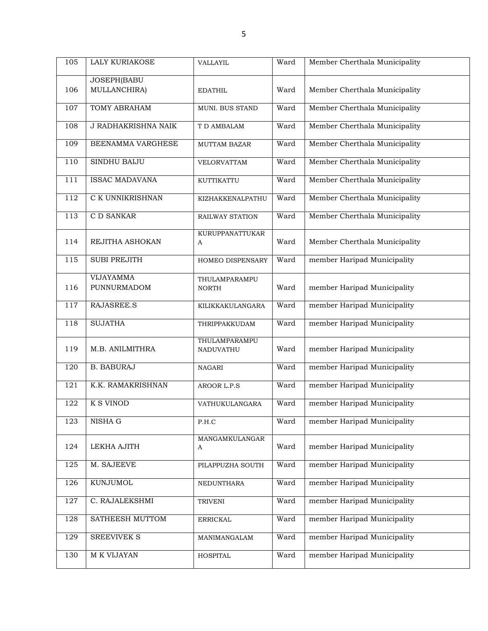| 105 | LALY KURIAKOSE                         | VALLAYIL                         | Ward | Member Cherthala Municipality |
|-----|----------------------------------------|----------------------------------|------|-------------------------------|
|     | JOSEPH(BABU                            |                                  |      |                               |
| 106 | MULLANCHIRA)                           | <b>EDATHIL</b>                   | Ward | Member Cherthala Municipality |
| 107 | <b>TOMY ABRAHAM</b>                    | MUNI. BUS STAND                  | Ward | Member Cherthala Municipality |
| 108 | <b>J RADHAKRISHNA NAIK</b>             | T D AMBALAM                      | Ward | Member Cherthala Municipality |
| 109 | BEENAMMA VARGHESE                      | <b>MUTTAM BAZAR</b>              | Ward | Member Cherthala Municipality |
| 110 | SINDHU BAIJU                           | VELORVATTAM                      | Ward | Member Cherthala Municipality |
| 111 | <b>ISSAC MADAVANA</b>                  | KUTTIKATTU                       | Ward | Member Cherthala Municipality |
| 112 | C K UNNIKRISHNAN                       | KIZHAKKENALPATHU                 | Ward | Member Cherthala Municipality |
| 113 | <b>CD SANKAR</b>                       | RAILWAY STATION                  | Ward | Member Cherthala Municipality |
| 114 | REJITHA ASHOKAN                        | KURUPPANATTUKAR<br>A             | Ward | Member Cherthala Municipality |
| 115 | <b>SUBI PREJITH</b>                    | HOMEO DISPENSARY                 | Ward | member Haripad Municipality   |
| 116 | <b>VIJAYAMMA</b><br><b>PUNNURMADOM</b> | THULAMPARAMPU<br><b>NORTH</b>    | Ward | member Haripad Municipality   |
| 117 | RAJASREE.S                             | KILIKKAKULANGARA                 | Ward | member Haripad Municipality   |
| 118 | <b>SUJATHA</b>                         | THRIPPAKKUDAM                    | Ward | member Haripad Municipality   |
| 119 | M.B. ANILMITHRA                        | THULAMPARAMPU<br>NADUVATHU       | Ward | member Haripad Municipality   |
| 120 | <b>B. BABURAJ</b>                      | <b>NAGARI</b>                    | Ward | member Haripad Municipality   |
| 121 | K.K. RAMAKRISHNAN                      | AROOR L.P.S                      | Ward | member Haripad Municipality   |
| 122 | <b>K S VINOD</b>                       | VATHUKULANGARA                   | Ward | member Haripad Municipality   |
| 123 | NISHA G                                | P.H.C                            | Ward | member Haripad Municipality   |
| 124 | LEKHA AJITH                            | MANGAMKULANGAR<br>A              | Ward | member Haripad Municipality   |
| 125 | M. SAJEEVE                             | PILAPPUZHA SOUTH                 | Ward | member Haripad Municipality   |
| 126 | KUNJUMOL                               | NEDUNTHARA                       | Ward | member Haripad Municipality   |
| 127 | C. RAJALEKSHMI                         | <b>TRIVENI</b>                   | Ward | member Haripad Municipality   |
| 128 | SATHEESH MUTTOM                        | $\ensuremath{\mathsf{ERRICKAL}}$ | Ward | member Haripad Municipality   |
| 129 | <b>SREEVIVEK S</b>                     | MANIMANGALAM                     | Ward | member Haripad Municipality   |
| 130 | M K VIJAYAN                            | <b>HOSPITAL</b>                  | Ward | member Haripad Municipality   |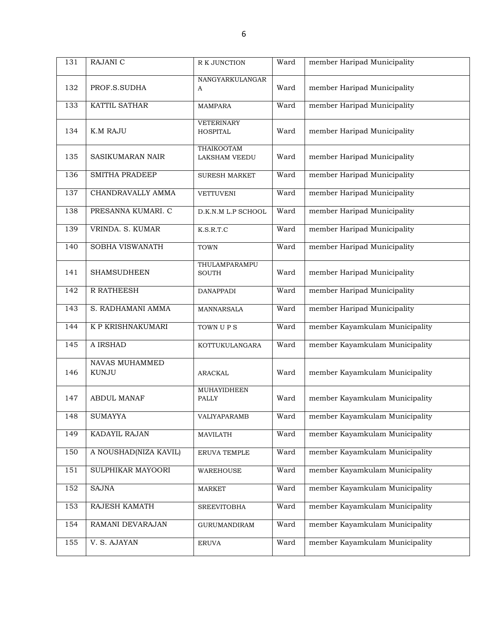| 131 | RAJANI C                       | R K JUNCTION                         | Ward | member Haripad Municipality    |
|-----|--------------------------------|--------------------------------------|------|--------------------------------|
| 132 | PROF.S.SUDHA                   | NANGYARKULANGAR<br>A                 | Ward | member Haripad Municipality    |
| 133 | KATTIL SATHAR                  | <b>MAMPARA</b>                       | Ward | member Haripad Municipality    |
| 134 | <b>K.M RAJU</b>                | <b>VETERINARY</b><br><b>HOSPITAL</b> | Ward | member Haripad Municipality    |
| 135 | <b>SASIKUMARAN NAIR</b>        | <b>THAIKOOTAM</b><br>LAKSHAM VEEDU   | Ward | member Haripad Municipality    |
| 136 | <b>SMITHA PRADEEP</b>          | <b>SURESH MARKET</b>                 | Ward | member Haripad Municipality    |
| 137 | CHANDRAVALLY AMMA              | <b>VETTUVENI</b>                     | Ward | member Haripad Municipality    |
| 138 | PRESANNA KUMARI. C             | D.K.N.M L.P SCHOOL                   | Ward | member Haripad Municipality    |
| 139 | VRINDA. S. KUMAR               | K.S.R.T.C                            | Ward | member Haripad Municipality    |
| 140 | SOBHA VISWANATH                | <b>TOWN</b>                          | Ward | member Haripad Municipality    |
| 141 | <b>SHAMSUDHEEN</b>             | THULAMPARAMPU<br><b>SOUTH</b>        | Ward | member Haripad Municipality    |
| 142 | R RATHEESH                     | <b>DANAPPADI</b>                     | Ward | member Haripad Municipality    |
| 143 | S. RADHAMANI AMMA              | MANNARSALA                           | Ward | member Haripad Municipality    |
| 144 | K P KRISHNAKUMARI              | TOWN UPS                             | Ward | member Kayamkulam Municipality |
| 145 | A IRSHAD                       | KOTTUKULANGARA                       | Ward | member Kayamkulam Municipality |
| 146 | NAVAS MUHAMMED<br><b>KUNJU</b> | ARACKAL                              | Ward | member Kayamkulam Municipality |
| 147 | <b>ABDUL MANAF</b>             | <b>MUHAYIDHEEN</b><br>PALLY          | Ward | member Kayamkulam Municipality |
| 148 | SUMAYYA                        | VALIYAPARAMB                         | Ward | member Kayamkulam Municipality |
| 149 | KADAYIL RAJAN                  | <b>MAVILATH</b>                      | Ward | member Kayamkulam Municipality |
| 150 | A NOUSHAD(NIZA KAVIL)          | ERUVA TEMPLE                         | Ward | member Kayamkulam Municipality |
| 151 | SULPHIKAR MAYOORI              | WAREHOUSE                            | Ward | member Kayamkulam Municipality |
| 152 | <b>SAJNA</b>                   | <b>MARKET</b>                        | Ward | member Kayamkulam Municipality |
| 153 | RAJESH KAMATH                  | <b>SREEVITOBHA</b>                   | Ward | member Kayamkulam Municipality |
| 154 | RAMANI DEVARAJAN               | GURUMANDIRAM                         | Ward | member Kayamkulam Municipality |
| 155 | V. S. AJAYAN                   | <b>ERUVA</b>                         | Ward | member Kayamkulam Municipality |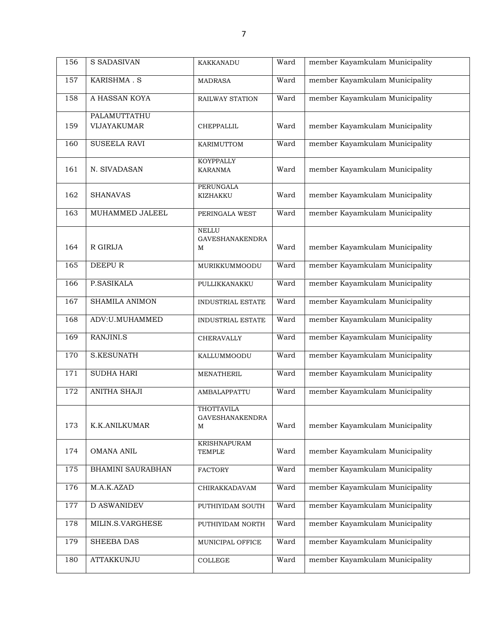| 156 | <b>S SADASIVAN</b>    | KAKKANADU                              | Ward | member Kayamkulam Municipality |
|-----|-----------------------|----------------------------------------|------|--------------------------------|
| 157 | KARISHMA.S            | <b>MADRASA</b>                         | Ward | member Kayamkulam Municipality |
| 158 | A HASSAN KOYA         | RAILWAY STATION                        | Ward | member Kayamkulam Municipality |
|     | PALAMUTTATHU          |                                        |      |                                |
| 159 | VIJAYAKUMAR           | CHEPPALLIL                             | Ward | member Kayamkulam Municipality |
| 160 | SUSEELA RAVI          | KARIMUTTOM                             | Ward | member Kayamkulam Municipality |
| 161 | N. SIVADASAN          | <b>KOYPPALLY</b><br><b>KARANMA</b>     | Ward | member Kayamkulam Municipality |
|     |                       | <b>PERUNGALA</b>                       |      |                                |
| 162 | <b>SHANAVAS</b>       | KIZHAKKU                               | Ward | member Kayamkulam Municipality |
| 163 | MUHAMMED JALEEL       | PERINGALA WEST                         | Ward | member Kayamkulam Municipality |
|     |                       | <b>NELLU</b><br><b>GAVESHANAKENDRA</b> |      |                                |
| 164 | R GIRIJA              | M                                      | Ward | member Kayamkulam Municipality |
| 165 | <b>DEEPUR</b>         | MURIKKUMMOODU                          | Ward | member Kayamkulam Municipality |
| 166 | P.SASIKALA            | PULLIKKANAKKU                          | Ward | member Kayamkulam Municipality |
| 167 | <b>SHAMILA ANIMON</b> | INDUSTRIAL ESTATE                      | Ward | member Kayamkulam Municipality |
| 168 | ADV:U.MUHAMMED        | INDUSTRIAL ESTATE                      | Ward | member Kayamkulam Municipality |
| 169 | RANJINI.S             | CHERAVALLY                             | Ward | member Kayamkulam Municipality |
| 170 | <b>S.KESUNATH</b>     | KALLUMMOODU                            | Ward | member Kayamkulam Municipality |
| 171 | <b>SUDHA HARI</b>     | MENATHERIL                             | Ward | member Kayamkulam Municipality |
| 172 | ANITHA SHAJI          | AMBALAPPATTU                           | Ward | member Kayamkulam Municipality |
|     |                       | <b>THOTTAVILA</b>                      |      |                                |
| 173 | K.K.ANILKUMAR         | <b>GAVESHANAKENDRA</b><br>М            | Ward | member Kayamkulam Municipality |
|     |                       | <b>KRISHNAPURAM</b>                    |      |                                |
| 174 | OMANA ANIL            | <b>TEMPLE</b>                          | Ward | member Kayamkulam Municipality |
| 175 | BHAMINI SAURABHAN     | <b>FACTORY</b>                         | Ward | member Kayamkulam Municipality |
| 176 | M.A.K.AZAD            | CHIRAKKADAVAM                          | Ward | member Kayamkulam Municipality |
| 177 | <b>D ASWANIDEV</b>    | PUTHIYIDAM SOUTH                       | Ward | member Kayamkulam Municipality |
| 178 | MILIN.S.VARGHESE      | PUTHIYIDAM NORTH                       | Ward | member Kayamkulam Municipality |
| 179 | SHEEBA DAS            | MUNICIPAL OFFICE                       | Ward | member Kayamkulam Municipality |
| 180 | ATTAKKUNJU            | $\sf{COLLEGE}$                         | Ward | member Kayamkulam Municipality |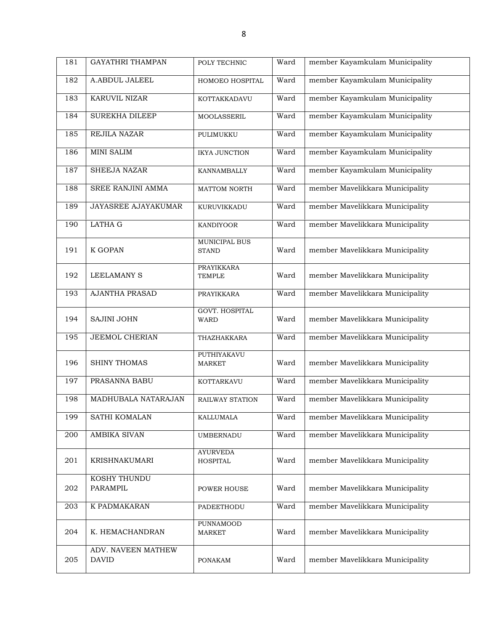| 181 | <b>GAYATHRI THAMPAN</b>            | POLY TECHNIC                         | Ward | member Kayamkulam Municipality  |
|-----|------------------------------------|--------------------------------------|------|---------------------------------|
| 182 | A.ABDUL JALEEL                     | HOMOEO HOSPITAL                      | Ward | member Kayamkulam Municipality  |
| 183 | <b>KARUVIL NIZAR</b>               | KOTTAKKADAVU                         | Ward | member Kayamkulam Municipality  |
| 184 | <b>SUREKHA DILEEP</b>              | <b>MOOLASSERIL</b>                   | Ward | member Kayamkulam Municipality  |
| 185 | REJILA NAZAR                       | PULIMUKKU                            | Ward | member Kayamkulam Municipality  |
| 186 | <b>MINI SALIM</b>                  | <b>IKYA JUNCTION</b>                 | Ward | member Kayamkulam Municipality  |
| 187 | <b>SHEEJA NAZAR</b>                | KANNAMBALLY                          | Ward | member Kayamkulam Municipality  |
| 188 | SREE RANJINI AMMA                  | <b>MATTOM NORTH</b>                  | Ward | member Mavelikkara Municipality |
| 189 | JAYASREE AJAYAKUMAR                | KURUVIKKADU                          | Ward | member Mavelikkara Municipality |
| 190 | <b>LATHA G</b>                     | <b>KANDIYOOR</b>                     | Ward | member Mavelikkara Municipality |
| 191 | <b>K GOPAN</b>                     | MUNICIPAL BUS<br><b>STAND</b>        | Ward | member Mavelikkara Municipality |
| 192 | <b>LEELAMANY S</b>                 | <b>PRAYIKKARA</b><br><b>TEMPLE</b>   | Ward | member Mavelikkara Municipality |
| 193 | <b>AJANTHA PRASAD</b>              | PRAYIKKARA                           | Ward | member Mavelikkara Municipality |
| 194 | SAJINI JOHN                        | <b>GOVT. HOSPITAL</b><br><b>WARD</b> | Ward | member Mavelikkara Municipality |
| 195 | <b>JEEMOL CHERIAN</b>              | THAZHAKKARA                          | Ward | member Mavelikkara Municipality |
| 196 | <b>SHINY THOMAS</b>                | PUTHIYAKAVU<br><b>MARKET</b>         | Ward | member Mavelikkara Municipality |
| 197 | PRASANNA BABU                      | KOTTARKAVU                           | Ward | member Mavelikkara Municipality |
| 198 | MADHUBALA NATARAJAN                | RAILWAY STATION                      | Ward | member Mavelikkara Municipality |
| 199 | SATHI KOMALAN                      | KALLUMALA                            | Ward | member Mavelikkara Municipality |
| 200 | AMBIKA SIVAN                       | <b>UMBERNADU</b>                     | Ward | member Mavelikkara Municipality |
| 201 | <b>KRISHNAKUMARI</b>               | <b>AYURVEDA</b><br><b>HOSPITAL</b>   | Ward | member Mavelikkara Municipality |
|     | KOSHY THUNDU                       |                                      |      |                                 |
| 202 | PARAMPIL                           | POWER HOUSE                          | Ward | member Mavelikkara Municipality |
| 203 | K PADMAKARAN                       | PADEETHODU                           | Ward | member Mavelikkara Municipality |
| 204 | K. HEMACHANDRAN                    | PUNNAMOOD<br><b>MARKET</b>           | Ward | member Mavelikkara Municipality |
| 205 | ADV. NAVEEN MATHEW<br><b>DAVID</b> | <b>PONAKAM</b>                       | Ward | member Mavelikkara Municipality |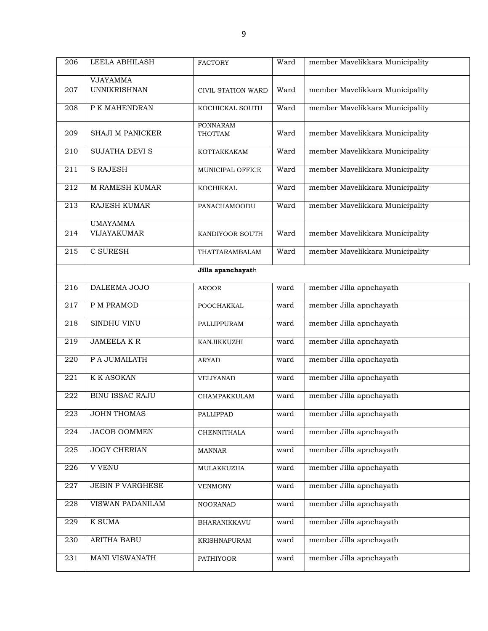| 206 | LEELA ABHILASH                         | <b>FACTORY</b>             | Ward | member Mavelikkara Municipality |
|-----|----------------------------------------|----------------------------|------|---------------------------------|
| 207 | <b>VJAYAMMA</b><br><b>UNNIKRISHNAN</b> | CIVIL STATION WARD         | Ward | member Mavelikkara Municipality |
| 208 | P K MAHENDRAN                          | KOCHICKAL SOUTH            | Ward | member Mavelikkara Municipality |
| 209 | SHAJI M PANICKER                       | <b>PONNARAM</b><br>THOTTAM | Ward | member Mavelikkara Municipality |
| 210 | <b>SUJATHA DEVI S</b>                  | KOTTAKKAKAM                | Ward | member Mavelikkara Municipality |
| 211 | <b>S RAJESH</b>                        | MUNICIPAL OFFICE           | Ward | member Mavelikkara Municipality |
| 212 | <b>M RAMESH KUMAR</b>                  | KOCHIKKAL                  | Ward | member Mavelikkara Municipality |
| 213 | <b>RAJESH KUMAR</b>                    | PANACHAMOODU               | Ward | member Mavelikkara Municipality |
| 214 | <b>UMAYAMMA</b><br>VIJAYAKUMAR         | KANDIYOOR SOUTH            | Ward | member Mavelikkara Municipality |
| 215 | C SURESH                               | THATTARAMBALAM             | Ward | member Mavelikkara Municipality |
|     |                                        | Jilla apanchayath          |      |                                 |
| 216 | DALEEMA JOJO                           | <b>AROOR</b>               | ward | member Jilla apnchayath         |
| 217 | P M PRAMOD                             | POOCHAKKAL                 | ward | member Jilla apnchayath         |
| 218 | SINDHU VINU                            | PALLIPPURAM                | ward | member Jilla apnchayath         |
| 219 | <b>JAMEELA K R</b>                     | KANJIKKUZHI                | ward | member Jilla apnchayath         |
| 220 | P A JUMAILATH                          | <b>ARYAD</b>               | ward | member Jilla apnchayath         |
| 221 | <b>K K ASOKAN</b>                      | <b>VELIYANAD</b>           | ward | member Jilla apnchayath         |
| 222 | <b>BINU ISSAC RAJU</b>                 | CHAMPAKKULAM               | ward | member Jilla apnchayath         |
| 223 | <b>JOHN THOMAS</b>                     | PALLIPPAD                  | ward | member Jilla apnchayath         |
| 224 | JACOB OOMMEN                           | CHENNITHALA                | ward | member Jilla apnchayath         |
| 225 | <b>JOGY CHERIAN</b>                    | <b>MANNAR</b>              | ward | member Jilla apnchayath         |
| 226 | <b>V VENU</b>                          | MULAKKUZHA                 | ward | member Jilla apnchayath         |
| 227 | <b>JEBIN P VARGHESE</b>                | <b>VENMONY</b>             | ward | member Jilla apnchayath         |
| 228 | VISWAN PADANILAM                       | <b>NOORANAD</b>            | ward | member Jilla apnchayath         |
| 229 | <b>K SUMA</b>                          | BHARANIKKAVU               | ward | member Jilla apnchayath         |
| 230 | ARITHA BABU                            | KRISHNAPURAM               | ward | member Jilla apnchayath         |
| 231 | <b>MANI VISWANATH</b>                  | PATHIYOOR                  | ward | member Jilla apnchayath         |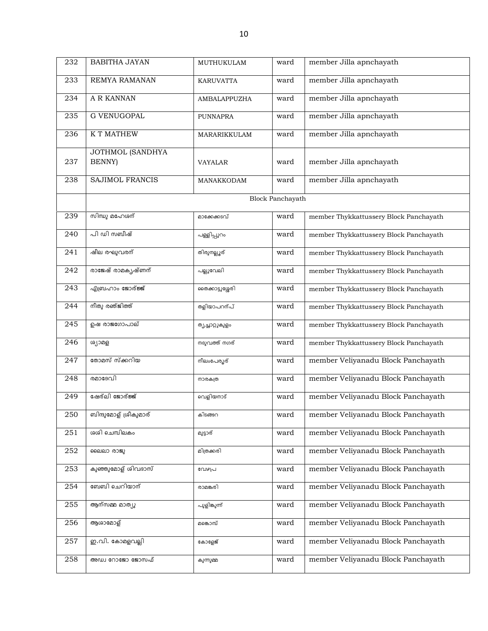| 232 | <b>BABITHA JAYAN</b>                      | MUTHUKULAM       | ward                    | member Jilla apnchayath                |
|-----|-------------------------------------------|------------------|-------------------------|----------------------------------------|
| 233 | REMYA RAMANAN                             | <b>KARUVATTA</b> | ward                    | member Jilla apnchayath                |
| 234 | A R KANNAN                                | AMBALAPPUZHA     | ward                    | member Jilla apnchayath                |
| 235 | <b>G VENUGOPAL</b>                        | <b>PUNNAPRA</b>  | ward                    | member Jilla apnchayath                |
| 236 | <b>K T MATHEW</b>                         | MARARIKKULAM     | ward                    | member Jilla apnchayath                |
| 237 | <b>JOTHMOL (SANDHYA</b><br><b>BENNY</b> ) | <b>VAYALAR</b>   | ward                    | member Jilla apnchayath                |
| 238 | <b>SAJIMOL FRANCIS</b>                    | MANAKKODAM       | ward                    | member Jilla apnchayath                |
|     |                                           |                  | <b>Block Panchayath</b> |                                        |
| 239 | സിന്ധു മഹേശന്                             | മാക്കേക്കടവ്     | ward                    | member Thykkattussery Block Panchayath |
| 240 | പി ഡി സബീഷ്                               | പള്ളിപ്പുറം      | ward                    | member Thykkattussery Block Panchayath |
| 241 | ഷീല രഘുവരന്                               | തിരുനല്ലൂര്      | ward                    | member Thykkattussery Block Panchayath |
| 242 | രാജേഷ് രാമകൃഷ്ണന്                         | പല്ലുവേലി        | ward                    | member Thykkattussery Block Panchayath |
| 243 | എബ്രഹാം ജോര്ജ്ജ്                          | രൈക്കാട്ടുശ്ശേരി | ward                    | member Thykkattussery Block Panchayath |
| 244 | നീതു രഞ്ജിത്ത്                            | തളിയാപറന്പ്      | ward                    | member Thykkattussery Block Panchayath |
| 245 | ഉഷ രാജഗോപാല്                              | ത്യച്ചാറ്റുകുളം  | ward                    | member Thykkattussery Block Panchayath |
| 246 | ശ്യാമള                                    | നദുവത്ത് നഗര്    | ward                    | member Thykkattussery Block Panchayath |
| 247 | തോമസ് സ്ക്കറിയ                            | നീലംപേരൂര്       | ward                    | member Veliyanadu Block Panchayath     |
| 248 | രമാദേവി                                   | നാരകത്ര          | ward                    | member Veliyanadu Block Panchayath     |
| 249 | ഷേര്ലി ജോര്ജ്ജ്                           | വെളിയനാട്        | ward                    | member Veliyanadu Block Panchayath     |
| 250 |                                           | കിടങ്ങറ          | ward                    | member Veliyanadu Block Panchayath     |
| 251 | ശശി ചെമ്പിലകം                             | മുട്ടാര്         | ward                    | member Veliyanadu Block Panchayath     |
| 252 | ലൈലാ രാജു                                 | മിത്രക്കരി       | ward                    | member Veliyanadu Block Panchayath     |
| 253 | കുഞ്ഞുമോള് ശിവദാസ്                        | വേഴപ്ര           | ward                    | member Veliyanadu Block Panchayath     |
| 254 | ബേബി ചെറിയാന്                             | രാമങ്കരി         | ward                    | member Veliyanadu Block Panchayath     |
| 255 | ആന്സമ്മ മാത്യു                            | പുളിങ്കുന്ന്     | ward                    | member Veliyanadu Block Panchayath     |
| 256 | ആശാമോള്                                   | മങ്കൊമ്പ്        | ward                    | member Veliyanadu Block Panchayath     |
| 257 | ഇ.വി. കോമളവല്ലി                           | കോളേജ്           | ward                    | member Veliyanadu Block Panchayath     |
| 258 | അഡ്വ റോജോ ജോസഫ്                           | കുന്നുമ്മ        | ward                    | member Veliyanadu Block Panchayath     |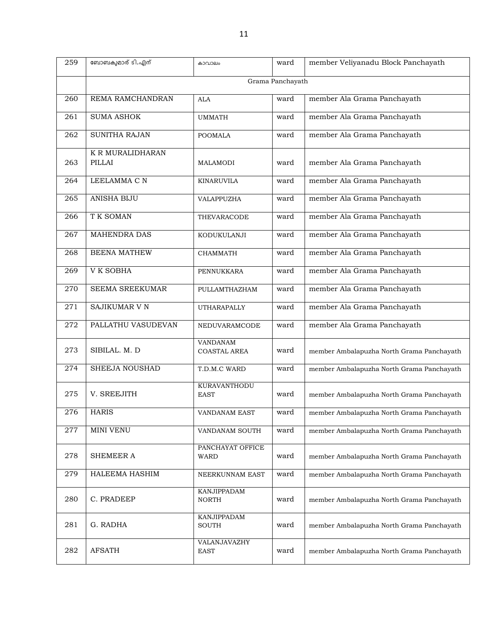| 259 | ബോബകുമാര് ടി.എന്           | കാവാലം                          | ward | member Veliyanadu Block Panchayath        |  |  |
|-----|----------------------------|---------------------------------|------|-------------------------------------------|--|--|
|     | Grama Panchayath           |                                 |      |                                           |  |  |
| 260 | REMA RAMCHANDRAN           | <b>ALA</b>                      | ward | member Ala Grama Panchayath               |  |  |
| 261 | <b>SUMA ASHOK</b>          | <b>UMMATH</b>                   | ward | member Ala Grama Panchayath               |  |  |
| 262 | <b>SUNITHA RAJAN</b>       | <b>POOMALA</b>                  | ward | member Ala Grama Panchayath               |  |  |
| 263 | K R MURALIDHARAN<br>PILLAI | <b>MALAMODI</b>                 | ward | member Ala Grama Panchayath               |  |  |
| 264 | LEELAMMA C N               | <b>KINARUVILA</b>               | ward | member Ala Grama Panchayath               |  |  |
| 265 | <b>ANISHA BIJU</b>         | VALAPPUZHA                      | ward | member Ala Grama Panchayath               |  |  |
| 266 | T K SOMAN                  | THEVARACODE                     | ward | member Ala Grama Panchayath               |  |  |
| 267 | <b>MAHENDRA DAS</b>        | KODUKULANJI                     | ward | member Ala Grama Panchayath               |  |  |
| 268 | <b>BEENA MATHEW</b>        | <b>CHAMMATH</b>                 | ward | member Ala Grama Panchayath               |  |  |
| 269 | V K SOBHA                  | PENNUKKARA                      | ward | member Ala Grama Panchayath               |  |  |
| 270 | <b>SEEMA SREEKUMAR</b>     | PULLAMTHAZHAM                   | ward | member Ala Grama Panchayath               |  |  |
| 271 | <b>SAJIKUMAR V N</b>       | UTHARAPALLY                     | ward | member Ala Grama Panchayath               |  |  |
| 272 | PALLATHU VASUDEVAN         | NEDUVARAMCODE                   | ward | member Ala Grama Panchayath               |  |  |
| 273 | SIBILAL. M. D              | VANDANAM<br><b>COASTAL AREA</b> | ward | member Ambalapuzha North Grama Panchayath |  |  |
| 274 | SHEEJA NOUSHAD             | T.D.M.C WARD                    | ward | member Ambalapuzha North Grama Panchayath |  |  |
| 275 | V. SREEJITH                | KURAVANTHODU<br><b>EAST</b>     | ward | member Ambalapuzha North Grama Panchayath |  |  |
| 276 | <b>HARIS</b>               | <b>VANDANAM EAST</b>            | ward | member Ambalapuzha North Grama Panchayath |  |  |
| 277 | MINI VENU                  | VANDANAM SOUTH                  | ward | member Ambalapuzha North Grama Panchayath |  |  |
| 278 | SHEMEER A                  | PANCHAYAT OFFICE<br><b>WARD</b> | ward | member Ambalapuzha North Grama Panchayath |  |  |
| 279 | HALEEMA HASHIM             | NEERKUNNAM EAST                 | ward | member Ambalapuzha North Grama Panchayath |  |  |
| 280 | C. PRADEEP                 | KANJIPPADAM<br><b>NORTH</b>     | ward | member Ambalapuzha North Grama Panchayath |  |  |
| 281 | G. RADHA                   | KANJIPPADAM<br>SOUTH            | ward | member Ambalapuzha North Grama Panchayath |  |  |
| 282 | <b>AFSATH</b>              | VALANJAVAZHY<br><b>EAST</b>     | ward | member Ambalapuzha North Grama Panchayath |  |  |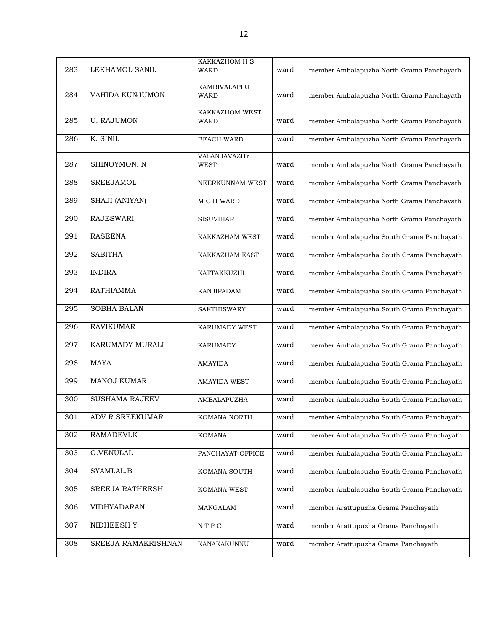| 283 | LEKHAMOL SANIL        | KAKKAZHOM H S<br><b>WARD</b>  | ward | member Ambalapuzha North Grama Panchayath |
|-----|-----------------------|-------------------------------|------|-------------------------------------------|
| 284 | VAHIDA KUNJUMON       | KAMBIVALAPPU<br><b>WARD</b>   | ward | member Ambalapuzha North Grama Panchayath |
| 285 | <b>U. RAJUMON</b>     | KAKKAZHOM WEST<br><b>WARD</b> | ward | member Ambalapuzha North Grama Panchayath |
| 286 | K. SINIL              | <b>BEACH WARD</b>             | ward | member Ambalapuzha North Grama Panchayath |
| 287 | SHINOYMON. N          | VALANJAVAZHY<br>WEST          | ward | member Ambalapuzha North Grama Panchayath |
| 288 | <b>SREEJAMOL</b>      | NEERKUNNAM WEST               | ward | member Ambalapuzha North Grama Panchayath |
| 289 | SHAJI (ANIYAN)        | M C H WARD                    | ward | member Ambalapuzha North Grama Panchayath |
| 290 | <b>RAJESWARI</b>      | <b>SISUVIHAR</b>              | ward | member Ambalapuzha North Grama Panchayath |
| 291 | <b>RASEENA</b>        | KAKKAZHAM WEST                | ward | member Ambalapuzha South Grama Panchayath |
| 292 | <b>SABITHA</b>        | KAKKAZHAM EAST                | ward | member Ambalapuzha South Grama Panchayath |
| 293 | <b>INDIRA</b>         | KATTAKKUZHI                   | ward | member Ambalapuzha South Grama Panchayath |
| 294 | <b>RATHIAMMA</b>      | KANJIPADAM                    | ward | member Ambalapuzha South Grama Panchayath |
| 295 | <b>SOBHA BALAN</b>    | <b>SAKTHISWARY</b>            | ward | member Ambalapuzha South Grama Panchayath |
| 296 | <b>RAVIKUMAR</b>      | <b>KARUMADY WEST</b>          | ward | member Ambalapuzha South Grama Panchayath |
| 297 | KARUMADY MURALI       | <b>KARUMADY</b>               | ward | member Ambalapuzha South Grama Panchayath |
| 298 | <b>MAYA</b>           | <b>AMAYIDA</b>                | ward | member Ambalapuzha South Grama Panchayath |
| 299 | <b>MANOJ KUMAR</b>    | <b>AMAYIDA WEST</b>           | ward | member Ambalapuzha South Grama Panchayath |
| 300 | <b>SUSHAMA RAJEEV</b> | AMBALAPUZHA                   | ward | member Ambalapuzha South Grama Panchayath |
| 301 | ADV.R.SREEKUMAR       | KOMANA NORTH                  | ward | member Ambalapuzha South Grama Panchayath |
| 302 | RAMADEVI.K            | <b>KOMANA</b>                 | ward | member Ambalapuzha South Grama Panchayath |
| 303 | <b>G.VENULAL</b>      | PANCHAYAT OFFICE              | ward | member Ambalapuzha South Grama Panchayath |
| 304 | SYAMLAL.B             | KOMANA SOUTH                  | ward | member Ambalapuzha South Grama Panchayath |
| 305 | SREEJA RATHEESH       | KOMANA WEST                   | ward | member Ambalapuzha South Grama Panchayath |
| 306 | VIDHYADARAN           | MANGALAM                      | ward | member Arattupuzha Grama Panchayath       |
| 307 | NIDHEESH Y            | $\mathbb N$ T P C             | ward | member Arattupuzha Grama Panchayath       |
| 308 | SREEJA RAMAKRISHNAN   | KANAKAKUNNU                   | ward | member Arattupuzha Grama Panchayath       |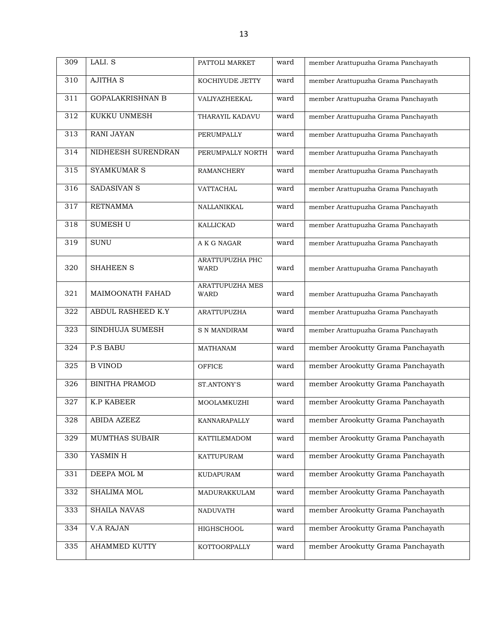| 309 | LALI. S                 | PATTOLI MARKET                        | ward | member Arattupuzha Grama Panchayath |
|-----|-------------------------|---------------------------------------|------|-------------------------------------|
| 310 | <b>AJITHA S</b>         | KOCHIYUDE JETTY                       | ward | member Arattupuzha Grama Panchayath |
| 311 | <b>GOPALAKRISHNAN B</b> | VALIYAZHEEKAL                         | ward | member Arattupuzha Grama Panchayath |
| 312 | KUKKU UNMESH            | THARAYIL KADAVU                       | ward | member Arattupuzha Grama Panchayath |
| 313 | <b>RANI JAYAN</b>       | PERUMPALLY                            | ward | member Arattupuzha Grama Panchayath |
| 314 | NIDHEESH SURENDRAN      | PERUMPALLY NORTH                      | ward | member Arattupuzha Grama Panchayath |
| 315 | <b>SYAMKUMAR S</b>      | <b>RAMANCHERY</b>                     | ward | member Arattupuzha Grama Panchayath |
| 316 | SADASIVAN S             | VATTACHAL                             | ward | member Arattupuzha Grama Panchayath |
| 317 | <b>RETNAMMA</b>         | NALLANIKKAL                           | ward | member Arattupuzha Grama Panchayath |
| 318 | SUMESH U                | <b>KALLICKAD</b>                      | ward | member Arattupuzha Grama Panchayath |
| 319 | <b>SUNU</b>             | A K G NAGAR                           | ward | member Arattupuzha Grama Panchayath |
| 320 | <b>SHAHEEN S</b>        | <b>ARATTUPUZHA PHC</b><br><b>WARD</b> | ward | member Arattupuzha Grama Panchayath |
| 321 | MAIMOONATH FAHAD        | <b>ARATTUPUZHA MES</b><br><b>WARD</b> | ward | member Arattupuzha Grama Panchayath |
| 322 | ABDUL RASHEED K.Y       | <b>ARATTUPUZHA</b>                    | ward | member Arattupuzha Grama Panchayath |
| 323 | SINDHUJA SUMESH         | <b>S N MANDIRAM</b>                   | ward | member Arattupuzha Grama Panchayath |
| 324 | <b>P.S BABU</b>         | <b>MATHANAM</b>                       | ward | member Arookutty Grama Panchayath   |
| 325 | <b>B VINOD</b>          | <b>OFFICE</b>                         | ward | member Arookutty Grama Panchayath   |
| 326 | <b>BINITHA PRAMOD</b>   | ST.ANTONY'S                           | ward | member Arookutty Grama Panchayath   |
| 327 | <b>K.P KABEER</b>       | MOOLAMKUZHI                           | ward | member Arookutty Grama Panchayath   |
| 328 | ABIDA AZEEZ             | KANNARAPALLY                          | ward | member Arookutty Grama Panchayath   |
| 329 | MUMTHAS SUBAIR          | KATTILEMADOM                          | ward | member Arookutty Grama Panchayath   |
| 330 | YASMIN H                | KATTUPURAM                            | ward | member Arookutty Grama Panchayath   |
| 331 | DEEPA MOL M             | KUDAPURAM                             | ward | member Arookutty Grama Panchayath   |
| 332 | <b>SHALIMA MOL</b>      | MADURAKKULAM                          | ward | member Arookutty Grama Panchayath   |
| 333 | <b>SHAILA NAVAS</b>     | NADUVATH                              | ward | member Arookutty Grama Panchayath   |
| 334 | <b>V.A RAJAN</b>        | HIGHSCHOOL                            | ward | member Arookutty Grama Panchayath   |
| 335 | <b>AHAMMED KUTTY</b>    | KOTTOORPALLY                          | ward | member Arookutty Grama Panchayath   |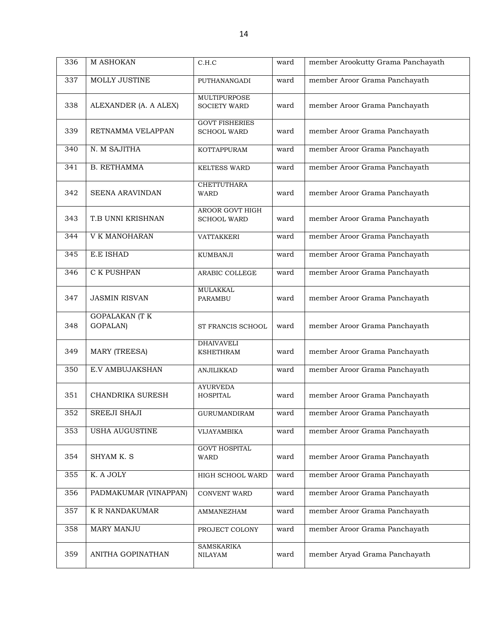| 336 | M ASHOKAN                         | C.H.C                                       | ward | member Arookutty Grama Panchayath |
|-----|-----------------------------------|---------------------------------------------|------|-----------------------------------|
| 337 | <b>MOLLY JUSTINE</b>              | <b>PUTHANANGADI</b>                         | ward | member Aroor Grama Panchayath     |
| 338 | ALEXANDER (A. A ALEX)             | MULTIPURPOSE<br><b>SOCIETY WARD</b>         | ward | member Aroor Grama Panchayath     |
| 339 | RETNAMMA VELAPPAN                 | <b>GOVT FISHERIES</b><br><b>SCHOOL WARD</b> | ward | member Aroor Grama Panchayath     |
| 340 | N. M SAJITHA                      | KOTTAPPURAM                                 | ward | member Aroor Grama Panchayath     |
| 341 | <b>B. RETHAMMA</b>                | <b>KELTESS WARD</b>                         | ward | member Aroor Grama Panchayath     |
| 342 | <b>SEENA ARAVINDAN</b>            | <b>CHETTUTHARA</b><br><b>WARD</b>           | ward | member Aroor Grama Panchayath     |
| 343 | T.B UNNI KRISHNAN                 | AROOR GOVT HIGH<br><b>SCHOOL WARD</b>       | ward | member Aroor Grama Panchayath     |
| 344 | V K MANOHARAN                     | VATTAKKERI                                  | ward | member Aroor Grama Panchayath     |
| 345 | E.E ISHAD                         | <b>KUMBANJI</b>                             | ward | member Aroor Grama Panchayath     |
| 346 | C K PUSHPAN                       | ARABIC COLLEGE                              | ward | member Aroor Grama Panchayath     |
| 347 | <b>JASMIN RISVAN</b>              | <b>MULAKKAL</b><br><b>PARAMBU</b>           | ward | member Aroor Grama Panchayath     |
| 348 | <b>GOPALAKAN (T K</b><br>GOPALAN) | ST FRANCIS SCHOOL                           | ward | member Aroor Grama Panchayath     |
| 349 | <b>MARY (TREESA)</b>              | <b>DHAIVAVELI</b><br><b>KSHETHRAM</b>       | ward | member Aroor Grama Panchayath     |
| 350 | E.V AMBUJAKSHAN                   | <b>ANJILIKKAD</b>                           | ward | member Aroor Grama Panchayath     |
| 351 | CHANDRIKA SURESH                  | <b>AYURVEDA</b><br><b>HOSPITAL</b>          | ward | member Aroor Grama Panchayath     |
| 352 | SREEJI SHAJI                      | <b>GURUMANDIRAM</b>                         | ward | member Aroor Grama Panchayath     |
| 353 | USHA AUGUSTINE                    | VIJAYAMBIKA                                 | ward | member Aroor Grama Panchayath     |
| 354 | SHYAM K. S                        | <b>GOVT HOSPITAL</b><br>WARD                | ward | member Aroor Grama Panchayath     |
| 355 | K. A JOLY                         | HIGH SCHOOL WARD                            | ward | member Aroor Grama Panchayath     |
| 356 | PADMAKUMAR (VINAPPAN)             | CONVENT WARD                                | ward | member Aroor Grama Panchayath     |
| 357 | K R NANDAKUMAR                    | AMMANEZHAM                                  | ward | member Aroor Grama Panchayath     |
| 358 | <b>MARY MANJU</b>                 | PROJECT COLONY                              | ward | member Aroor Grama Panchayath     |
| 359 | ANITHA GOPINATHAN                 | <b>SAMSKARIKA</b><br><b>NILAYAM</b>         | ward | member Aryad Grama Panchayath     |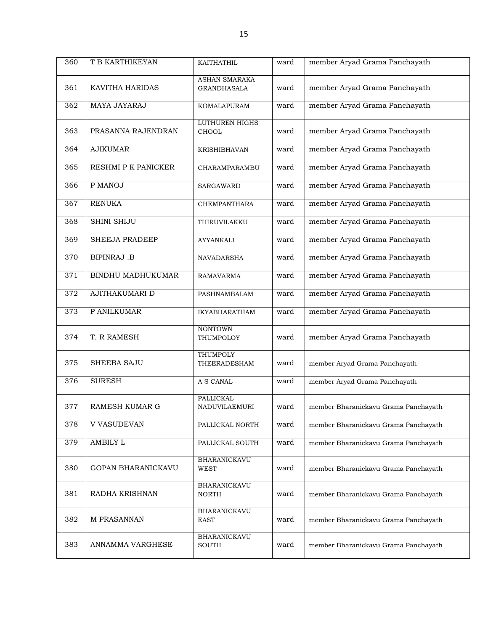| 360 | T B KARTHIKEYAN       | KAITHATHIL                            | ward | member Aryad Grama Panchayath        |
|-----|-----------------------|---------------------------------------|------|--------------------------------------|
| 361 | KAVITHA HARIDAS       | ASHAN SMARAKA<br><b>GRANDHASALA</b>   | ward | member Aryad Grama Panchayath        |
| 362 | MAYA JAYARAJ          | KOMALAPURAM                           | ward | member Aryad Grama Panchayath        |
| 363 | PRASANNA RAJENDRAN    | <b>LUTHUREN HIGHS</b><br><b>CHOOL</b> | ward | member Aryad Grama Panchayath        |
| 364 | <b>AJIKUMAR</b>       | <b>KRISHIBHAVAN</b>                   | ward | member Aryad Grama Panchayath        |
| 365 | RESHMI P K PANICKER   | CHARAMPARAMBU                         | ward | member Aryad Grama Panchayath        |
| 366 | P MANOJ               | SARGAWARD                             | ward | member Aryad Grama Panchayath        |
| 367 | <b>RENUKA</b>         | <b>CHEMPANTHARA</b>                   | ward | member Aryad Grama Panchayath        |
| 368 | <b>SHINI SHIJU</b>    | THIRUVILAKKU                          | ward | member Aryad Grama Panchayath        |
| 369 | <b>SHEEJA PRADEEP</b> | AYYANKALI                             | ward | member Aryad Grama Panchayath        |
| 370 | <b>BIPINRAJ .B</b>    | <b>NAVADARSHA</b>                     | ward | member Aryad Grama Panchayath        |
| 371 | BINDHU MADHUKUMAR     | <b>RAMAVARMA</b>                      | ward | member Aryad Grama Panchayath        |
| 372 | AJITHAKUMARI D        | PASHNAMBALAM                          | ward | member Aryad Grama Panchayath        |
| 373 | P ANILKUMAR           | <b>IKYABHARATHAM</b>                  | ward | member Aryad Grama Panchayath        |
| 374 | T. R RAMESH           | <b>NONTOWN</b><br>THUMPOLOY           | ward | member Aryad Grama Panchayath        |
| 375 | <b>SHEEBA SAJU</b>    | <b>THUMPOLY</b><br>THEERADESHAM       | ward | member Aryad Grama Panchayath        |
| 376 | <b>SURESH</b>         | A S CANAL                             | ward | member Aryad Grama Panchayath        |
| 377 | <b>RAMESH KUMAR G</b> | <b>PALLICKAL</b><br>NADUVILAEMURI     | ward | member Bharanickavu Grama Panchayath |
| 378 | <b>V VASUDEVAN</b>    | PALLICKAL NORTH                       | ward | member Bharanickavu Grama Panchayath |
| 379 | AMBILY L              | PALLICKAL SOUTH                       | ward | member Bharanickavu Grama Panchayath |
| 380 | GOPAN BHARANICKAVU    | BHARANICKAVU<br><b>WEST</b>           | ward | member Bharanickavu Grama Panchayath |
| 381 | RADHA KRISHNAN        | BHARANICKAVU<br><b>NORTH</b>          | ward | member Bharanickavu Grama Panchayath |
| 382 | M PRASANNAN           | <b>BHARANICKAVU</b><br><b>EAST</b>    | ward | member Bharanickavu Grama Panchayath |
| 383 | ANNAMMA VARGHESE      | <b>BHARANICKAVU</b><br>SOUTH          | ward | member Bharanickavu Grama Panchayath |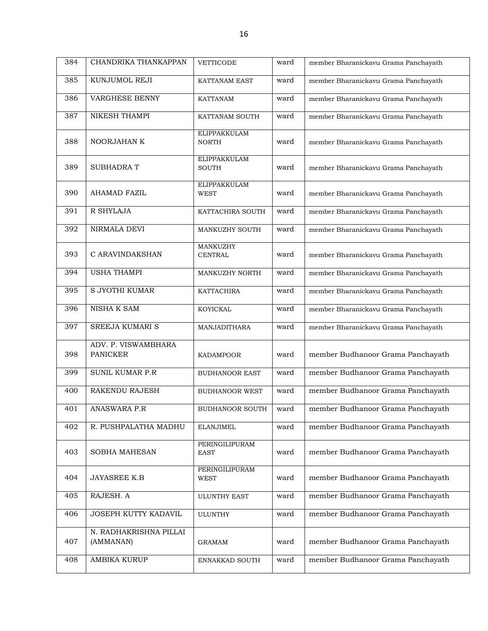| 384 | CHANDRIKA THANKAPPAN                   | VETTICODE                           | ward | member Bharanickavu Grama Panchayath |
|-----|----------------------------------------|-------------------------------------|------|--------------------------------------|
| 385 | KUNJUMOL REJI                          | <b>KATTANAM EAST</b>                | ward | member Bharanickavu Grama Panchayath |
| 386 | <b>VARGHESE BENNY</b>                  | <b>KATTANAM</b>                     | ward | member Bharanickavu Grama Panchayath |
| 387 | <b>NIKESH THAMPI</b>                   | KATTANAM SOUTH                      | ward | member Bharanickavu Grama Panchayath |
| 388 | NOORJAHAN K                            | <b>ELIPPAKKULAM</b><br><b>NORTH</b> | ward | member Bharanickavu Grama Panchayath |
| 389 | <b>SUBHADRAT</b>                       | <b>ELIPPAKKULAM</b><br><b>SOUTH</b> | ward | member Bharanickavu Grama Panchayath |
| 390 | AHAMAD FAZIL                           | <b>ELIPPAKKULAM</b><br><b>WEST</b>  | ward | member Bharanickavu Grama Panchayath |
| 391 | R SHYLAJA                              | KATTACHIRA SOUTH                    | ward | member Bharanickavu Grama Panchayath |
| 392 | NIRMALA DEVI                           | MANKUZHY SOUTH                      | ward | member Bharanickavu Grama Panchayath |
| 393 | C ARAVINDAKSHAN                        | MANKUZHY<br><b>CENTRAL</b>          | ward | member Bharanickavu Grama Panchayath |
| 394 | <b>USHA THAMPI</b>                     | MANKUZHY NORTH                      | ward | member Bharanickavu Grama Panchayath |
| 395 | S JYOTHI KUMAR                         | <b>KATTACHIRA</b>                   | ward | member Bharanickavu Grama Panchayath |
| 396 | NISHA K SAM                            | <b>KOYICKAL</b>                     | ward | member Bharanickavu Grama Panchayath |
| 397 | <b>SREEJA KUMARI S</b>                 | MANJADITHARA                        | ward | member Bharanickavu Grama Panchayath |
| 398 | ADV. P. VISWAMBHARA<br><b>PANICKER</b> | <b>KADAMPOOR</b>                    | ward | member Budhanoor Grama Panchayath    |
| 399 | <b>SUNIL KUMAR P.R</b>                 | <b>BUDHANOOR EAST</b>               | ward | member Budhanoor Grama Panchayath    |
| 400 | RAKENDU RAJESH                         | <b>BUDHANOOR WEST</b>               | ward | member Budhanoor Grama Panchayath    |
| 401 | <b>ANASWARA P.R</b>                    | <b>BUDHANOOR SOUTH</b>              | ward | member Budhanoor Grama Panchayath    |
| 402 | R. PUSHPALATHA MADHU                   | <b>ELANJIMEL</b>                    | ward | member Budhanoor Grama Panchayath    |
| 403 | <b>SOBHA MAHESAN</b>                   | PERINGILIPURAM<br><b>EAST</b>       | ward | member Budhanoor Grama Panchayath    |
| 404 | <b>JAYASREE K.B</b>                    | PERINGILIPURAM<br><b>WEST</b>       | ward | member Budhanoor Grama Panchayath    |
| 405 | RAJESH. A                              | <b>ULUNTHY EAST</b>                 | ward | member Budhanoor Grama Panchayath    |
| 406 | JOSEPH KUTTY KADAVIL                   | <b>ULUNTHY</b>                      | ward | member Budhanoor Grama Panchayath    |
| 407 | N. RADHAKRISHNA PILLAI<br>(AMMANAN)    | <b>GRAMAM</b>                       | ward | member Budhanoor Grama Panchayath    |
| 408 | AMBIKA KURUP                           | ENNAKKAD SOUTH                      | ward | member Budhanoor Grama Panchayath    |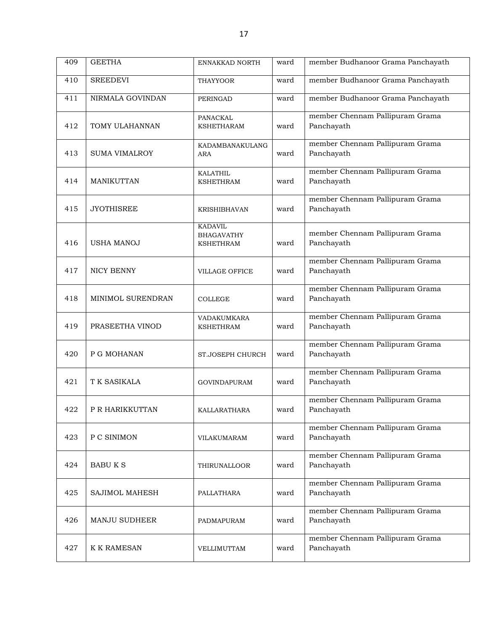| 409 | <b>GEETHA</b>          | ENNAKKAD NORTH                                          | ward | member Budhanoor Grama Panchayath             |
|-----|------------------------|---------------------------------------------------------|------|-----------------------------------------------|
| 410 | <b>SREEDEVI</b>        | <b>THAYYOOR</b>                                         | ward | member Budhanoor Grama Panchayath             |
| 411 | NIRMALA GOVINDAN       | <b>PERINGAD</b>                                         | ward | member Budhanoor Grama Panchayath             |
| 412 | TOMY ULAHANNAN         | PANACKAL<br><b>KSHETHARAM</b>                           | ward | member Chennam Pallipuram Grama<br>Panchayath |
| 413 | <b>SUMA VIMALROY</b>   | <b>KADAMBANAKULANG</b><br>ARA                           | ward | member Chennam Pallipuram Grama<br>Panchayath |
| 414 | MANIKUTTAN             | <b>KALATHIL</b><br><b>KSHETHRAM</b>                     | ward | member Chennam Pallipuram Grama<br>Panchayath |
| 415 | <b>JYOTHISREE</b>      | <b>KRISHIBHAVAN</b>                                     | ward | member Chennam Pallipuram Grama<br>Panchayath |
| 416 | <b>USHA MANOJ</b>      | <b>KADAVIL</b><br><b>BHAGAVATHY</b><br><b>KSHETHRAM</b> | ward | member Chennam Pallipuram Grama<br>Panchayath |
| 417 | NICY BENNY             | <b>VILLAGE OFFICE</b>                                   | ward | member Chennam Pallipuram Grama<br>Panchayath |
| 418 | MINIMOL SURENDRAN      | <b>COLLEGE</b>                                          | ward | member Chennam Pallipuram Grama<br>Panchayath |
| 419 | PRASEETHA VINOD        | VADAKUMKARA<br><b>KSHETHRAM</b>                         | ward | member Chennam Pallipuram Grama<br>Panchayath |
| 420 | P G MOHANAN            | ST.JOSEPH CHURCH                                        | ward | member Chennam Pallipuram Grama<br>Panchayath |
| 421 | T K SASIKALA           | <b>GOVINDAPURAM</b>                                     | ward | member Chennam Pallipuram Grama<br>Panchayath |
| 422 | <b>P R HARIKKUTTAN</b> | KALLARATHARA                                            | ward | member Chennam Pallipuram Grama<br>Panchayath |
| 423 | P C SINIMON            | VILAKUMARAM                                             | ward | member Chennam Pallipuram Grama<br>Panchayath |
| 424 | <b>BABUKS</b>          | THIRUNALLOOR                                            | ward | member Chennam Pallipuram Grama<br>Panchayath |
| 425 | SAJIMOL MAHESH         | PALLATHARA                                              | ward | member Chennam Pallipuram Grama<br>Panchayath |
| 426 | <b>MANJU SUDHEER</b>   | PADMAPURAM                                              | ward | member Chennam Pallipuram Grama<br>Panchayath |
| 427 | K K RAMESAN            | VELLIMUTTAM                                             | ward | member Chennam Pallipuram Grama<br>Panchayath |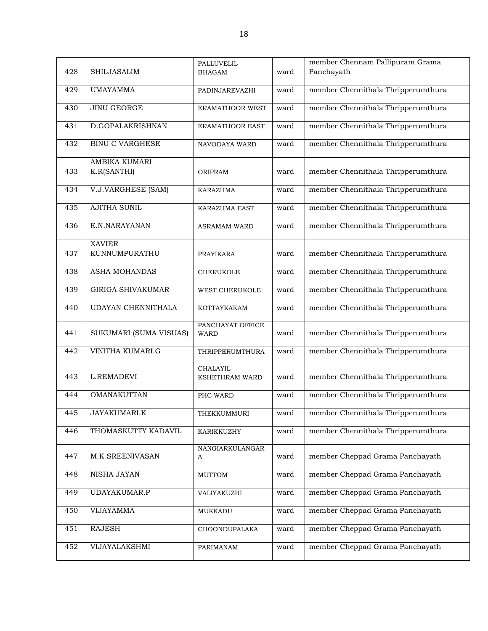|     |                                     | PALLUVELIL                      |      | member Chennam Pallipuram Grama    |
|-----|-------------------------------------|---------------------------------|------|------------------------------------|
| 428 | <b>SHILJASALIM</b>                  | <b>BHAGAM</b>                   | ward | Panchayath                         |
| 429 | <b>UMAYAMMA</b>                     | PADINJAREVAZHI                  | ward | member Chennithala Thripperumthura |
| 430 | <b>JINU GEORGE</b>                  | ERAMATHOOR WEST                 | ward | member Chennithala Thripperumthura |
| 431 | D.GOPALAKRISHNAN                    | <b>ERAMATHOOR EAST</b>          | ward | member Chennithala Thripperumthura |
| 432 | <b>BINU C VARGHESE</b>              | NAVODAYA WARD                   | ward | member Chennithala Thripperumthura |
| 433 | <b>AMBIKA KUMARI</b><br>K.R(SANTHI) | ORIPRAM                         | ward | member Chennithala Thripperumthura |
| 434 | <b>V.J.VARGHESE (SAM)</b>           | <b>KARAZHMA</b>                 | ward | member Chennithala Thripperumthura |
| 435 | <b>AJITHA SUNIL</b>                 | KARAZHMA EAST                   | ward | member Chennithala Thripperumthura |
| 436 | E.N.NARAYANAN                       | <b>ASRAMAM WARD</b>             | ward | member Chennithala Thripperumthura |
| 437 | <b>XAVIER</b><br>KUNNUMPURATHU      | PRAYIKARA                       | ward | member Chennithala Thripperumthura |
| 438 | ASHA MOHANDAS                       | <b>CHERUKOLE</b>                | ward | member Chennithala Thripperumthura |
| 439 | <b>GIRIGA SHIVAKUMAR</b>            | WEST CHERUKOLE                  | ward | member Chennithala Thripperumthura |
| 440 | <b>UDAYAN CHENNITHALA</b>           | KOTTAYKAKAM                     | ward | member Chennithala Thripperumthura |
| 441 | SUKUMARI (SUMA VISUAS)              | PANCHAYAT OFFICE<br><b>WARD</b> | ward | member Chennithala Thripperumthura |
| 442 | VINITHA KUMARI.G                    | THRIPPERUMTHURA                 | ward | member Chennithala Thripperumthura |
| 443 | L.REMADEVI                          | CHALAYIL<br>KSHETHRAM WARD      | ward | member Chennithala Thripperumthura |
| 444 | OMANAKUTTAN                         | PHC WARD                        | ward | member Chennithala Thripperumthura |
| 445 | JAYAKUMARI.K                        | THEKKUMMURI                     | ward | member Chennithala Thripperumthura |
| 446 | THOMASKUTTY KADAVIL                 | KARIKKUZHY                      | ward | member Chennithala Thripperumthura |
| 447 | M.K SREENIVASAN                     | NANGIARKULANGAR<br>A            | ward | member Cheppad Grama Panchayath    |
| 448 | NISHA JAYAN                         | <b>MUTTOM</b>                   | ward | member Cheppad Grama Panchayath    |
| 449 | UDAYAKUMAR.P                        | VALIYAKUZHI                     | ward | member Cheppad Grama Panchayath    |
| 450 | <b>VIJAYAMMA</b>                    | MUKKADU                         | ward | member Cheppad Grama Panchayath    |
| 451 | <b>RAJESH</b>                       | CHOONDUPALAKA                   | ward | member Cheppad Grama Panchayath    |
| 452 | VIJAYALAKSHMI                       | PARIMANAM                       | ward | member Cheppad Grama Panchayath    |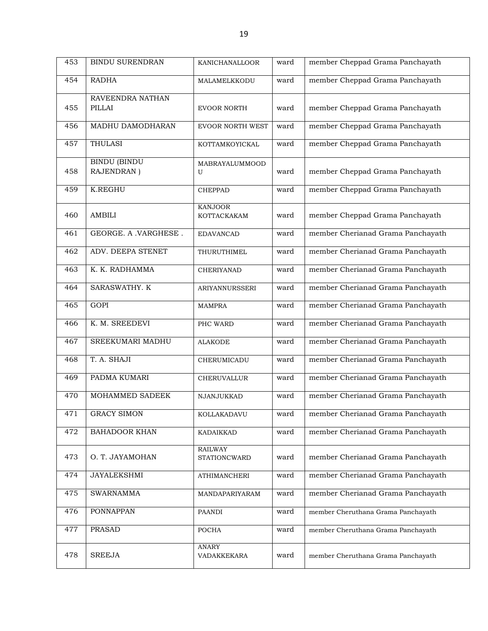| 453 | <b>BINDU SURENDRAN</b> | KANICHANALLOOR                 | ward | member Cheppad Grama Panchayath    |
|-----|------------------------|--------------------------------|------|------------------------------------|
| 454 | <b>RADHA</b>           | MALAMELKKODU                   | ward | member Cheppad Grama Panchayath    |
|     | RAVEENDRA NATHAN       |                                |      |                                    |
| 455 | <b>PILLAI</b>          | <b>EVOOR NORTH</b>             | ward | member Cheppad Grama Panchayath    |
| 456 | MADHU DAMODHARAN       | <b>EVOOR NORTH WEST</b>        | ward | member Cheppad Grama Panchayath    |
| 457 | <b>THULASI</b>         | KOTTAMKOYICKAL                 | ward | member Cheppad Grama Panchayath    |
|     | <b>BINDU (BINDU</b>    | MABRAYALUMMOOD                 |      |                                    |
| 458 | RAJENDRAN)             | U                              | ward | member Cheppad Grama Panchayath    |
| 459 | <b>K.REGHU</b>         | <b>CHEPPAD</b>                 | ward | member Cheppad Grama Panchayath    |
|     |                        | <b>KANJOOR</b>                 |      |                                    |
| 460 | AMBILI                 | KOTTACKAKAM                    | ward | member Cheppad Grama Panchayath    |
| 461 | GEORGE. A .VARGHESE.   | <b>EDAVANCAD</b>               | ward | member Cherianad Grama Panchayath  |
| 462 | ADV. DEEPA STENET      | THURUTHIMEL                    | ward | member Cherianad Grama Panchayath  |
| 463 | K. K. RADHAMMA         | CHERIYANAD                     | ward | member Cherianad Grama Panchayath  |
| 464 | SARASWATHY. K          | <b>ARIYANNURSSERI</b>          | ward | member Cherianad Grama Panchayath  |
| 465 | <b>GOPI</b>            | <b>MAMPRA</b>                  | ward | member Cherianad Grama Panchayath  |
| 466 | K. M. SREEDEVI         | PHC WARD                       | ward | member Cherianad Grama Panchayath  |
| 467 | SREEKUMARI MADHU       | <b>ALAKODE</b>                 | ward | member Cherianad Grama Panchayath  |
| 468 | T. A. SHAJI            | CHERUMICADU                    | ward | member Cherianad Grama Panchayath  |
| 469 | PADMA KUMARI           | <b>CHERUVALLUR</b>             | ward | member Cherianad Grama Panchayath  |
| 470 | MOHAMMED SADEEK        | NJANJUKKAD                     | ward | member Cherianad Grama Panchayath  |
| 471 | <b>GRACY SIMON</b>     | KOLLAKADAVU                    | ward | member Cherianad Grama Panchayath  |
| 472 | <b>BAHADOOR KHAN</b>   | <b>KADAIKKAD</b>               | ward | member Cherianad Grama Panchayath  |
| 473 | O. T. JAYAMOHAN        | <b>RAILWAY</b><br>STATIONCWARD | ward | member Cherianad Grama Panchayath  |
| 474 | <b>JAYALEKSHMI</b>     | <b>ATHIMANCHERI</b>            | ward | member Cherianad Grama Panchayath  |
| 475 | <b>SWARNAMMA</b>       | MANDAPARIYARAM                 | ward | member Cherianad Grama Panchayath  |
| 476 | <b>PONNAPPAN</b>       | PAANDI                         | ward | member Cheruthana Grama Panchayath |
| 477 | <b>PRASAD</b>          | POCHA                          | ward | member Cheruthana Grama Panchayath |
| 478 | <b>SREEJA</b>          | <b>ANARY</b><br>VADAKKEKARA    | ward | member Cheruthana Grama Panchayath |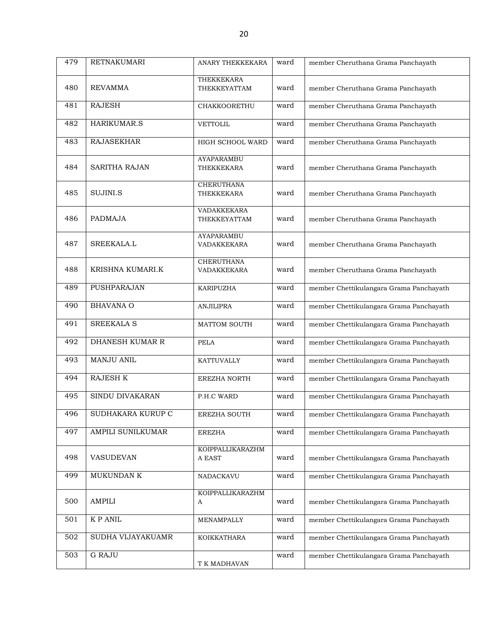| 479 | <b>RETNAKUMARI</b>   | ANARY THEKKEKARA                        | ward | member Cheruthana Grama Panchayath      |
|-----|----------------------|-----------------------------------------|------|-----------------------------------------|
|     |                      | THEKKEKARA                              |      |                                         |
| 480 | <b>REVAMMA</b>       | THEKKEYATTAM                            | ward | member Cheruthana Grama Panchayath      |
| 481 | <b>RAJESH</b>        | <b>CHAKKOORETHU</b>                     | ward | member Cheruthana Grama Panchayath      |
| 482 | HARIKUMAR.S          | VETTOLIL                                | ward | member Cheruthana Grama Panchayath      |
| 483 | <b>RAJASEKHAR</b>    | HIGH SCHOOL WARD                        | ward | member Cheruthana Grama Panchayath      |
| 484 | <b>SARITHA RAJAN</b> | <b>AYAPARAMBU</b><br>THEKKEKARA         | ward | member Cheruthana Grama Panchayath      |
| 485 | SUJINI.S             | <b>CHERUTHANA</b><br>THEKKEKARA         | ward | member Cheruthana Grama Panchayath      |
| 486 | PADMAJA              | VADAKKEKARA<br>THEKKEYATTAM             | ward | member Cheruthana Grama Panchayath      |
| 487 | SREEKALA.L           | <b>AYAPARAMBU</b><br>VADAKKEKARA        | ward | member Cheruthana Grama Panchayath      |
| 488 | KRISHNA KUMARI.K     | <b>CHERUTHANA</b><br><b>VADAKKEKARA</b> | ward | member Cheruthana Grama Panchayath      |
| 489 | PUSHPARAJAN          | <b>KARIPUZHA</b>                        | ward | member Chettikulangara Grama Panchayath |
| 490 | <b>BHAVANA O</b>     | <b>ANJILIPRA</b>                        | ward | member Chettikulangara Grama Panchayath |
| 491 | <b>SREEKALA S</b>    | MATTOM SOUTH                            | ward | member Chettikulangara Grama Panchayath |
| 492 | DHANESH KUMAR R      | <b>PELA</b>                             | ward | member Chettikulangara Grama Panchayath |
| 493 | MANJU ANIL           | KATTUVALLY                              | ward | member Chettikulangara Grama Panchayath |
| 494 | RAJESH K             | <b>EREZHA NORTH</b>                     | ward | member Chettikulangara Grama Panchayath |
| 495 | SINDU DIVAKARAN      | P.H.C WARD                              | ward | member Chettikulangara Grama Panchayath |
| 496 | SUDHAKARA KURUP C    | EREZHA SOUTH                            | ward | member Chettikulangara Grama Panchayath |
| 497 | AMPILI SUNILKUMAR    | <b>EREZHA</b>                           | ward | member Chettikulangara Grama Panchayath |
| 498 | VASUDEVAN            | KOIPPALLIKARAZHM<br>A EAST              | ward | member Chettikulangara Grama Panchayath |
| 499 | MUKUNDAN K           | NADACKAVU                               | ward | member Chettikulangara Grama Panchayath |
| 500 | AMPILI               | KOIPPALLIKARAZHM<br>A                   | ward | member Chettikulangara Grama Panchayath |
| 501 | K P ANIL             | MENAMPALLY                              | ward | member Chettikulangara Grama Panchayath |
| 502 | SUDHA VIJAYAKUAMR    | KOIKKATHARA                             | ward | member Chettikulangara Grama Panchayath |
| 503 | <b>G RAJU</b>        | T K MADHAVAN                            | ward | member Chettikulangara Grama Panchayath |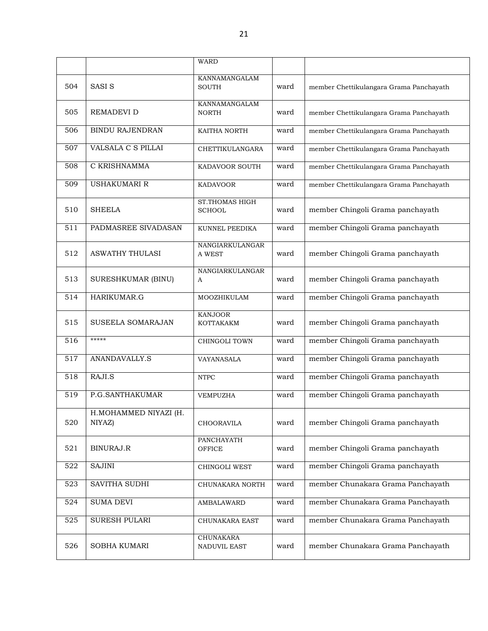|     |                                 | WARD                             |      |                                         |
|-----|---------------------------------|----------------------------------|------|-----------------------------------------|
| 504 | <b>SASIS</b>                    | KANNAMANGALAM<br><b>SOUTH</b>    | ward | member Chettikulangara Grama Panchayath |
| 505 | <b>REMADEVI D</b>               | KANNAMANGALAM<br><b>NORTH</b>    | ward | member Chettikulangara Grama Panchayath |
| 506 | <b>BINDU RAJENDRAN</b>          | KAITHA NORTH                     | ward | member Chettikulangara Grama Panchayath |
| 507 | VALSALA C S PILLAI              | CHETTIKULANGARA                  | ward | member Chettikulangara Grama Panchayath |
| 508 | C KRISHNAMMA                    | KADAVOOR SOUTH                   | ward | member Chettikulangara Grama Panchayath |
| 509 | <b>USHAKUMARI R</b>             | <b>KADAVOOR</b>                  | ward | member Chettikulangara Grama Panchayath |
| 510 | <b>SHEELA</b>                   | ST.THOMAS HIGH<br><b>SCHOOL</b>  | ward | member Chingoli Grama panchayath        |
| 511 | PADMASREE SIVADASAN             | KUNNEL PEEDIKA                   | ward | member Chingoli Grama panchayath        |
| 512 | <b>ASWATHY THULASI</b>          | NANGIARKULANGAR<br>A WEST        | ward | member Chingoli Grama panchayath        |
| 513 | SURESHKUMAR (BINU)              | NANGIARKULANGAR<br>A             | ward | member Chingoli Grama panchayath        |
| 514 | HARIKUMAR.G                     | MOOZHIKULAM                      | ward | member Chingoli Grama panchayath        |
| 515 | SUSEELA SOMARAJAN               | <b>KANJOOR</b><br>KOTTAKAKM      | ward | member Chingoli Grama panchayath        |
| 516 | *****                           | CHINGOLI TOWN                    | ward | member Chingoli Grama panchayath        |
| 517 | ANANDAVALLY.S                   | VAYANASALA                       | ward | member Chingoli Grama panchayath        |
| 518 | RAJI.S                          | <b>NTPC</b>                      | ward | member Chingoli Grama panchayath        |
| 519 | P.G.SANTHAKUMAR                 | VEMPUZHA                         | ward | member Chingoli Grama panchayath        |
| 520 | H.MOHAMMED NIYAZI (H.<br>NIYAZ) | CHOORAVILA                       | ward | member Chingoli Grama panchayath        |
| 521 | BINURAJ.R                       | PANCHAYATH<br>OFFICE             | ward | member Chingoli Grama panchayath        |
| 522 | <b>SAJINI</b>                   | CHINGOLI WEST                    | ward | member Chingoli Grama panchayath        |
| 523 | SAVITHA SUDHI                   | CHUNAKARA NORTH                  | ward | member Chunakara Grama Panchayath       |
| 524 | <b>SUMA DEVI</b>                | AMBALAWARD                       | ward | member Chunakara Grama Panchayath       |
| 525 | <b>SURESH PULARI</b>            | CHUNAKARA EAST                   | ward | member Chunakara Grama Panchayath       |
| 526 | SOBHA KUMARI                    | <b>CHUNAKARA</b><br>NADUVIL EAST | ward | member Chunakara Grama Panchayath       |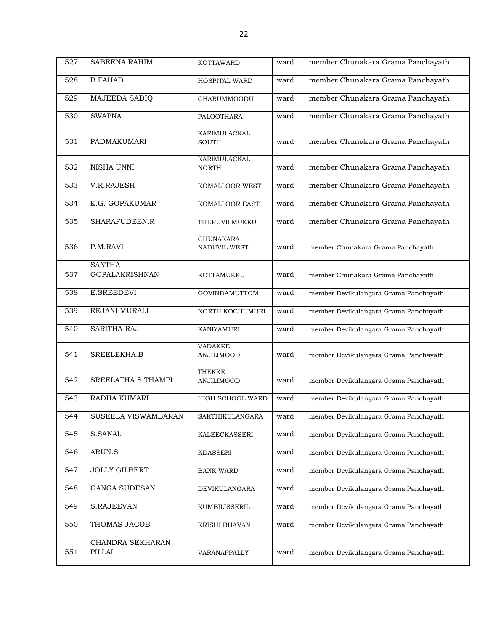| 527 | <b>SABEENA RAHIM</b>                   | <b>KOTTAWARD</b>                    | ward | member Chunakara Grama Panchayath     |
|-----|----------------------------------------|-------------------------------------|------|---------------------------------------|
| 528 | <b>B.FAHAD</b>                         | HOSPITAL WARD                       | ward | member Chunakara Grama Panchayath     |
| 529 | MAJEEDA SADIQ                          | CHARUMMOODU                         | ward | member Chunakara Grama Panchayath     |
| 530 | <b>SWAPNA</b>                          | PALOOTHARA                          | ward | member Chunakara Grama Panchayath     |
| 531 | PADMAKUMARI                            | KARIMULACKAL<br><b>SOUTH</b>        | ward | member Chunakara Grama Panchayath     |
| 532 | NISHA UNNI                             | KARIMULACKAL<br><b>NORTH</b>        | ward | member Chunakara Grama Panchayath     |
| 533 | V.R.RAJESH                             | KOMALLOOR WEST                      | ward | member Chunakara Grama Panchayath     |
| 534 | K.G. GOPAKUMAR                         | KOMALLOOR EAST                      | ward | member Chunakara Grama Panchayath     |
| 535 | SHARAFUDEEN.R                          | THERUVILMUKKU                       | ward | member Chunakara Grama Panchayath     |
| 536 | P.M.RAVI                               | <b>CHUNAKARA</b><br>NADUVIL WEST    | ward | member Chunakara Grama Panchayath     |
| 537 | <b>SANTHA</b><br><b>GOPALAKRISHNAN</b> | KOTTAMUKKU                          | ward | member Chunakara Grama Panchayath     |
| 538 | <b>E.SREEDEVI</b>                      | <b>GOVINDAMUTTOM</b>                | ward | member Devikulangara Grama Panchayath |
| 539 | REJANI MURALI                          | NORTH KOCHUMURI                     | ward | member Devikulangara Grama Panchayath |
| 540 | <b>SARITHA RAJ</b>                     | KANIYAMURI                          | ward | member Devikulangara Grama Panchayath |
| 541 | SREELEKHA.B                            | <b>VADAKKE</b><br><b>ANJILIMOOD</b> | ward | member Devikulangara Grama Panchayath |
| 542 | SREELATHA.S THAMPI                     | <b>THEKKE</b><br><b>ANJILIMOOD</b>  | ward | member Devikulangara Grama Panchayath |
| 543 | <b>RADHA KUMARI</b>                    | HIGH SCHOOL WARD                    | ward | member Devikulangara Grama Panchayath |
| 544 | SUSEELA VISWAMBARAN                    | SAKTHIKULANGARA                     | ward | member Devikulangara Grama Panchayath |
| 545 | S.SANAL                                | KALEECKASSERI                       | ward | member Devikulangara Grama Panchayath |
| 546 | ARUN.S                                 | <b>KDASSERI</b>                     | ward | member Devikulangara Grama Panchayath |
| 547 | <b>JOLLY GILBERT</b>                   | <b>BANK WARD</b>                    | ward | member Devikulangara Grama Panchayath |
| 548 | <b>GANGA SUDESAN</b>                   | <b>DEVIKULANGARA</b>                | ward | member Devikulangara Grama Panchayath |
| 549 | <b>S.RAJEEVAN</b>                      | KUMBILISSERIL                       | ward | member Devikulangara Grama Panchayath |
| 550 | THOMAS JACOB                           | KRISHI BHAVAN                       | ward | member Devikulangara Grama Panchayath |
| 551 | CHANDRA SEKHARAN<br>PILLAI             | VARANAPPALLY                        | ward | member Devikulangara Grama Panchayath |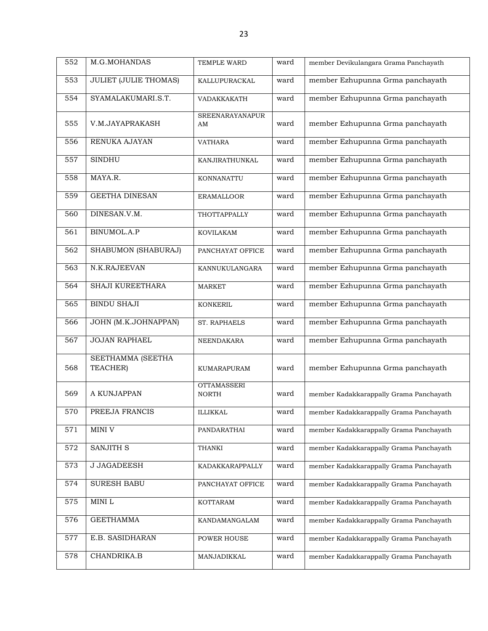| 552              | M.G.MOHANDAS                  | TEMPLE WARD                        | ward | member Devikulangara Grama Panchayath   |
|------------------|-------------------------------|------------------------------------|------|-----------------------------------------|
| 553              | <b>JULIET (JULIE THOMAS)</b>  | KALLUPURACKAL                      | ward | member Ezhupunna Grma panchayath        |
| 554              | SYAMALAKUMARI.S.T.            | VADAKKAKATH                        | ward | member Ezhupunna Grma panchayath        |
| 555              | V.M.JAYAPRAKASH               | <b>SREENARAYANAPUR</b><br>AM       | ward | member Ezhupunna Grma panchayath        |
| 556              | RENUKA AJAYAN                 | <b>VATHARA</b>                     | ward | member Ezhupunna Grma panchayath        |
| 557              | <b>SINDHU</b>                 | KANJIRATHUNKAL                     | ward | member Ezhupunna Grma panchayath        |
| 558              | MAYA.R.                       | KONNANATTU                         | ward | member Ezhupunna Grma panchayath        |
| 559              | <b>GEETHA DINESAN</b>         | <b>ERAMALLOOR</b>                  | ward | member Ezhupunna Grma panchayath        |
| 560              | DINESAN.V.M.                  | THOTTAPPALLY                       | ward | member Ezhupunna Grma panchayath        |
| 561              | BINUMOL.A.P                   | <b>KOVILAKAM</b>                   | ward | member Ezhupunna Grma panchayath        |
| 562              | SHABUMON (SHABURAJ)           | PANCHAYAT OFFICE                   | ward | member Ezhupunna Grma panchayath        |
| 563              | N.K.RAJEEVAN                  | KANNUKULANGARA                     | ward | member Ezhupunna Grma panchayath        |
| 564              | SHAJI KUREETHARA              | <b>MARKET</b>                      | ward | member Ezhupunna Grma panchayath        |
| $\overline{565}$ | <b>BINDU SHAJI</b>            | <b>KONKERIL</b>                    | ward | member Ezhupunna Grma panchayath        |
| 566              | <b>JOHN (M.K.JOHNAPPAN)</b>   | ST. RAPHAELS                       | ward | member Ezhupunna Grma panchayath        |
| 567              | <b>JOJAN RAPHAEL</b>          | NEENDAKARA                         | ward | member Ezhupunna Grma panchayath        |
| 568              | SEETHAMMA (SEETHA<br>TEACHER) | KUMARAPURAM                        | ward | member Ezhupunna Grma panchayath        |
| 569              | A KUNJAPPAN                   | <b>OTTAMASSERI</b><br><b>NORTH</b> | ward | member Kadakkarappally Grama Panchayath |
| 570              | PREEJA FRANCIS                | ILLIKKAL                           | ward | member Kadakkarappally Grama Panchayath |
| 571              | MINI V                        | PANDARATHAI                        | ward | member Kadakkarappally Grama Panchayath |
| 572              | SANJITH S                     | <b>THANKI</b>                      | ward | member Kadakkarappally Grama Panchayath |
| 573              | <b>J JAGADEESH</b>            | KADAKKARAPPALLY                    | ward | member Kadakkarappally Grama Panchayath |
| 574              | <b>SURESH BABU</b>            | PANCHAYAT OFFICE                   | ward | member Kadakkarappally Grama Panchayath |
| 575              | $\texttt{MINI}$ L             | <b>KOTTARAM</b>                    | ward | member Kadakkarappally Grama Panchayath |
| 576              | <b>GEETHAMMA</b>              | KANDAMANGALAM                      | ward | member Kadakkarappally Grama Panchayath |
| 577              | E.B. SASIDHARAN               | POWER HOUSE                        | ward | member Kadakkarappally Grama Panchayath |
| 578              | CHANDRIKA.B                   | MANJADIKKAL                        | ward | member Kadakkarappally Grama Panchayath |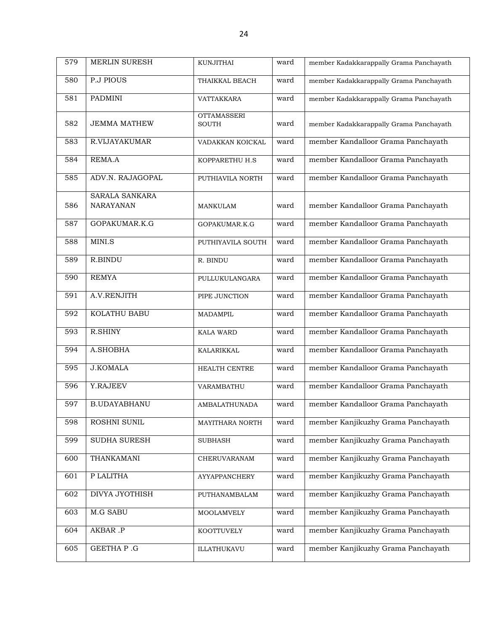| 579 | <b>MERLIN SURESH</b>                      | <b>KUNJITHAI</b>                   | ward | member Kadakkarappally Grama Panchayath |
|-----|-------------------------------------------|------------------------------------|------|-----------------------------------------|
| 580 | <b>P.J PIOUS</b>                          | THAIKKAL BEACH                     | ward | member Kadakkarappally Grama Panchayath |
| 581 | <b>PADMINI</b>                            | VATTAKKARA                         | ward | member Kadakkarappally Grama Panchayath |
| 582 | <b>JEMMA MATHEW</b>                       | <b>OTTAMASSERI</b><br><b>SOUTH</b> | ward | member Kadakkarappally Grama Panchayath |
| 583 | R.VIJAYAKUMAR                             | VADAKKAN KOICKAL                   | ward | member Kandalloor Grama Panchayath      |
| 584 | REMA.A                                    | KOPPARETHU H.S                     | ward | member Kandalloor Grama Panchayath      |
| 585 | ADV.N. RAJAGOPAL                          | PUTHIAVILA NORTH                   | ward | member Kandalloor Grama Panchayath      |
| 586 | <b>SARALA SANKARA</b><br><b>NARAYANAN</b> | MANKULAM                           | ward | member Kandalloor Grama Panchayath      |
| 587 | GOPAKUMAR.K.G                             | GOPAKUMAR.K.G                      | ward | member Kandalloor Grama Panchayath      |
| 588 | MINI.S                                    | PUTHIYAVILA SOUTH                  | ward | member Kandalloor Grama Panchayath      |
| 589 | <b>R.BINDU</b>                            | R. BINDU                           | ward | member Kandalloor Grama Panchayath      |
| 590 | <b>REMYA</b>                              | PULLUKULANGARA                     | ward | member Kandalloor Grama Panchayath      |
| 591 | A.V.RENJITH                               | PIPE JUNCTION                      | ward | member Kandalloor Grama Panchayath      |
| 592 | KOLATHU BABU                              | <b>MADAMPIL</b>                    | ward | member Kandalloor Grama Panchayath      |
| 593 | R.SHINY                                   | <b>KALA WARD</b>                   | ward | member Kandalloor Grama Panchayath      |
| 594 | A.SHOBHA                                  | KALARIKKAL                         | ward | member Kandalloor Grama Panchayath      |
| 595 | <b>J.KOMALA</b>                           | HEALTH CENTRE                      | ward | member Kandalloor Grama Panchayath      |
| 596 | Y.RAJEEV                                  | VARAMBATHU                         | ward | member Kandalloor Grama Panchayath      |
| 597 | <b>B.UDAYABHANU</b>                       | <b>AMBALATHUNADA</b>               | ward | member Kandalloor Grama Panchayath      |
| 598 | ROSHNI SUNIL                              | MAYITHARA NORTH                    | ward | member Kanjikuzhy Grama Panchayath      |
| 599 | SUDHA SURESH                              | <b>SUBHASH</b>                     | ward | member Kanjikuzhy Grama Panchayath      |
| 600 | THANKAMANI                                | CHERUVARANAM                       | ward | member Kanjikuzhy Grama Panchayath      |
| 601 | P LALITHA                                 | AYYAPPANCHERY                      | ward | member Kanjikuzhy Grama Panchayath      |
| 602 | <b>DIVYA JYOTHISH</b>                     | PUTHANAMBALAM                      | ward | member Kanjikuzhy Grama Panchayath      |
| 603 | <b>M.G SABU</b>                           | MOOLAMVELY                         | ward | member Kanjikuzhy Grama Panchayath      |
| 604 | AKBAR .P                                  | KOOTTUVELY                         | ward | member Kanjikuzhy Grama Panchayath      |
| 605 | GEETHA P.G                                | ILLATHUKAVU                        | ward | member Kanjikuzhy Grama Panchayath      |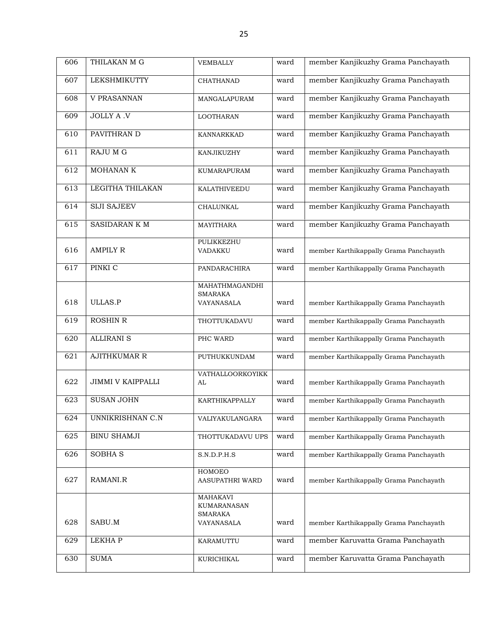| 606 | THILAKAN M G             | <b>VEMBALLY</b>                                  | ward | member Kanjikuzhy Grama Panchayath     |
|-----|--------------------------|--------------------------------------------------|------|----------------------------------------|
| 607 | <b>LEKSHMIKUTTY</b>      | <b>CHATHANAD</b>                                 | ward | member Kanjikuzhy Grama Panchayath     |
| 608 | V PRASANNAN              | MANGALAPURAM                                     | ward | member Kanjikuzhy Grama Panchayath     |
| 609 | <b>JOLLY A .V</b>        | <b>LOOTHARAN</b>                                 | ward | member Kanjikuzhy Grama Panchayath     |
| 610 | PAVITHRAN D              | KANNARKKAD                                       | ward | member Kanjikuzhy Grama Panchayath     |
| 611 | <b>RAJU M G</b>          | KANJIKUZHY                                       | ward | member Kanjikuzhy Grama Panchayath     |
| 612 | <b>MOHANANK</b>          | <b>KUMARAPURAM</b>                               | ward | member Kanjikuzhy Grama Panchayath     |
| 613 | LEGITHA THILAKAN         | KALATHIVEEDU                                     | ward | member Kanjikuzhy Grama Panchayath     |
| 614 | <b>SIJI SAJEEV</b>       | CHALUNKAL                                        | ward | member Kanjikuzhy Grama Panchayath     |
| 615 | SASIDARAN K M            | <b>MAYITHARA</b>                                 | ward | member Kanjikuzhy Grama Panchayath     |
| 616 | <b>AMPILY R</b>          | PULIKKEZHU<br>VADAKKU                            | ward | member Karthikappally Grama Panchayath |
| 617 | PINKI C                  | PANDARACHIRA                                     | ward | member Karthikappally Grama Panchayath |
|     |                          | MAHATHMAGANDHI<br><b>SMARAKA</b>                 |      |                                        |
| 618 | <b>ULLAS.P</b>           | VAYANASALA                                       | ward | member Karthikappally Grama Panchayath |
| 619 | <b>ROSHIN R</b>          | THOTTUKADAVU                                     | ward | member Karthikappally Grama Panchayath |
| 620 | <b>ALLIRANI S</b>        | PHC WARD                                         | ward | member Karthikappally Grama Panchayath |
| 621 | <b>AJITHKUMAR R</b>      | PUTHUKKUNDAM                                     | ward | member Karthikappally Grama Panchayath |
| 622 | <b>JIMMI V KAIPPALLI</b> | VATHALLOORKOYIKK<br>AL                           | ward | member Karthikappally Grama Panchayath |
| 623 | <b>SUSAN JOHN</b>        | KARTHIKAPPALLY                                   | ward | member Karthikappally Grama Panchayath |
| 624 | UNNIKRISHNAN C.N         | VALIYAKULANGARA                                  | ward | member Karthikappally Grama Panchayath |
| 625 | <b>BINU SHAMJI</b>       | THOTTUKADAVU UPS                                 | ward | member Karthikappally Grama Panchayath |
| 626 | <b>SOBHA S</b>           | S.N.D.P.H.S                                      | ward | member Karthikappally Grama Panchayath |
| 627 | RAMANI.R                 | HOMOEO<br><b>AASUPATHRI WARD</b>                 | ward | member Karthikappally Grama Panchayath |
|     |                          | <b>MAHAKAVI</b><br>KUMARANASAN<br><b>SMARAKA</b> |      |                                        |
| 628 | SABU.M                   | VAYANASALA                                       | ward | member Karthikappally Grama Panchayath |
| 629 | LEKHA P                  | KARAMUTTU                                        | ward | member Karuvatta Grama Panchayath      |
| 630 | <b>SUMA</b>              | KURICHIKAL                                       | ward | member Karuvatta Grama Panchayath      |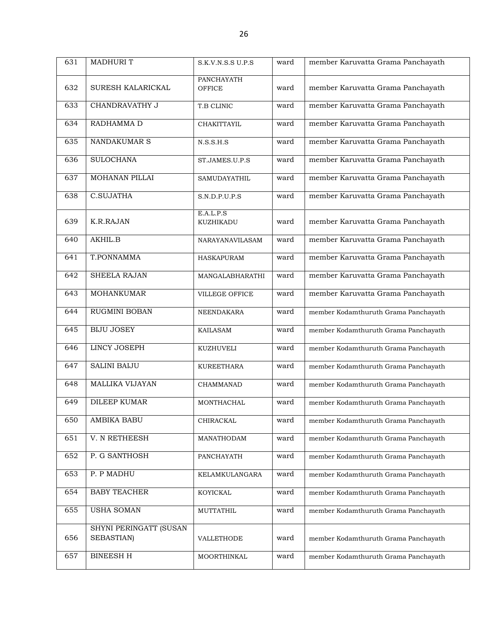| 631 | <b>MADHURIT</b>                      | S.K.V.N.S.S U.P.S      | ward | member Karuvatta Grama Panchayath    |
|-----|--------------------------------------|------------------------|------|--------------------------------------|
|     |                                      | <b>PANCHAYATH</b>      |      |                                      |
| 632 | SURESH KALARICKAL                    | <b>OFFICE</b>          | ward | member Karuvatta Grama Panchayath    |
| 633 | <b>CHANDRAVATHY J</b>                | T.B CLINIC             | ward | member Karuvatta Grama Panchayath    |
| 634 | RADHAMMA D                           | CHAKITTAYIL            | ward | member Karuvatta Grama Panchayath    |
| 635 | NANDAKUMAR S                         | N.S.S.H.S              | ward | member Karuvatta Grama Panchayath    |
| 636 | <b>SULOCHANA</b>                     | ST.JAMES.U.P.S         | ward | member Karuvatta Grama Panchayath    |
| 637 | MOHANAN PILLAI                       | SAMUDAYATHIL           | ward | member Karuvatta Grama Panchayath    |
| 638 | C.SUJATHA                            | S.N.D.P.U.P.S          | ward | member Karuvatta Grama Panchayath    |
| 639 | K.R.RAJAN                            | E.A.L.P.S<br>KUZHIKADU | ward | member Karuvatta Grama Panchayath    |
| 640 | AKHIL.B                              | NARAYANAVILASAM        | ward | member Karuvatta Grama Panchayath    |
| 641 | T.PONNAMMA                           | <b>HASKAPURAM</b>      | ward | member Karuvatta Grama Panchayath    |
| 642 | <b>SHEELA RAJAN</b>                  | MANGALABHARATHI        | ward | member Karuvatta Grama Panchayath    |
| 643 | <b>MOHANKUMAR</b>                    | VILLEGE OFFICE         | ward | member Karuvatta Grama Panchayath    |
| 644 | RUGMINI BOBAN                        | NEENDAKARA             | ward | member Kodamthuruth Grama Panchayath |
| 645 | <b>BIJU JOSEY</b>                    | <b>KAILASAM</b>        | ward | member Kodamthuruth Grama Panchayath |
| 646 | <b>LINCY JOSEPH</b>                  | KUZHUVELI              | ward | member Kodamthuruth Grama Panchayath |
| 647 | <b>SALINI BAIJU</b>                  | <b>KUREETHARA</b>      | ward | member Kodamthuruth Grama Panchayath |
| 648 | <b>MALLIKA VIJAYAN</b>               | <b>CHAMMANAD</b>       | ward | member Kodamthuruth Grama Panchayath |
| 649 | <b>DILEEP KUMAR</b>                  | MONTHACHAL             | ward | member Kodamthuruth Grama Panchayath |
| 650 | AMBIKA BABU                          | CHIRACKAL              | ward | member Kodamthuruth Grama Panchayath |
| 651 | V. N RETHEESH                        | MANATHODAM             | ward | member Kodamthuruth Grama Panchayath |
| 652 | P. G SANTHOSH                        | PANCHAYATH             | ward | member Kodamthuruth Grama Panchayath |
| 653 | P. P MADHU                           | KELAMKULANGARA         | ward | member Kodamthuruth Grama Panchayath |
| 654 | <b>BABY TEACHER</b>                  | KOYICKAL               | ward | member Kodamthuruth Grama Panchayath |
| 655 | <b>USHA SOMAN</b>                    | MUTTATHIL              | ward | member Kodamthuruth Grama Panchayath |
| 656 | SHYNI PERINGATT (SUSAN<br>SEBASTIAN) | VALLETHODE             | ward | member Kodamthuruth Grama Panchayath |
| 657 | <b>BINEESH H</b>                     | MOORTHINKAL            | ward | member Kodamthuruth Grama Panchayath |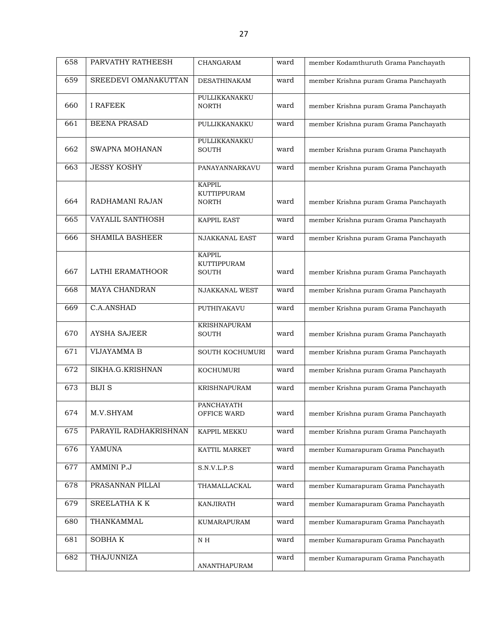| 658 | PARVATHY RATHEESH      | <b>CHANGARAM</b>                                    | ward | member Kodamthuruth Grama Panchayath  |
|-----|------------------------|-----------------------------------------------------|------|---------------------------------------|
| 659 | SREEDEVI OMANAKUTTAN   | <b>DESATHINAKAM</b>                                 | ward | member Krishna puram Grama Panchayath |
| 660 | <b>I RAFEEK</b>        | PULLIKKANAKKU<br><b>NORTH</b>                       | ward | member Krishna puram Grama Panchayath |
| 661 | <b>BEENA PRASAD</b>    | PULLIKKANAKKU                                       | ward | member Krishna puram Grama Panchayath |
| 662 | SWAPNA MOHANAN         | PULLIKKANAKKU<br><b>SOUTH</b>                       | ward | member Krishna puram Grama Panchayath |
| 663 | <b>JESSY KOSHY</b>     | PANAYANNARKAVU                                      | ward | member Krishna puram Grama Panchayath |
| 664 | RADHAMANI RAJAN        | <b>KAPPIL</b><br>KUTTIPPURAM<br><b>NORTH</b>        | ward | member Krishna puram Grama Panchayath |
| 665 | VAYALIL SANTHOSH       | <b>KAPPIL EAST</b>                                  | ward | member Krishna puram Grama Panchayath |
| 666 | <b>SHAMILA BASHEER</b> | <b>NJAKKANAL EAST</b>                               | ward | member Krishna puram Grama Panchayath |
| 667 | LATHI ERAMATHOOR       | <b>KAPPIL</b><br><b>KUTTIPPURAM</b><br><b>SOUTH</b> | ward | member Krishna puram Grama Panchayath |
| 668 | <b>MAYA CHANDRAN</b>   | NJAKKANAL WEST                                      | ward | member Krishna puram Grama Panchayath |
| 669 | C.A.ANSHAD             | PUTHIYAKAVU                                         | ward | member Krishna puram Grama Panchayath |
| 670 | <b>AYSHA SAJEER</b>    | <b>KRISHNAPURAM</b><br><b>SOUTH</b>                 | ward | member Krishna puram Grama Panchayath |
| 671 | <b>VIJAYAMMA B</b>     | SOUTH KOCHUMURI                                     | ward | member Krishna puram Grama Panchayath |
| 672 | SIKHA.G.KRISHNAN       | KOCHUMURI                                           | ward | member Krishna puram Grama Panchayath |
| 673 | <b>BIJI S</b>          | <b>KRISHNAPURAM</b>                                 | ward | member Krishna puram Grama Panchayath |
| 674 | M.V.SHYAM              | PANCHAYATH<br>OFFICE WARD                           | ward | member Krishna puram Grama Panchayath |
| 675 | PARAYIL RADHAKRISHNAN  | KAPPIL MEKKU                                        | ward | member Krishna puram Grama Panchayath |
| 676 | <b>YAMUNA</b>          | KATTIL MARKET                                       | ward | member Kumarapuram Grama Panchayath   |
| 677 | <b>AMMINI P.J</b>      | S.N.V.L.P.S                                         | ward | member Kumarapuram Grama Panchayath   |
| 678 | PRASANNAN PILLAI       | THAMALLACKAL                                        | ward | member Kumarapuram Grama Panchayath   |
| 679 | SREELATHA K K          | KANJIRATH                                           | ward | member Kumarapuram Grama Panchayath   |
| 680 | THANKAMMAL             | KUMARAPURAM                                         | ward | member Kumarapuram Grama Panchayath   |
| 681 | SOBHAK                 | N H                                                 | ward | member Kumarapuram Grama Panchayath   |
| 682 | THAJUNNIZA             | ANANTHAPURAM                                        | ward | member Kumarapuram Grama Panchayath   |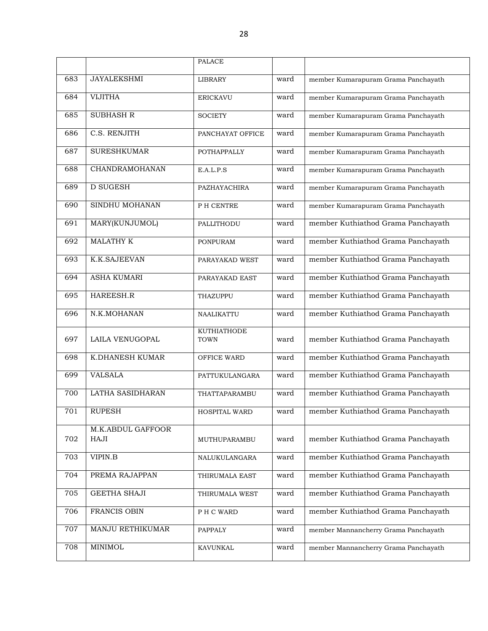|     |                           | <b>PALACE</b>              |      |                                      |
|-----|---------------------------|----------------------------|------|--------------------------------------|
| 683 | <b>JAYALEKSHMI</b>        | LIBRARY                    | ward | member Kumarapuram Grama Panchayath  |
| 684 | <b>VIJITHA</b>            | <b>ERICKAVU</b>            | ward | member Kumarapuram Grama Panchayath  |
| 685 | <b>SUBHASH R</b>          | <b>SOCIETY</b>             | ward | member Kumarapuram Grama Panchayath  |
| 686 | C.S. RENJITH              | PANCHAYAT OFFICE           | ward | member Kumarapuram Grama Panchayath  |
| 687 | <b>SURESHKUMAR</b>        | <b>POTHAPPALLY</b>         | ward | member Kumarapuram Grama Panchayath  |
| 688 | CHANDRAMOHANAN            | E.A.L.P.S                  | ward | member Kumarapuram Grama Panchayath  |
| 689 | <b>D SUGESH</b>           | PAZHAYACHIRA               | ward | member Kumarapuram Grama Panchayath  |
| 690 | SINDHU MOHANAN            | P H CENTRE                 | ward | member Kumarapuram Grama Panchayath  |
| 691 | MARY(KUNJUMOL)            | PALLITHODU                 | ward | member Kuthiathod Grama Panchayath   |
| 692 | <b>MALATHY K</b>          | <b>PONPURAM</b>            | ward | member Kuthiathod Grama Panchayath   |
| 693 | K.K.SAJEEVAN              | PARAYAKAD WEST             | ward | member Kuthiathod Grama Panchayath   |
| 694 | <b>ASHA KUMARI</b>        | PARAYAKAD EAST             | ward | member Kuthiathod Grama Panchayath   |
| 695 | HAREESH.R                 | THAZUPPU                   | ward | member Kuthiathod Grama Panchayath   |
| 696 | N.K.MOHANAN               | NAALIKATTU                 | ward | member Kuthiathod Grama Panchayath   |
| 697 | LAILA VENUGOPAL           | KUTHIATHODE<br><b>TOWN</b> | ward | member Kuthiathod Grama Panchayath   |
| 698 | K.DHANESH KUMAR           | OFFICE WARD                | ward | member Kuthiathod Grama Panchayath   |
| 699 | <b>VALSALA</b>            | PATTUKULANGARA             | ward | member Kuthiathod Grama Panchayath   |
| 700 | LATHA SASIDHARAN          | THATTAPARAMBU              | ward | member Kuthiathod Grama Panchayath   |
| 701 | <b>RUPESH</b>             | <b>HOSPITAL WARD</b>       | ward | member Kuthiathod Grama Panchayath   |
| 702 | M.K.ABDUL GAFFOOR<br>HAJI | MUTHUPARAMBU               | ward | member Kuthiathod Grama Panchayath   |
| 703 | <b>VIPIN.B</b>            | NALUKULANGARA              | ward | member Kuthiathod Grama Panchayath   |
| 704 | PREMA RAJAPPAN            | THIRUMALA EAST             | ward | member Kuthiathod Grama Panchayath   |
| 705 | <b>GEETHA SHAJI</b>       | THIRUMALA WEST             | ward | member Kuthiathod Grama Panchayath   |
| 706 | FRANCIS OBIN              | PH C WARD                  | ward | member Kuthiathod Grama Panchayath   |
| 707 | MANJU RETHIKUMAR          | PAPPALY                    | ward | member Mannancherry Grama Panchayath |
| 708 | MINIMOL                   | <b>KAVUNKAL</b>            | ward | member Mannancherry Grama Panchayath |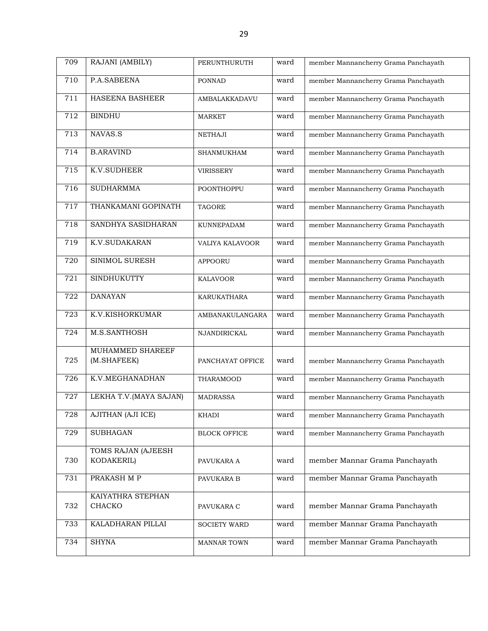| 709 | RAJANI (AMBILY)                  | PERUNTHURUTH        | ward | member Mannancherry Grama Panchayath |
|-----|----------------------------------|---------------------|------|--------------------------------------|
| 710 | P.A.SABEENA                      | <b>PONNAD</b>       | ward | member Mannancherry Grama Panchayath |
| 711 | HASEENA BASHEER                  | AMBALAKKADAVU       | ward | member Mannancherry Grama Panchayath |
| 712 | <b>BINDHU</b>                    | <b>MARKET</b>       | ward | member Mannancherry Grama Panchayath |
| 713 | NAVAS.S                          | <b>NETHAJI</b>      | ward | member Mannancherry Grama Panchayath |
| 714 | <b>B.ARAVIND</b>                 | SHANMUKHAM          | ward | member Mannancherry Grama Panchayath |
| 715 | <b>K.V.SUDHEER</b>               | <b>VIRISSERY</b>    | ward | member Mannancherry Grama Panchayath |
| 716 | <b>SUDHARMMA</b>                 | POONTHOPPU          | ward | member Mannancherry Grama Panchayath |
| 717 | THANKAMANI GOPINATH              | <b>TAGORE</b>       | ward | member Mannancherry Grama Panchayath |
| 718 | SANDHYA SASIDHARAN               | KUNNEPADAM          | ward | member Mannancherry Grama Panchayath |
| 719 | <b>K.V.SUDAKARAN</b>             | VALIYA KALAVOOR     | ward | member Mannancherry Grama Panchayath |
| 720 | SINIMOL SURESH                   | <b>APPOORU</b>      | ward | member Mannancherry Grama Panchayath |
| 721 | <b>SINDHUKUTTY</b>               | <b>KALAVOOR</b>     | ward | member Mannancherry Grama Panchayath |
| 722 | <b>DANAYAN</b>                   | KARUKATHARA         | ward | member Mannancherry Grama Panchayath |
| 723 | K.V.KISHORKUMAR                  | AMBANAKULANGARA     | ward | member Mannancherry Grama Panchayath |
| 724 | M.S.SANTHOSH                     | NJANDIRICKAL        | ward | member Mannancherry Grama Panchayath |
| 725 | MUHAMMED SHAREEF<br>(M.SHAFEEK)  | PANCHAYAT OFFICE    | ward | member Mannancherry Grama Panchayath |
| 726 | K.V.MEGHANADHAN                  | THARAMOOD           | ward | member Mannancherry Grama Panchayath |
| 727 | LEKHA T.V. (MAYA SAJAN)          | MADRASSA            | ward | member Mannancherry Grama Panchayath |
| 728 | <b>AJITHAN (AJI ICE)</b>         | KHADI               | ward | member Mannancherry Grama Panchayath |
| 729 | <b>SUBHAGAN</b>                  | <b>BLOCK OFFICE</b> | ward | member Mannancherry Grama Panchayath |
| 730 | TOMS RAJAN (AJEESH<br>KODAKERIL) | PAVUKARA A          | ward | member Mannar Grama Panchayath       |
| 731 | PRAKASH M P                      | PAVUKARA B          | ward | member Mannar Grama Panchayath       |
| 732 | KAIYATHRA STEPHAN<br>CHACKO      | PAVUKARA C          | ward | member Mannar Grama Panchayath       |
| 733 | KALADHARAN PILLAI                | <b>SOCIETY WARD</b> | ward | member Mannar Grama Panchayath       |
| 734 | <b>SHYNA</b>                     | <b>MANNAR TOWN</b>  | ward | member Mannar Grama Panchayath       |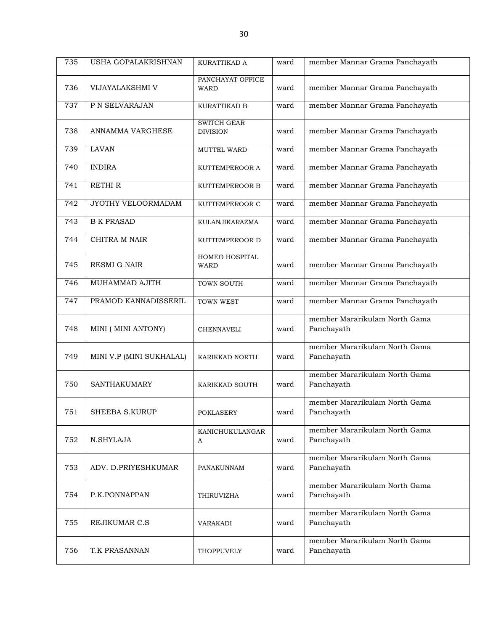| 735 | <b>USHA GOPALAKRISHNAN</b> | KURATTIKAD A                          | ward | member Mannar Grama Panchayath              |
|-----|----------------------------|---------------------------------------|------|---------------------------------------------|
| 736 | VIJAYALAKSHMI V            | PANCHAYAT OFFICE<br><b>WARD</b>       | ward | member Mannar Grama Panchayath              |
| 737 | P N SELVARAJAN             | KURATTIKAD B                          | ward | member Mannar Grama Panchayath              |
| 738 | ANNAMMA VARGHESE           | <b>SWITCH GEAR</b><br><b>DIVISION</b> | ward | member Mannar Grama Panchayath              |
| 739 | <b>LAVAN</b>               | MUTTEL WARD                           | ward | member Mannar Grama Panchayath              |
| 740 | <b>INDIRA</b>              | KUTTEMPEROOR A                        | ward | member Mannar Grama Panchayath              |
| 741 | <b>RETHIR</b>              | KUTTEMPEROOR B                        | ward | member Mannar Grama Panchayath              |
| 742 | JYOTHY VELOORMADAM         | KUTTEMPEROOR C                        | ward | member Mannar Grama Panchayath              |
| 743 | <b>B K PRASAD</b>          | KULANJIKARAZMA                        | ward | member Mannar Grama Panchayath              |
| 744 | CHITRA M NAIR              | KUTTEMPEROOR D                        | ward | member Mannar Grama Panchayath              |
| 745 | <b>RESMI G NAIR</b>        | HOMEO HOSPITAL<br><b>WARD</b>         | ward | member Mannar Grama Panchayath              |
| 746 | MUHAMMAD AJITH             | TOWN SOUTH                            | ward | member Mannar Grama Panchayath              |
| 747 | PRAMOD KANNADISSERIL       | TOWN WEST                             | ward | member Mannar Grama Panchayath              |
| 748 | MINI (MINI ANTONY)         | <b>CHENNAVELI</b>                     | ward | member Mararikulam North Gama<br>Panchayath |
| 749 | MINI V.P (MINI SUKHALAL)   | KARIKKAD NORTH                        | ward | member Mararikulam North Gama<br>Panchayath |
| 750 | <b>SANTHAKUMARY</b>        | KARIKKAD SOUTH                        | ward | member Mararikulam North Gama<br>Panchayath |
| 751 | <b>SHEEBA S.KURUP</b>      | <b>POKLASERY</b>                      | ward | member Mararikulam North Gama<br>Panchavath |
| 752 | N.SHYLAJA                  | KANICHUKULANGAR<br>A                  | ward | member Mararikulam North Gama<br>Panchayath |
| 753 | ADV. D.PRIYESHKUMAR        | PANAKUNNAM                            | ward | member Mararikulam North Gama<br>Panchayath |
| 754 | P.K.PONNAPPAN              | THIRUVIZHA                            | ward | member Mararikulam North Gama<br>Panchayath |
| 755 | REJIKUMAR C.S              | VARAKADI                              | ward | member Mararikulam North Gama<br>Panchayath |
| 756 | T.K PRASANNAN              | THOPPUVELY                            | ward | member Mararikulam North Gama<br>Panchayath |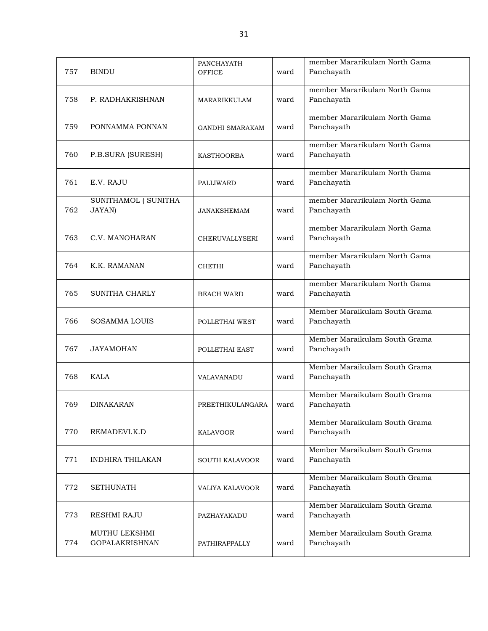| 757 | <b>BINDU</b>                           | <b>PANCHAYATH</b><br><b>OFFICE</b> | ward | member Mararikulam North Gama<br>Panchayath |
|-----|----------------------------------------|------------------------------------|------|---------------------------------------------|
| 758 | P. RADHAKRISHNAN                       | MARARIKKULAM                       | ward | member Mararikulam North Gama<br>Panchayath |
| 759 | PONNAMMA PONNAN                        | <b>GANDHI SMARAKAM</b>             | ward | member Mararikulam North Gama<br>Panchayath |
| 760 | P.B.SURA (SURESH)                      | KASTHOORBA                         | ward | member Mararikulam North Gama<br>Panchayath |
| 761 | E.V. RAJU                              | PALLIWARD                          | ward | member Mararikulam North Gama<br>Panchayath |
| 762 | SUNITHAMOL ( SUNITHA<br>JAYAN)         | <b>JANAKSHEMAM</b>                 | ward | member Mararikulam North Gama<br>Panchayath |
| 763 | C.V. MANOHARAN                         | <b>CHERUVALLYSERI</b>              | ward | member Mararikulam North Gama<br>Panchayath |
| 764 | K.K. RAMANAN                           | <b>CHETHI</b>                      | ward | member Mararikulam North Gama<br>Panchayath |
| 765 | SUNITHA CHARLY                         | <b>BEACH WARD</b>                  | ward | member Mararikulam North Gama<br>Panchayath |
| 766 | <b>SOSAMMA LOUIS</b>                   | POLLETHAI WEST                     | ward | Member Maraikulam South Grama<br>Panchayath |
| 767 | <b>JAYAMOHAN</b>                       | POLLETHAI EAST                     | ward | Member Maraikulam South Grama<br>Panchayath |
| 768 | <b>KALA</b>                            | VALAVANADU                         | ward | Member Maraikulam South Grama<br>Panchayath |
| 769 | <b>DINAKARAN</b>                       | PREETHIKULANGARA                   | ward | Member Maraikulam South Grama<br>Panchayath |
| 770 | REMADEVI.K.D                           | <b>KALAVOOR</b>                    | ward | Member Maraikulam South Grama<br>Panchayath |
| 771 | <b>INDHIRA THILAKAN</b>                | <b>SOUTH KALAVOOR</b>              | ward | Member Maraikulam South Grama<br>Panchayath |
| 772 | <b>SETHUNATH</b>                       | VALIYA KALAVOOR                    | ward | Member Maraikulam South Grama<br>Panchayath |
| 773 | RESHMI RAJU                            | PAZHAYAKADU                        | ward | Member Maraikulam South Grama<br>Panchayath |
| 774 | MUTHU LEKSHMI<br><b>GOPALAKRISHNAN</b> | PATHIRAPPALLY                      | ward | Member Maraikulam South Grama<br>Panchayath |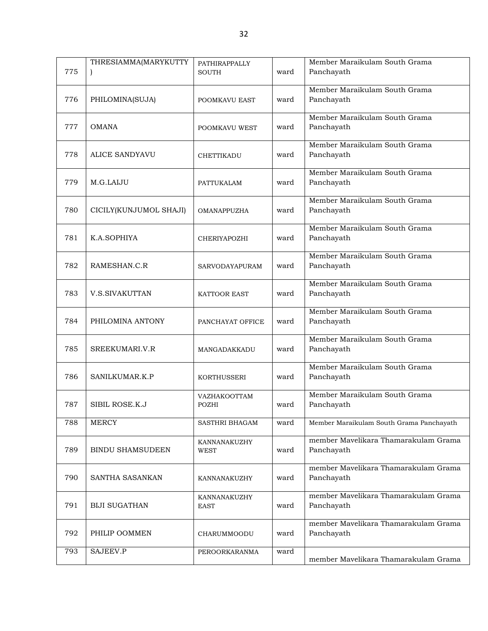| 775 | THRESIAMMA(MARYKUTTY    | <b>PATHIRAPPALLY</b><br><b>SOUTH</b> | ward | Member Maraikulam South Grama<br>Panchayath        |
|-----|-------------------------|--------------------------------------|------|----------------------------------------------------|
| 776 | PHILOMINA(SUJA)         | POOMKAVU EAST                        | ward | Member Maraikulam South Grama<br>Panchayath        |
| 777 | <b>OMANA</b>            | POOMKAVU WEST                        | ward | Member Maraikulam South Grama<br>Panchayath        |
| 778 | <b>ALICE SANDYAVU</b>   | CHETTIKADU                           | ward | Member Maraikulam South Grama<br>Panchayath        |
| 779 | M.G.LAIJU               | PATTUKALAM                           | ward | Member Maraikulam South Grama<br>Panchayath        |
| 780 | CICILY(KUNJUMOL SHAJI)  | <b>OMANAPPUZHA</b>                   | ward | Member Maraikulam South Grama<br>Panchayath        |
| 781 | K.A.SOPHIYA             | <b>CHERIYAPOZHI</b>                  | ward | Member Maraikulam South Grama<br>Panchayath        |
| 782 | RAMESHAN.C.R            | SARVODAYAPURAM                       | ward | Member Maraikulam South Grama<br>Panchayath        |
| 783 | V.S.SIVAKUTTAN          | <b>KATTOOR EAST</b>                  | ward | Member Maraikulam South Grama<br>Panchayath        |
| 784 | PHILOMINA ANTONY        | PANCHAYAT OFFICE                     | ward | Member Maraikulam South Grama<br>Panchayath        |
| 785 | SREEKUMARI.V.R          | MANGADAKKADU                         | ward | Member Maraikulam South Grama<br>Panchayath        |
| 786 | SANILKUMAR.K.P          | <b>KORTHUSSERI</b>                   | ward | Member Maraikulam South Grama<br>Panchayath        |
| 787 | SIBIL ROSE.K.J          | VAZHAKOOTTAM<br>POZHI                | ward | Member Maraikulam South Grama<br>Panchayath        |
| 788 | <b>MERCY</b>            | SASTHRI BHAGAM                       | ward | Member Maraikulam South Grama Panchayath           |
| 789 | <b>BINDU SHAMSUDEEN</b> | KANNANAKUZHY<br><b>WEST</b>          | ward | member Mavelikara Thamarakulam Grama<br>Panchayath |
| 790 | SANTHA SASANKAN         | KANNANAKUZHY                         | ward | member Mavelikara Thamarakulam Grama<br>Panchayath |
| 791 | <b>BIJI SUGATHAN</b>    | KANNANAKUZHY<br><b>EAST</b>          | ward | member Mavelikara Thamarakulam Grama<br>Panchayath |
| 792 | PHILIP OOMMEN           | CHARUMMOODU                          | ward | member Mavelikara Thamarakulam Grama<br>Panchayath |
| 793 | SAJEEV.P                | PEROORKARANMA                        | ward | member Mavelikara Thamarakulam Grama               |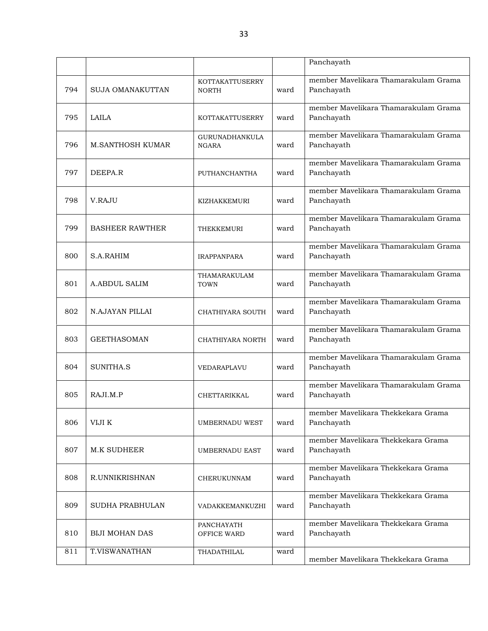|     |                         |                                       |      | Panchayath                                         |
|-----|-------------------------|---------------------------------------|------|----------------------------------------------------|
| 794 | <b>SUJA OMANAKUTTAN</b> | KOTTAKATTUSERRY<br><b>NORTH</b>       | ward | member Mavelikara Thamarakulam Grama<br>Panchayath |
| 795 | LAILA                   | <b>KOTTAKATTUSERRY</b>                | ward | member Mavelikara Thamarakulam Grama<br>Panchayath |
| 796 | <b>M.SANTHOSH KUMAR</b> | <b>GURUNADHANKULA</b><br><b>NGARA</b> | ward | member Mavelikara Thamarakulam Grama<br>Panchayath |
| 797 | DEEPA.R                 | PUTHANCHANTHA                         | ward | member Mavelikara Thamarakulam Grama<br>Panchayath |
| 798 | V.RAJU                  | KIZHAKKEMURI                          | ward | member Mavelikara Thamarakulam Grama<br>Panchayath |
| 799 | <b>BASHEER RAWTHER</b>  | THEKKEMURI                            | ward | member Mavelikara Thamarakulam Grama<br>Panchayath |
| 800 | S.A.RAHIM               | <b>IRAPPANPARA</b>                    | ward | member Mavelikara Thamarakulam Grama<br>Panchayath |
| 801 | <b>A.ABDUL SALIM</b>    | THAMARAKULAM<br><b>TOWN</b>           | ward | member Mavelikara Thamarakulam Grama<br>Panchayath |
| 802 | N.AJAYAN PILLAI         | CHATHIYARA SOUTH                      | ward | member Mavelikara Thamarakulam Grama<br>Panchayath |
| 803 | <b>GEETHASOMAN</b>      | CHATHIYARA NORTH                      | ward | member Mavelikara Thamarakulam Grama<br>Panchayath |
| 804 | SUNITHA.S               | VEDARAPLAVU                           | ward | member Mavelikara Thamarakulam Grama<br>Panchayath |
| 805 | RAJI.M.P                | CHETTARIKKAL                          | ward | member Mavelikara Thamarakulam Grama<br>Panchayath |
| 806 | VIJI K                  | <b>UMBERNADU WEST</b>                 | ward | member Mavelikara Thekkekara Grama<br>Panchayath   |
| 807 | <b>M.K SUDHEER</b>      | <b>UMBERNADU EAST</b>                 | ward | member Mavelikara Thekkekara Grama<br>Panchayath   |
| 808 | R.UNNIKRISHNAN          | CHERUKUNNAM                           | ward | member Mavelikara Thekkekara Grama<br>Panchayath   |
| 809 | SUDHA PRABHULAN         | VADAKKEMANKUZHI                       | ward | member Mavelikara Thekkekara Grama<br>Panchayath   |
| 810 | <b>BIJI MOHAN DAS</b>   | PANCHAYATH<br>OFFICE WARD             | ward | member Mavelikara Thekkekara Grama<br>Panchayath   |
| 811 | T.VISWANATHAN           | THADATHILAL                           | ward | member Mavelikara Thekkekara Grama                 |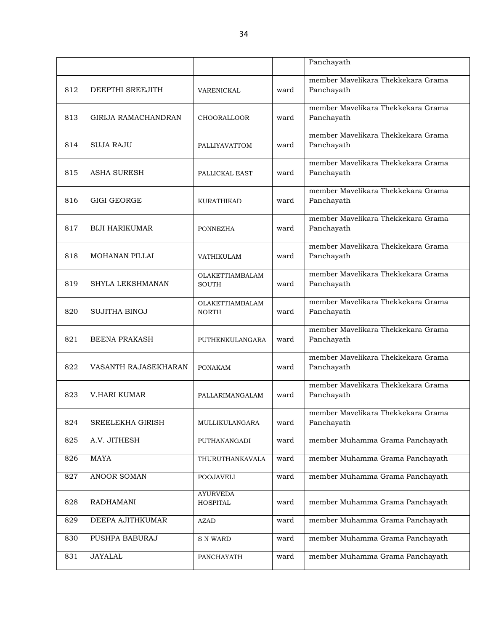|     |                       |                                    |      | Panchayath                                       |
|-----|-----------------------|------------------------------------|------|--------------------------------------------------|
|     |                       |                                    |      |                                                  |
| 812 | DEEPTHI SREEJITH      | VARENICKAL                         | ward | member Mavelikara Thekkekara Grama<br>Panchayath |
| 813 | GIRIJA RAMACHANDRAN   | <b>CHOORALLOOR</b>                 | ward | member Mavelikara Thekkekara Grama<br>Panchayath |
| 814 | <b>SUJA RAJU</b>      | <b>PALLIYAVATTOM</b>               | ward | member Mavelikara Thekkekara Grama<br>Panchayath |
| 815 | <b>ASHA SURESH</b>    | PALLICKAL EAST                     | ward | member Mayelikara Thekkekara Grama<br>Panchayath |
| 816 | <b>GIGI GEORGE</b>    | KURATHIKAD                         | ward | member Mavelikara Thekkekara Grama<br>Panchayath |
| 817 | <b>BIJI HARIKUMAR</b> | <b>PONNEZHA</b>                    | ward | member Mayelikara Thekkekara Grama<br>Panchayath |
| 818 | <b>MOHANAN PILLAI</b> | <b>VATHIKULAM</b>                  | ward | member Mavelikara Thekkekara Grama<br>Panchayath |
| 819 | SHYLA LEKSHMANAN      | OLAKETTIAMBALAM<br><b>SOUTH</b>    | ward | member Mavelikara Thekkekara Grama<br>Panchayath |
| 820 | <b>SUJITHA BINOJ</b>  | OLAKETTIAMBALAM<br><b>NORTH</b>    | ward | member Mavelikara Thekkekara Grama<br>Panchayath |
| 821 | <b>BEENA PRAKASH</b>  | PUTHENKULANGARA                    | ward | member Mavelikara Thekkekara Grama<br>Panchayath |
| 822 | VASANTH RAJASEKHARAN  | <b>PONAKAM</b>                     | ward | member Mavelikara Thekkekara Grama<br>Panchayath |
| 823 | <b>V.HARI KUMAR</b>   | PALLARIMANGALAM                    | ward | member Mavelikara Thekkekara Grama<br>Panchayath |
| 824 | SREELEKHA GIRISH      | MULLIKULANGARA                     | ward | member Mayelikara Thekkekara Grama<br>Panchayath |
| 825 | A.V. JITHESH          | PUTHANANGADI                       | ward | member Muhamma Grama Panchayath                  |
| 826 | <b>MAYA</b>           | THURUTHANKAVALA                    | ward | member Muhamma Grama Panchayath                  |
| 827 | ANOOR SOMAN           | <b>POOJAVELI</b>                   | ward | member Muhamma Grama Panchayath                  |
| 828 | <b>RADHAMANI</b>      | <b>AYURVEDA</b><br><b>HOSPITAL</b> | ward | member Muhamma Grama Panchayath                  |
| 829 | DEEPA AJITHKUMAR      | <b>AZAD</b>                        | ward | member Muhamma Grama Panchayath                  |
| 830 | PUSHPA BABURAJ        | <b>S N WARD</b>                    | ward | member Muhamma Grama Panchayath                  |
| 831 | <b>JAYALAL</b>        | PANCHAYATH                         | ward | member Muhamma Grama Panchayath                  |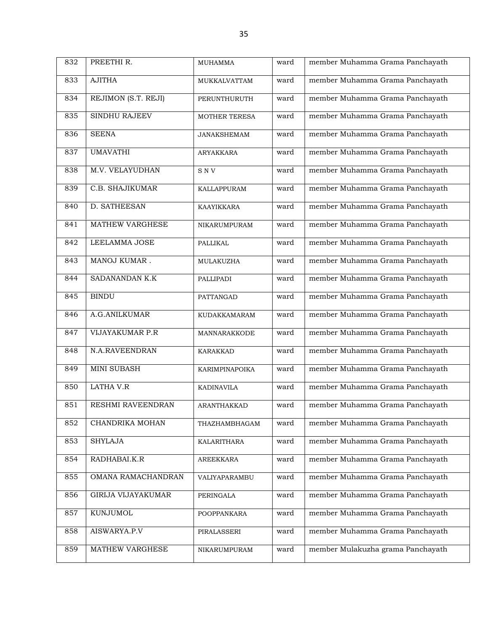| 832 | PREETHI R.                | <b>MUHAMMA</b>       | ward | member Muhamma Grama Panchayath   |
|-----|---------------------------|----------------------|------|-----------------------------------|
| 833 | <b>AJITHA</b>             | <b>MUKKALVATTAM</b>  | ward | member Muhamma Grama Panchayath   |
| 834 | REJIMON (S.T. REJI)       | PERUNTHURUTH         | ward | member Muhamma Grama Panchayath   |
| 835 | <b>SINDHU RAJEEV</b>      | <b>MOTHER TERESA</b> | ward | member Muhamma Grama Panchayath   |
| 836 | <b>SEENA</b>              | <b>JANAKSHEMAM</b>   | ward | member Muhamma Grama Panchayath   |
| 837 | <b>UMAVATHI</b>           | ARYAKKARA            | ward | member Muhamma Grama Panchayath   |
| 838 | M.V. VELAYUDHAN           | <b>SNV</b>           | ward | member Muhamma Grama Panchayath   |
| 839 | C.B. SHAJIKUMAR           | KALLAPPURAM          | ward | member Muhamma Grama Panchayath   |
| 840 | D. SATHEESAN              | KAAYIKKARA           | ward | member Muhamma Grama Panchayath   |
| 841 | MATHEW VARGHESE           | <b>NIKARUMPURAM</b>  | ward | member Muhamma Grama Panchayath   |
| 842 | LEELAMMA JOSE             | PALLIKAL             | ward | member Muhamma Grama Panchayath   |
| 843 | MANOJ KUMAR.              | MULAKUZHA            | ward | member Muhamma Grama Panchayath   |
| 844 | SADANANDAN K.K            | PALLIPADI            | ward | member Muhamma Grama Panchayath   |
| 845 | <b>BINDU</b>              | PATTANGAD            | ward | member Muhamma Grama Panchayath   |
| 846 | A.G.ANILKUMAR             | KUDAKKAMARAM         | ward | member Muhamma Grama Panchayath   |
| 847 | <b>VIJAYAKUMAR P.R</b>    | MANNARAKKODE         | ward | member Muhamma Grama Panchayath   |
| 848 | N.A.RAVEENDRAN            | <b>KARAKKAD</b>      | ward | member Muhamma Grama Panchayath   |
| 849 | <b>MINI SUBASH</b>        | KARIMPINAPOIKA       | ward | member Muhamma Grama Panchayath   |
| 850 | <b>LATHA V.R</b>          | <b>KADINAVILA</b>    | ward | member Muhamma Grama Panchayath   |
| 851 | RESHMI RAVEENDRAN         | ARANTHAKKAD          | ward | member Muhamma Grama Panchayath   |
| 852 | CHANDRIKA MOHAN           | THAZHAMBHAGAM        | ward | member Muhamma Grama Panchayath   |
| 853 | <b>SHYLAJA</b>            | KALARITHARA          | ward | member Muhamma Grama Panchayath   |
| 854 | RADHABAI.K.R              | <b>AREEKKARA</b>     | ward | member Muhamma Grama Panchayath   |
| 855 | OMANA RAMACHANDRAN        | VALIYAPARAMBU        | ward | member Muhamma Grama Panchayath   |
| 856 | <b>GIRIJA VIJAYAKUMAR</b> | PERINGALA            | ward | member Muhamma Grama Panchayath   |
| 857 | KUNJUMOL                  | POOPPANKARA          | ward | member Muhamma Grama Panchayath   |
| 858 | AISWARYA.P.V              | PIRALASSERI          | ward | member Muhamma Grama Panchayath   |
| 859 | MATHEW VARGHESE           | NIKARUMPURAM         | ward | member Mulakuzha grama Panchayath |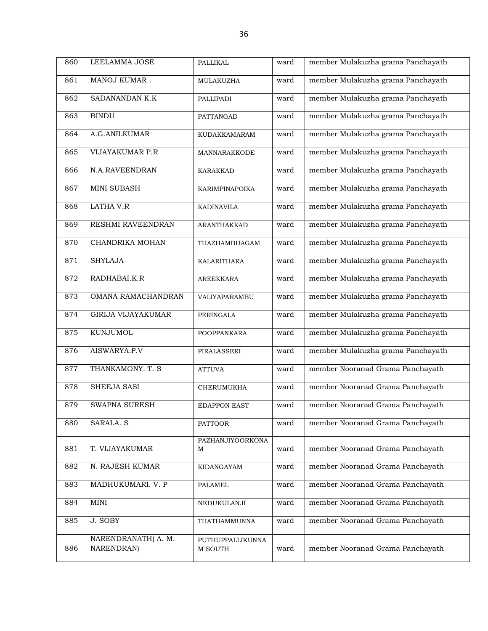| 860 | LEELAMMA JOSE                   | PALLIKAL                    | ward | member Mulakuzha grama Panchayath |
|-----|---------------------------------|-----------------------------|------|-----------------------------------|
| 861 | MANOJ KUMAR.                    | MULAKUZHA                   | ward | member Mulakuzha grama Panchayath |
| 862 | SADANANDAN K.K                  | PALLIPADI                   | ward | member Mulakuzha grama Panchayath |
| 863 | <b>BINDU</b>                    | PATTANGAD                   | ward | member Mulakuzha grama Panchayath |
| 864 | A.G.ANILKUMAR                   | KUDAKKAMARAM                | ward | member Mulakuzha grama Panchayath |
| 865 | <b>VIJAYAKUMAR P.R</b>          | <b>MANNARAKKODE</b>         | ward | member Mulakuzha grama Panchayath |
| 866 | N.A.RAVEENDRAN                  | <b>KARAKKAD</b>             | ward | member Mulakuzha grama Panchayath |
| 867 | MINI SUBASH                     | <b>KARIMPINAPOIKA</b>       | ward | member Mulakuzha grama Panchayath |
| 868 | <b>LATHA V.R</b>                | <b>KADINAVILA</b>           | ward | member Mulakuzha grama Panchayath |
| 869 | RESHMI RAVEENDRAN               | ARANTHAKKAD                 | ward | member Mulakuzha grama Panchayath |
| 870 | CHANDRIKA MOHAN                 | THAZHAMBHAGAM               | ward | member Mulakuzha grama Panchayath |
| 871 | <b>SHYLAJA</b>                  | KALARITHARA                 | ward | member Mulakuzha grama Panchayath |
| 872 | RADHABAI.K.R                    | AREEKKARA                   | ward | member Mulakuzha grama Panchayath |
| 873 | OMANA RAMACHANDRAN              | VALIYAPARAMBU               | ward | member Mulakuzha grama Panchayath |
| 874 | <b>GIRIJA VIJAYAKUMAR</b>       | PERINGALA                   | ward | member Mulakuzha grama Panchayath |
| 875 | <b>KUNJUMOL</b>                 | POOPPANKARA                 | ward | member Mulakuzha grama Panchayath |
| 876 | AISWARYA.P.V                    | PIRALASSERI                 | ward | member Mulakuzha grama Panchayath |
| 877 | THANKAMONY. T. S                | <b>ATTUVA</b>               | ward | member Nooranad Grama Panchayath  |
| 878 | SHEEJA SASI                     | CHERUMUKHA                  | ward | member Nooranad Grama Panchayath  |
| 879 | <b>SWAPNA SURESH</b>            | <b>EDAPPON EAST</b>         | ward | member Nooranad Grama Panchayath  |
| 880 | SARALA. S                       | <b>PATTOOR</b>              | ward | member Nooranad Grama Panchayath  |
| 881 | T. VIJAYAKUMAR                  | PAZHANJIYOORKONA<br>М       | ward | member Nooranad Grama Panchayath  |
| 882 | N. RAJESH KUMAR                 | KIDANGAYAM                  | ward | member Nooranad Grama Panchayath  |
| 883 | MADHUKUMARI. V. P               | PALAMEL                     | ward | member Nooranad Grama Panchayath  |
| 884 | MINI                            | NEDUKULANJI                 | ward | member Nooranad Grama Panchayath  |
| 885 | J. SOBY                         | THATHAMMUNNA                | ward | member Nooranad Grama Panchayath  |
| 886 | NARENDRANATH(A.M.<br>NARENDRAN) | PUTHUPPALLIKUNNA<br>M SOUTH | ward | member Nooranad Grama Panchayath  |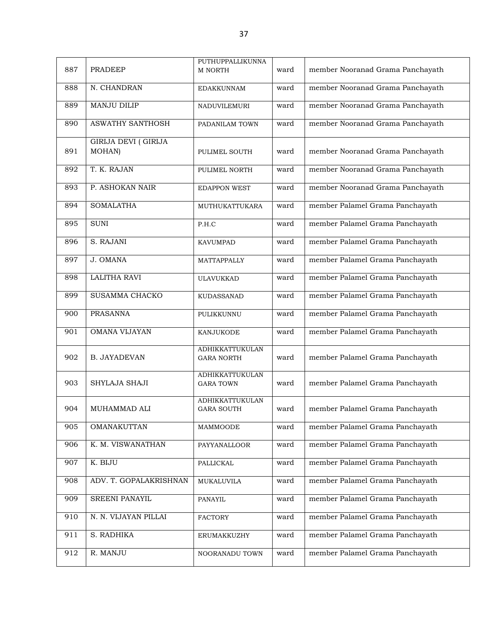| 887 | <b>PRADEEP</b>                        | PUTHUPPALLIKUNNA<br><b>M NORTH</b>   | ward | member Nooranad Grama Panchayath |
|-----|---------------------------------------|--------------------------------------|------|----------------------------------|
| 888 | N. CHANDRAN                           | <b>EDAKKUNNAM</b>                    | ward | member Nooranad Grama Panchayath |
| 889 | <b>MANJU DILIP</b>                    | <b>NADUVILEMURI</b>                  | ward | member Nooranad Grama Panchayath |
| 890 | <b>ASWATHY SANTHOSH</b>               | PADANILAM TOWN                       | ward | member Nooranad Grama Panchayath |
| 891 | <b>GIRIJA DEVI ( GIRIJA</b><br>MOHAN) | PULIMEL SOUTH                        | ward | member Nooranad Grama Panchayath |
| 892 | T. K. RAJAN                           | PULIMEL NORTH                        | ward | member Nooranad Grama Panchayath |
| 893 | P. ASHOKAN NAIR                       | <b>EDAPPON WEST</b>                  | ward | member Nooranad Grama Panchayath |
| 894 | <b>SOMALATHA</b>                      | MUTHUKATTUKARA                       | ward | member Palamel Grama Panchayath  |
| 895 | <b>SUNI</b>                           | P.H.C                                | ward | member Palamel Grama Panchayath  |
| 896 | S. RAJANI                             | <b>KAVUMPAD</b>                      | ward | member Palamel Grama Panchayath  |
| 897 | J. OMANA                              | <b>MATTAPPALLY</b>                   | ward | member Palamel Grama Panchayath  |
| 898 | <b>LALITHA RAVI</b>                   | <b>ULAVUKKAD</b>                     | ward | member Palamel Grama Panchayath  |
| 899 | <b>SUSAMMA CHACKO</b>                 | <b>KUDASSANAD</b>                    | ward | member Palamel Grama Panchayath  |
| 900 | <b>PRASANNA</b>                       | PULIKKUNNU                           | ward | member Palamel Grama Panchayath  |
| 901 | <b>OMANA VIJAYAN</b>                  | KANJUKODE                            | ward | member Palamel Grama Panchayath  |
| 902 | <b>B. JAYADEVAN</b>                   | ADHIKKATTUKULAN<br><b>GARA NORTH</b> | ward | member Palamel Grama Panchayath  |
| 903 | SHYLAJA SHAJI                         | ADHIKKATTUKULAN<br><b>GARA TOWN</b>  | ward | member Palamel Grama Panchayath  |
| 904 | MUHAMMAD ALI                          | ADHIKKATTUKULAN<br><b>GARA SOUTH</b> | ward | member Palamel Grama Panchayath  |
| 905 | OMANAKUTTAN                           | MAMMOODE                             | ward | member Palamel Grama Panchayath  |
| 906 | K. M. VISWANATHAN                     | PAYYANALLOOR                         | ward | member Palamel Grama Panchayath  |
| 907 | K. BIJU                               | PALLICKAL                            | ward | member Palamel Grama Panchayath  |
| 908 | ADV. T. GOPALAKRISHNAN                | MUKALUVILA                           | ward | member Palamel Grama Panchayath  |
| 909 | <b>SREENI PANAYIL</b>                 | PANAYIL                              | ward | member Palamel Grama Panchayath  |
| 910 | N. N. VIJAYAN PILLAI                  | <b>FACTORY</b>                       | ward | member Palamel Grama Panchayath  |
| 911 | S. RADHIKA                            | ERUMAKKUZHY                          | ward | member Palamel Grama Panchayath  |
| 912 | R. MANJU                              | NOORANADU TOWN                       | ward | member Palamel Grama Panchayath  |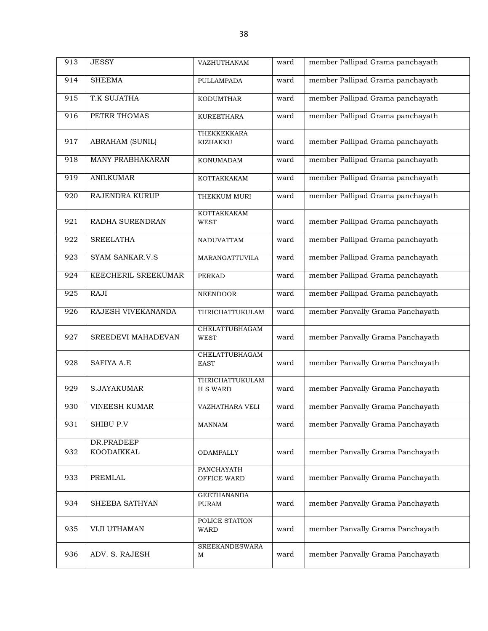| 913 | <b>JESSY</b>             | VAZHUTHANAM                        | ward | member Pallipad Grama panchayath |
|-----|--------------------------|------------------------------------|------|----------------------------------|
| 914 | <b>SHEEMA</b>            | PULLAMPADA                         | ward | member Pallipad Grama panchayath |
| 915 | T.K SUJATHA              | <b>KODUMTHAR</b>                   | ward | member Pallipad Grama panchayath |
| 916 | PETER THOMAS             | <b>KUREETHARA</b>                  | ward | member Pallipad Grama panchayath |
| 917 | <b>ABRAHAM (SUNIL)</b>   | THEKKEKKARA<br>KIZHAKKU            | ward | member Pallipad Grama panchayath |
| 918 | MANY PRABHAKARAN         | KONUMADAM                          | ward | member Pallipad Grama panchayath |
| 919 | <b>ANILKUMAR</b>         | KOTTAKKAKAM                        | ward | member Pallipad Grama panchayath |
| 920 | RAJENDRA KURUP           | THEKKUM MURI                       | ward | member Pallipad Grama panchayath |
| 921 | RADHA SURENDRAN          | KOTTAKKAKAM<br><b>WEST</b>         | ward | member Pallipad Grama panchayath |
| 922 | <b>SREELATHA</b>         | NADUVATTAM                         | ward | member Pallipad Grama panchayath |
| 923 | SYAM SANKAR.V.S          | MARANGATTUVILA                     | ward | member Pallipad Grama panchayath |
| 924 | KEECHERIL SREEKUMAR      | <b>PERKAD</b>                      | ward | member Pallipad Grama panchayath |
| 925 | RAJI                     | <b>NEENDOOR</b>                    | ward | member Pallipad Grama panchayath |
| 926 | RAJESH VIVEKANANDA       | THRICHATTUKULAM                    | ward | member Panvally Grama Panchayath |
| 927 | SREEDEVI MAHADEVAN       | CHELATTUBHAGAM<br><b>WEST</b>      | ward | member Panvally Grama Panchayath |
| 928 | <b>SAFIYA A.E</b>        | CHELATTUBHAGAM<br><b>EAST</b>      | ward | member Panvally Grama Panchayath |
| 929 | S.JAYAKUMAR              | THRICHATTUKULAM<br><b>H S WARD</b> | ward | member Panvally Grama Panchayath |
| 930 | <b>VINEESH KUMAR</b>     | VAZHATHARA VELI                    | ward | member Panvally Grama Panchayath |
| 931 | SHIBU P.V                | MANNAM                             | ward | member Panvally Grama Panchayath |
| 932 | DR.PRADEEP<br>KOODAIKKAL | ODAMPALLY                          | ward | member Panvally Grama Panchayath |
| 933 | PREMLAL                  | <b>PANCHAYATH</b><br>OFFICE WARD   | ward | member Panvally Grama Panchayath |
| 934 | SHEEBA SATHYAN           | <b>GEETHANANDA</b><br><b>PURAM</b> | ward | member Panvally Grama Panchayath |
| 935 | VIJI UTHAMAN             | POLICE STATION<br>WARD             | ward | member Panvally Grama Panchayath |
| 936 | ADV. S. RAJESH           | <b>SREEKANDESWARA</b><br>М         | ward | member Panvally Grama Panchayath |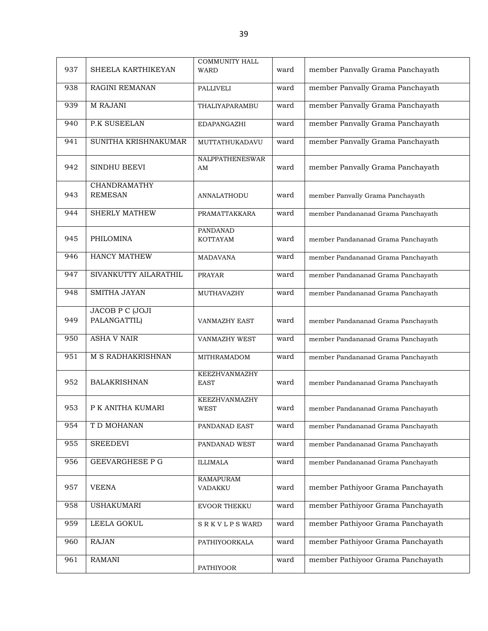| 937 | SHEELA KARTHIKEYAN              | <b>COMMUNITY HALL</b><br><b>WARD</b> | ward | member Panvally Grama Panchayath   |
|-----|---------------------------------|--------------------------------------|------|------------------------------------|
| 938 | RAGINI REMANAN                  | PALLIVELI                            | ward | member Panvally Grama Panchayath   |
| 939 | M RAJANI                        | THALIYAPARAMBU                       | ward | member Panvally Grama Panchayath   |
| 940 | <b>P.K SUSEELAN</b>             | EDAPANGAZHI                          | ward | member Panvally Grama Panchayath   |
| 941 | SUNITHA KRISHNAKUMAR            | MUTTATHUKADAVU                       | ward | member Panvally Grama Panchayath   |
| 942 | SINDHU BEEVI                    | NALPPATHENESWAR<br>AM                | ward | member Panvally Grama Panchayath   |
| 943 | CHANDRAMATHY<br><b>REMESAN</b>  | <b>ANNALATHODU</b>                   | ward | member Panvally Grama Panchayath   |
| 944 | <b>SHERLY MATHEW</b>            | PRAMATTAKKARA                        | ward | member Pandananad Grama Panchayath |
| 945 | PHILOMINA                       | PANDANAD<br><b>KOTTAYAM</b>          | ward | member Pandananad Grama Panchayath |
| 946 | <b>HANCY MATHEW</b>             | <b>MADAVANA</b>                      | ward | member Pandananad Grama Panchayath |
| 947 | SIVANKUTTY AILARATHIL           | <b>PRAYAR</b>                        | ward | member Pandananad Grama Panchayath |
| 948 | SMITHA JAYAN                    | MUTHAVAZHY                           | ward | member Pandananad Grama Panchayath |
| 949 | JACOB P C (JOJI<br>PALANGATTIL) | <b>VANMAZHY EAST</b>                 | ward | member Pandananad Grama Panchayath |
| 950 | <b>ASHA V NAIR</b>              | VANMAZHY WEST                        | ward | member Pandananad Grama Panchayath |
| 951 | M S RADHAKRISHNAN               | <b>MITHRAMADOM</b>                   | ward | member Pandananad Grama Panchayath |
| 952 | <b>BALAKRISHNAN</b>             | <b>KEEZHVANMAZHY</b><br><b>EAST</b>  | ward | member Pandananad Grama Panchayath |
| 953 | P K ANITHA KUMARI               | <b>KEEZHVANMAZHY</b><br><b>WEST</b>  | ward | member Pandananad Grama Panchayath |
| 954 | T D MOHANAN                     | PANDANAD EAST                        | ward | member Pandananad Grama Panchayath |
| 955 | <b>SREEDEVI</b>                 | PANDANAD WEST                        | ward | member Pandananad Grama Panchayath |
| 956 | <b>GEEVARGHESE P G</b>          | <b>ILLIMALA</b>                      | ward | member Pandananad Grama Panchayath |
| 957 | <b>VEENA</b>                    | <b>RAMAPURAM</b><br>VADAKKU          | ward | member Pathiyoor Grama Panchayath  |
| 958 | <b>USHAKUMARI</b>               | EVOOR THEKKU                         | ward | member Pathiyoor Grama Panchayath  |
| 959 | LEELA GOKUL                     | <b>SRKVLPSWARD</b>                   | ward | member Pathiyoor Grama Panchayath  |
| 960 | <b>RAJAN</b>                    | PATHIYOORKALA                        | ward | member Pathiyoor Grama Panchayath  |
| 961 | <b>RAMANI</b>                   | <b>PATHIYOOR</b>                     | ward | member Pathiyoor Grama Panchayath  |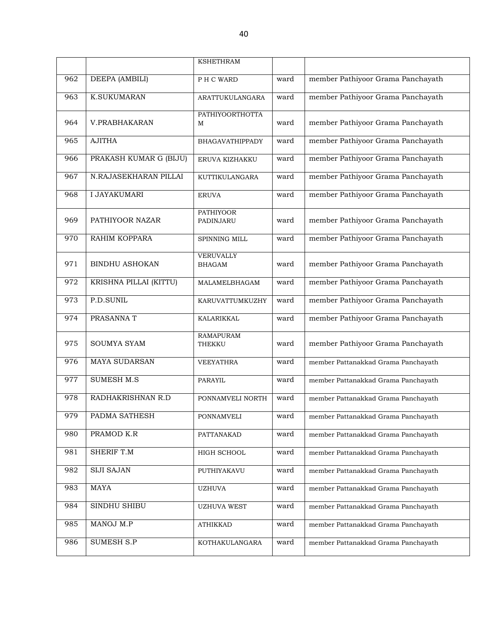|     |                        | <b>KSHETHRAM</b>                  |      |                                     |
|-----|------------------------|-----------------------------------|------|-------------------------------------|
| 962 | DEEPA (AMBILI)         | PH C WARD                         | ward | member Pathiyoor Grama Panchayath   |
| 963 | <b>K.SUKUMARAN</b>     | ARATTUKULANGARA                   | ward | member Pathiyoor Grama Panchayath   |
| 964 | V.PRABHAKARAN          | PATHIYOORTHOTTA<br>M              | ward | member Pathiyoor Grama Panchayath   |
| 965 | <b>AJITHA</b>          | <b>BHAGAVATHIPPADY</b>            | ward | member Pathiyoor Grama Panchayath   |
| 966 | PRAKASH KUMAR G (BIJU) | ERUVA KIZHAKKU                    | ward | member Pathiyoor Grama Panchayath   |
| 967 | N.RAJASEKHARAN PILLAI  | KUTTIKULANGARA                    | ward | member Pathiyoor Grama Panchayath   |
| 968 | <b>I JAYAKUMARI</b>    | <b>ERUVA</b>                      | ward | member Pathiyoor Grama Panchayath   |
| 969 | PATHIYOOR NAZAR        | <b>PATHIYOOR</b><br>PADINJARU     | ward | member Pathiyoor Grama Panchayath   |
| 970 | RAHIM KOPPARA          | SPINNING MILL                     | ward | member Pathiyoor Grama Panchayath   |
| 971 | <b>BINDHU ASHOKAN</b>  | <b>VERUVALLY</b><br><b>BHAGAM</b> | ward | member Pathiyoor Grama Panchayath   |
| 972 | KRISHNA PILLAI (KITTU) | MALAMELBHAGAM                     | ward | member Pathiyoor Grama Panchayath   |
| 973 | P.D.SUNIL              | KARUVATTUMKUZHY                   | ward | member Pathiyoor Grama Panchayath   |
| 974 | PRASANNA T             | KALARIKKAL                        | ward | member Pathiyoor Grama Panchayath   |
| 975 | <b>SOUMYA SYAM</b>     | <b>RAMAPURAM</b><br>THEKKU        | ward | member Pathiyoor Grama Panchayath   |
| 976 | <b>MAYA SUDARSAN</b>   | <b>VEEYATHRA</b>                  | ward | member Pattanakkad Grama Panchayath |
| 977 | <b>SUMESH M.S</b>      | PARAYIL                           | ward | member Pattanakkad Grama Panchayath |
| 978 | RADHAKRISHNAN R.D      | PONNAMVELI NORTH                  | ward | member Pattanakkad Grama Panchayath |
| 979 | PADMA SATHESH          | PONNAMVELI                        | ward | member Pattanakkad Grama Panchayath |
| 980 | PRAMOD K.R             | PATTANAKAD                        | ward | member Pattanakkad Grama Panchayath |
| 981 | SHERIF T.M             | HIGH SCHOOL                       | ward | member Pattanakkad Grama Panchayath |
| 982 | <b>SIJI SAJAN</b>      | PUTHIYAKAVU                       | ward | member Pattanakkad Grama Panchayath |
| 983 | <b>MAYA</b>            | <b>UZHUVA</b>                     | ward | member Pattanakkad Grama Panchayath |
| 984 | SINDHU SHIBU           | <b>UZHUVA WEST</b>                | ward | member Pattanakkad Grama Panchayath |
| 985 | MANOJ M.P              | <b>ATHIKKAD</b>                   | ward | member Pattanakkad Grama Panchayath |
| 986 | <b>SUMESH S.P</b>      | KOTHAKULANGARA                    | ward | member Pattanakkad Grama Panchayath |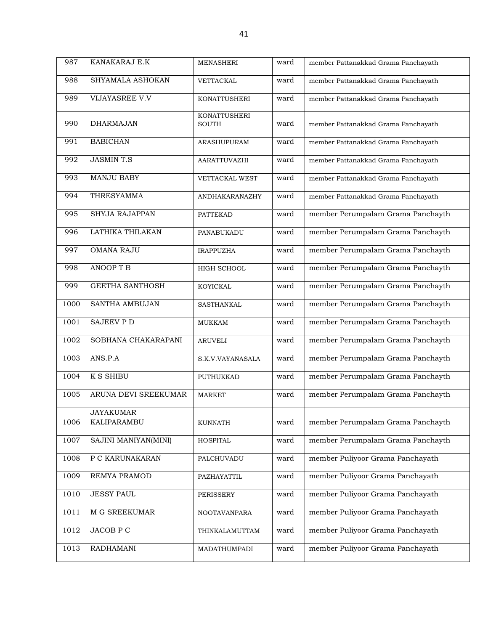| 987  | KANAKARAJ E.K                   | <b>MENASHERI</b>                    | ward | member Pattanakkad Grama Panchayath |
|------|---------------------------------|-------------------------------------|------|-------------------------------------|
| 988  | SHYAMALA ASHOKAN                | VETTACKAL                           | ward | member Pattanakkad Grama Panchayath |
| 989  | VIJAYASREE V.V                  | <b>KONATTUSHERI</b>                 | ward | member Pattanakkad Grama Panchayath |
| 990  | <b>DHARMAJAN</b>                | <b>KONATTUSHERI</b><br><b>SOUTH</b> | ward | member Pattanakkad Grama Panchayath |
| 991  | <b>BABICHAN</b>                 | <b>ARASHUPURAM</b>                  | ward | member Pattanakkad Grama Panchayath |
| 992  | <b>JASMINT.S</b>                | AARATTUVAZHI                        | ward | member Pattanakkad Grama Panchayath |
| 993  | MANJU BABY                      | VETTACKAL WEST                      | ward | member Pattanakkad Grama Panchayath |
| 994  | THRESYAMMA                      | ANDHAKARANAZHY                      | ward | member Pattanakkad Grama Panchayath |
| 995  | <b>SHYJA RAJAPPAN</b>           | <b>PATTEKAD</b>                     | ward | member Perumpalam Grama Panchayth   |
| 996  | LATHIKA THILAKAN                | PANABUKADU                          | ward | member Perumpalam Grama Panchayth   |
| 997  | <b>OMANA RAJU</b>               | <b>IRAPPUZHA</b>                    | ward | member Perumpalam Grama Panchayth   |
| 998  | <b>ANOOPTB</b>                  | HIGH SCHOOL                         | ward | member Perumpalam Grama Panchayth   |
| 999  | <b>GEETHA SANTHOSH</b>          | KOYICKAL                            | ward | member Perumpalam Grama Panchayth   |
| 1000 | <b>SANTHA AMBUJAN</b>           | SASTHANKAL                          | ward | member Perumpalam Grama Panchayth   |
| 1001 | <b>SAJEEV P D</b>               | <b>MUKKAM</b>                       | ward | member Perumpalam Grama Panchayth   |
| 1002 | SOBHANA CHAKARAPANI             | <b>ARUVELI</b>                      | ward | member Perumpalam Grama Panchayth   |
| 1003 | ANS.P.A                         | S.K.V.VAYANASALA                    | ward | member Perumpalam Grama Panchayth   |
| 1004 | <b>K S SHIBU</b>                | PUTHUKKAD                           | ward | member Perumpalam Grama Panchayth   |
| 1005 | ARUNA DEVI SREEKUMAR            | <b>MARKET</b>                       | ward | member Perumpalam Grama Panchayth   |
| 1006 | <b>JAYAKUMAR</b><br>KALIPARAMBU | <b>KUNNATH</b>                      | ward | member Perumpalam Grama Panchayth   |
| 1007 | SAJINI MANIYAN(MINI)            | <b>HOSPITAL</b>                     | ward | member Perumpalam Grama Panchayth   |
| 1008 | P C KARUNAKARAN                 | PALCHUVADU                          | ward | member Puliyoor Grama Panchayath    |
| 1009 | REMYA PRAMOD                    | PAZHAYATTIL                         | ward | member Puliyoor Grama Panchayath    |
| 1010 | <b>JESSY PAUL</b>               | PERISSERY                           | ward | member Puliyoor Grama Panchayath    |
| 1011 | M G SREEKUMAR                   | NOOTAVANPARA                        | ward | member Puliyoor Grama Panchayath    |
| 1012 | <b>JACOB P C</b>                | THINKALAMUTTAM                      | ward | member Puliyoor Grama Panchayath    |
| 1013 | RADHAMANI                       | MADATHUMPADI                        | ward | member Puliyoor Grama Panchayath    |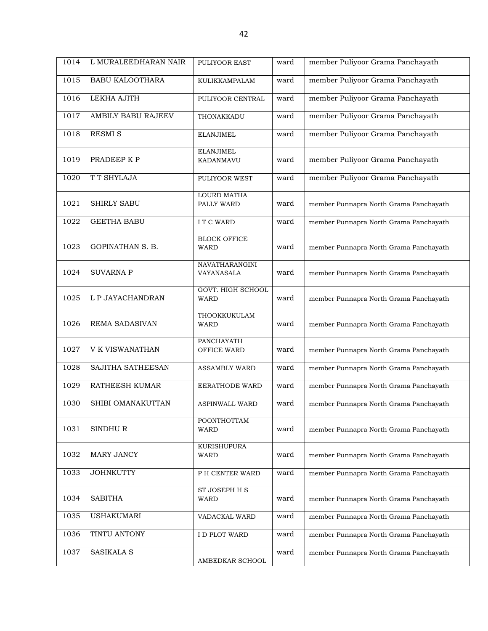| 1014 | L MURALEEDHARAN NAIR    | PULIYOOR EAST                           | ward | member Puliyoor Grama Panchayath       |
|------|-------------------------|-----------------------------------------|------|----------------------------------------|
| 1015 | <b>BABU KALOOTHARA</b>  | KULIKKAMPALAM                           | ward | member Puliyoor Grama Panchayath       |
| 1016 | LEKHA AJITH             | PULIYOOR CENTRAL                        | ward | member Puliyoor Grama Panchayath       |
| 1017 | AMBILY BABU RAJEEV      | THONAKKADU                              | ward | member Puliyoor Grama Panchayath       |
| 1018 | <b>RESMI S</b>          | <b>ELANJIMEL</b>                        | ward | member Puliyoor Grama Panchayath       |
| 1019 | PRADEEP K P             | <b>ELANJIMEL</b><br>KADANMAVU           | ward | member Puliyoor Grama Panchayath       |
| 1020 | T T SHYLAJA             | PULIYOOR WEST                           | ward | member Puliyoor Grama Panchayath       |
| 1021 | <b>SHIRLY SABU</b>      | LOURD MATHA<br>PALLY WARD               | ward | member Punnapra North Grama Panchayath |
| 1022 | <b>GEETHA BABU</b>      | I T C WARD                              | ward | member Punnapra North Grama Panchayath |
| 1023 | <b>GOPINATHAN S. B.</b> | <b>BLOCK OFFICE</b><br><b>WARD</b>      | ward | member Punnapra North Grama Panchayath |
| 1024 | <b>SUVARNA P</b>        | NAVATHARANGINI<br>VAYANASALA            | ward | member Punnapra North Grama Panchayath |
| 1025 | L P JAYACHANDRAN        | <b>GOVT. HIGH SCHOOL</b><br><b>WARD</b> | ward | member Punnapra North Grama Panchayath |
| 1026 | <b>REMA SADASIVAN</b>   | THOOKKUKULAM<br><b>WARD</b>             | ward | member Punnapra North Grama Panchayath |
| 1027 | V K VISWANATHAN         | PANCHAYATH<br>OFFICE WARD               | ward | member Punnapra North Grama Panchayath |
| 1028 | SAJITHA SATHEESAN       | <b>ASSAMBLY WARD</b>                    | ward | member Punnapra North Grama Panchayath |
| 1029 | RATHEESH KUMAR          | EERATHODE WARD                          | ward | member Punnapra North Grama Panchayath |
| 1030 | SHIBI OMANAKUTTAN       | <b>ASPINWALL WARD</b>                   | ward | member Punnapra North Grama Panchayath |
| 1031 | SINDHUR                 | <b>POONTHOTTAM</b><br>WARD              | ward | member Punnapra North Grama Panchayath |
| 1032 | MARY JANCY              | KURISHUPURA<br><b>WARD</b>              | ward | member Punnapra North Grama Panchayath |
| 1033 | <b>JOHNKUTTY</b>        | P H CENTER WARD                         | ward | member Punnapra North Grama Panchayath |
| 1034 | <b>SABITHA</b>          | <b>ST JOSEPH H S</b><br><b>WARD</b>     | ward | member Punnapra North Grama Panchayath |
| 1035 | <b>USHAKUMARI</b>       | VADACKAL WARD                           | ward | member Punnapra North Grama Panchayath |
| 1036 | TINTU ANTONY            | I D PLOT WARD                           | ward | member Punnapra North Grama Panchayath |
| 1037 | <b>SASIKALA S</b>       | AMBEDKAR SCHOOL                         | ward | member Punnapra North Grama Panchayath |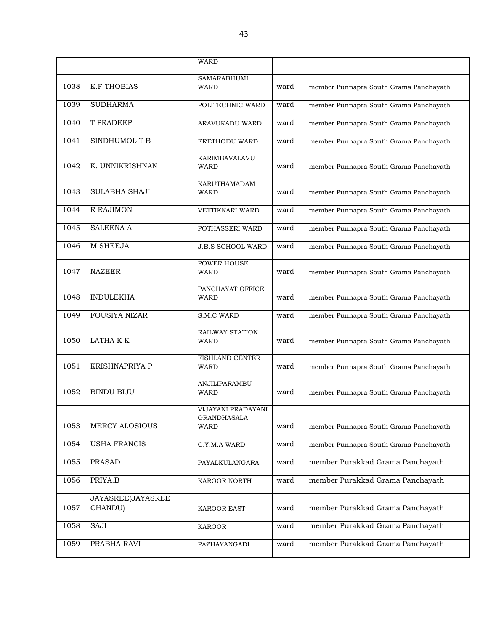|      |                              | WARD                                             |      |                                        |
|------|------------------------------|--------------------------------------------------|------|----------------------------------------|
|      |                              | <b>SAMARABHUMI</b>                               |      |                                        |
| 1038 | <b>K.F THOBIAS</b>           | WARD                                             | ward | member Punnapra South Grama Panchayath |
| 1039 | <b>SUDHARMA</b>              | POLITECHNIC WARD                                 | ward | member Punnapra South Grama Panchayath |
| 1040 | T PRADEEP                    | ARAVUKADU WARD                                   | ward | member Punnapra South Grama Panchayath |
| 1041 | SINDHUMOL T B                | <b>ERETHODU WARD</b>                             | ward | member Punnapra South Grama Panchayath |
| 1042 | K. UNNIKRISHNAN              | KARIMBAVALAVU<br><b>WARD</b>                     | ward | member Punnapra South Grama Panchayath |
| 1043 | <b>SULABHA SHAJI</b>         | <b>KARUTHAMADAM</b><br>WARD                      | ward | member Punnapra South Grama Panchayath |
| 1044 | R RAJIMON                    | <b>VETTIKKARI WARD</b>                           | ward | member Punnapra South Grama Panchayath |
| 1045 | <b>SALEENA A</b>             | POTHASSERI WARD                                  | ward | member Punnapra South Grama Panchayath |
| 1046 | M SHEEJA                     | <b>J.B.S SCHOOL WARD</b>                         | ward | member Punnapra South Grama Panchayath |
| 1047 | <b>NAZEER</b>                | POWER HOUSE<br><b>WARD</b>                       | ward | member Punnapra South Grama Panchayath |
| 1048 | <b>INDULEKHA</b>             | PANCHAYAT OFFICE<br>WARD                         | ward | member Punnapra South Grama Panchayath |
| 1049 | <b>FOUSIYA NIZAR</b>         | S.M.C WARD                                       | ward | member Punnapra South Grama Panchayath |
| 1050 | LATHA K K                    | RAILWAY STATION<br>WARD                          | ward | member Punnapra South Grama Panchayath |
| 1051 | <b>KRISHNAPRIYA P</b>        | FISHLAND CENTER<br>WARD                          | ward | member Punnapra South Grama Panchayath |
| 1052 | <b>BINDU BIJU</b>            | ANJILIPARAMBU<br><b>WARD</b>                     | ward | member Punnapra South Grama Panchayath |
| 1053 | <b>MERCY ALOSIOUS</b>        | VIJAYANI PRADAYANI<br><b>GRANDHASALA</b><br>WARD | ward | member Punnapra South Grama Panchayath |
| 1054 | <b>USHA FRANCIS</b>          | C.Y.M.A WARD                                     | ward | member Punnapra South Grama Panchayath |
| 1055 | <b>PRASAD</b>                | PAYALKULANGARA                                   | ward | member Purakkad Grama Panchayath       |
| 1056 | PRIYA.B                      | KAROOR NORTH                                     | ward | member Purakkad Grama Panchayath       |
| 1057 | JAYASREE(JAYASREE<br>CHANDU) | <b>KAROOR EAST</b>                               | ward | member Purakkad Grama Panchayath       |
| 1058 | SAJI                         | <b>KAROOR</b>                                    | ward | member Purakkad Grama Panchayath       |
| 1059 | PRABHA RAVI                  | PAZHAYANGADI                                     | ward | member Purakkad Grama Panchayath       |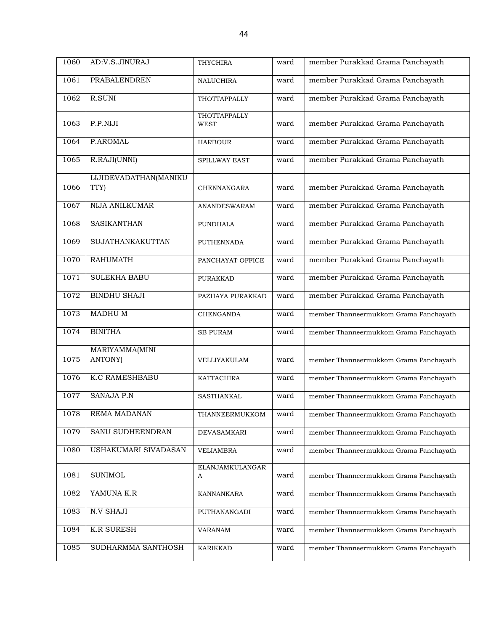| 1060 | AD:V.S.JINURAJ                | THYCHIRA                           | ward | member Purakkad Grama Panchayath       |
|------|-------------------------------|------------------------------------|------|----------------------------------------|
| 1061 | PRABALENDREN                  | <b>NALUCHIRA</b>                   | ward | member Purakkad Grama Panchayath       |
| 1062 | R.SUNI                        | THOTTAPPALLY                       | ward | member Purakkad Grama Panchayath       |
| 1063 | P.P.NIJI                      | <b>THOTTAPPALLY</b><br><b>WEST</b> | ward | member Purakkad Grama Panchayath       |
| 1064 | P.AROMAL                      | <b>HARBOUR</b>                     | ward | member Purakkad Grama Panchayath       |
| 1065 | R.RAJI(UNNI)                  | SPILLWAY EAST                      | ward | member Purakkad Grama Panchayath       |
| 1066 | LIJIDEVADATHAN(MANIKU<br>TTY) | CHENNANGARA                        | ward | member Purakkad Grama Panchayath       |
| 1067 | NIJA ANILKUMAR                | ANANDESWARAM                       | ward | member Purakkad Grama Panchayath       |
| 1068 | <b>SASIKANTHAN</b>            | <b>PUNDHALA</b>                    | ward | member Purakkad Grama Panchayath       |
| 1069 | SUJATHANKAKUTTAN              | <b>PUTHENNADA</b>                  | ward | member Purakkad Grama Panchayath       |
| 1070 | <b>RAHUMATH</b>               | PANCHAYAT OFFICE                   | ward | member Purakkad Grama Panchayath       |
| 1071 | <b>SULEKHA BABU</b>           | <b>PURAKKAD</b>                    | ward | member Purakkad Grama Panchayath       |
| 1072 | <b>BINDHU SHAJI</b>           | PAZHAYA PURAKKAD                   | ward | member Purakkad Grama Panchayath       |
| 1073 | <b>MADHUM</b>                 | <b>CHENGANDA</b>                   | ward | member Thanneermukkom Grama Panchayath |
| 1074 | <b>BINITHA</b>                | <b>SB PURAM</b>                    | ward | member Thanneermukkom Grama Panchayath |
| 1075 | MARIYAMMA(MINI<br>ANTONY)     | VELLIYAKULAM                       | ward | member Thanneermukkom Grama Panchayath |
| 1076 | <b>K.C RAMESHBABU</b>         | KATTACHIRA                         | ward | member Thanneermukkom Grama Panchayath |
| 1077 | <b>SANAJA P.N</b>             | <b>SASTHANKAL</b>                  | ward | member Thanneermukkom Grama Panchayath |
| 1078 | REMA MADANAN                  | THANNEERMUKKOM                     | ward | member Thanneermukkom Grama Panchayath |
| 1079 | SANU SUDHEENDRAN              | <b>DEVASAMKARI</b>                 | ward | member Thanneermukkom Grama Panchayath |
| 1080 | USHAKUMARI SIVADASAN          | VELIAMBRA                          | ward | member Thanneermukkom Grama Panchayath |
| 1081 | <b>SUNIMOL</b>                | <b>ELANJAMKULANGAR</b><br>A        | ward | member Thanneermukkom Grama Panchayath |
| 1082 | YAMUNA K.R                    | KANNANKARA                         | ward | member Thanneermukkom Grama Panchayath |
| 1083 | <b>N.V SHAJI</b>              | PUTHANANGADI                       | ward | member Thanneermukkom Grama Panchayath |
| 1084 | <b>K.R SURESH</b>             | <b>VARANAM</b>                     | ward | member Thanneermukkom Grama Panchayath |
| 1085 | SUDHARMMA SANTHOSH            | <b>KARIKKAD</b>                    | ward | member Thanneermukkom Grama Panchayath |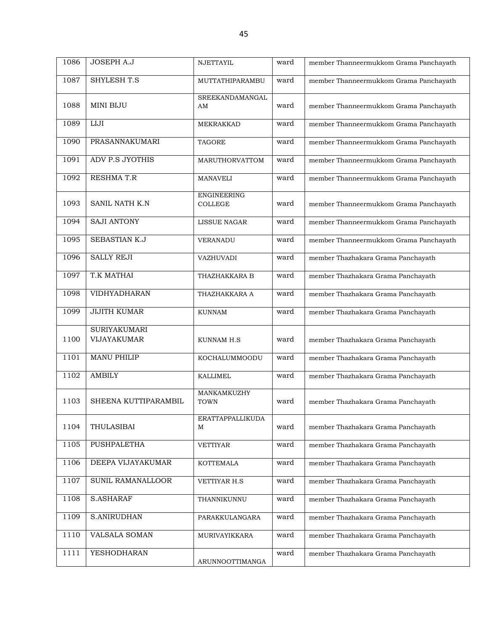| 1086 | JOSEPH A.J                                | <b>NJETTAYIL</b>                     | ward | member Thanneermukkom Grama Panchayath |
|------|-------------------------------------------|--------------------------------------|------|----------------------------------------|
| 1087 | SHYLESH T.S                               | MUTTATHIPARAMBU                      | ward | member Thanneermukkom Grama Panchayath |
| 1088 | <b>MINI BIJU</b>                          | SREEKANDAMANGAL<br>AM                | ward | member Thanneermukkom Grama Panchayath |
| 1089 | $_{\rm LIJI}$                             | <b>MEKRAKKAD</b>                     | ward | member Thanneermukkom Grama Panchayath |
| 1090 | PRASANNAKUMARI                            | <b>TAGORE</b>                        | ward | member Thanneermukkom Grama Panchayath |
| 1091 | <b>ADV P.S JYOTHIS</b>                    | <b>MARUTHORVATTOM</b>                | ward | member Thanneermukkom Grama Panchayath |
| 1092 | RESHMA T.R                                | <b>MANAVELI</b>                      | ward | member Thanneermukkom Grama Panchayath |
| 1093 | SANIL NATH K.N                            | <b>ENGINEERING</b><br><b>COLLEGE</b> | ward | member Thanneermukkom Grama Panchayath |
| 1094 | <b>SAJI ANTONY</b>                        | <b>LISSUE NAGAR</b>                  | ward | member Thanneermukkom Grama Panchayath |
| 1095 | <b>SEBASTIAN K.J</b>                      | <b>VERANADU</b>                      | ward | member Thanneermukkom Grama Panchayath |
| 1096 | <b>SALLY REJI</b>                         | VAZHUVADI                            | ward | member Thazhakara Grama Panchayath     |
| 1097 | T.K MATHAI                                | THAZHAKKARA B                        | ward | member Thazhakara Grama Panchayath     |
| 1098 | VIDHYADHARAN                              | THAZHAKKARA A                        | ward | member Thazhakara Grama Panchayath     |
| 1099 | <b>JIJITH KUMAR</b>                       | <b>KUNNAM</b>                        | ward | member Thazhakara Grama Panchayath     |
| 1100 | <b>SURIYAKUMARI</b><br><b>VIJAYAKUMAR</b> | KUNNAM H.S                           | ward | member Thazhakara Grama Panchayath     |
| 1101 | <b>MANU PHILIP</b>                        | KOCHALUMMOODU                        | ward | member Thazhakara Grama Panchayath     |
| 1102 | <b>AMBILY</b>                             | <b>KALLIMEL</b>                      | ward | member Thazhakara Grama Panchayath     |
| 1103 | SHEENA KUTTIPARAMBIL                      | MANKAMKUZHY<br><b>TOWN</b>           | ward | member Thazhakara Grama Panchayath     |
| 1104 | THULASIBAI                                | ERATTAPPALLIKUDA<br>М                | ward | member Thazhakara Grama Panchayath     |
| 1105 | PUSHPALETHA                               | <b>VETTIYAR</b>                      | ward | member Thazhakara Grama Panchayath     |
| 1106 | DEEPA VIJAYAKUMAR                         | <b>KOTTEMALA</b>                     | ward | member Thazhakara Grama Panchayath     |
| 1107 | SUNIL RAMANALLOOR                         | VETTIYAR H.S                         | ward | member Thazhakara Grama Panchayath     |
| 1108 | S.ASHARAF                                 | THANNIKUNNU                          | ward | member Thazhakara Grama Panchayath     |
| 1109 | S.ANIRUDHAN                               | PARAKKULANGARA                       | ward | member Thazhakara Grama Panchayath     |
| 1110 | VALSALA SOMAN                             | MURIVAYIKKARA                        | ward | member Thazhakara Grama Panchayath     |
| 1111 | <b>YESHODHARAN</b>                        | ARUNNOOTTIMANGA                      | ward | member Thazhakara Grama Panchayath     |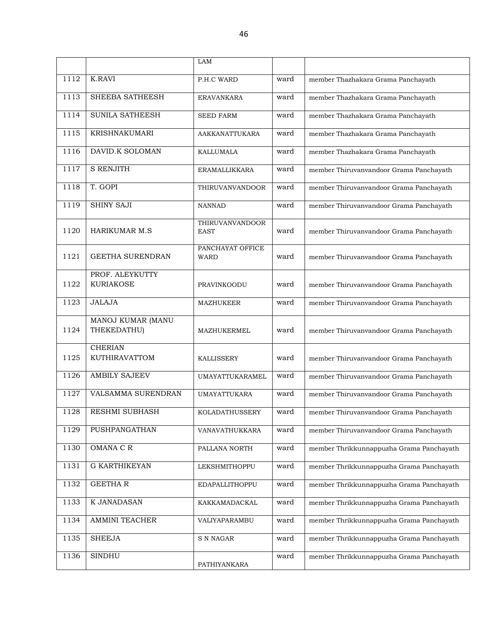|      |                                     | LAM                                   |      |                                          |
|------|-------------------------------------|---------------------------------------|------|------------------------------------------|
| 1112 | <b>K.RAVI</b>                       | P.H.C WARD                            | ward | member Thazhakara Grama Panchayath       |
| 1113 | SHEEBA SATHEESH                     | <b>ERAVANKARA</b>                     | ward | member Thazhakara Grama Panchayath       |
| 1114 | SUNILA SATHEESH                     | <b>SEED FARM</b>                      | ward | member Thazhakara Grama Panchayath       |
| 1115 | <b>KRISHNAKUMARI</b>                | AAKKANATTUKARA                        | ward | member Thazhakara Grama Panchayath       |
| 1116 | DAVID.K SOLOMAN                     | <b>KALLUMALA</b>                      | ward | member Thazhakara Grama Panchayath       |
| 1117 | <b>S RENJITH</b>                    | <b>ERAMALLIKKARA</b>                  | ward | member Thiruvanvandoor Grama Panchayath  |
| 1118 | T. GOPI                             | <b>THIRUVANVANDOOR</b>                | ward | member Thiruvanvandoor Grama Panchayath  |
| 1119 | <b>SHINY SAJI</b>                   | <b>NANNAD</b>                         | ward | member Thiruvanvandoor Grama Panchayath  |
| 1120 | <b>HARIKUMAR M.S</b>                | <b>THIRUVANVANDOOR</b><br><b>EAST</b> | ward | member Thiruvanvandoor Grama Panchayath  |
| 1121 | <b>GEETHA SURENDRAN</b>             | PANCHAYAT OFFICE<br><b>WARD</b>       | ward | member Thiruvanvandoor Grama Panchayath  |
| 1122 | PROF. ALEYKUTTY<br><b>KURIAKOSE</b> | PRAVINKOODU                           | ward | member Thiruvanvandoor Grama Panchayath  |
| 1123 | <b>JALAJA</b>                       | <b>MAZHUKEER</b>                      | ward | member Thiruvanvandoor Grama Panchayath  |
| 1124 | MANOJ KUMAR (MANU<br>THEKEDATHU)    | MAZHUKERMEL                           | ward | member Thiruvanvandoor Grama Panchayath  |
| 1125 | <b>CHERIAN</b><br>KUTHIRAVATTOM     | <b>KALLISSERY</b>                     | ward | member Thiruvanvandoor Grama Panchayath  |
| 1126 | <b>AMBILY SAJEEV</b>                | <b>UMAYATTUKARAMEL</b>                | ward | member Thiruvanvandoor Grama Panchayath  |
| 1127 | VALSAMMA SURENDRAN                  | <b>UMAYATTUKARA</b>                   | ward | member Thiruvanvandoor Grama Panchayath  |
| 1128 | RESHMI SUBHASH                      | KOLADATHUSSERY                        | ward | member Thiruvanvandoor Grama Panchayath  |
| 1129 | PUSHPANGATHAN                       | VANAVATHUKKARA                        | ward | member Thiruvanvandoor Grama Panchayath  |
| 1130 | OMANA C R                           | PALLANA NORTH                         | ward | member Thrikkunnappuzha Grama Panchayath |
| 1131 | <b>G KARTHIKEYAN</b>                | LEKSHMITHOPPU                         | ward | member Thrikkunnappuzha Grama Panchayath |
| 1132 | <b>GEETHAR</b>                      | EDAPALLITHOPPU                        | ward | member Thrikkunnappuzha Grama Panchayath |
| 1133 | K JANADASAN                         | KAKKAMADACKAL                         | ward | member Thrikkunnappuzha Grama Panchayath |
| 1134 | <b>AMMINI TEACHER</b>               | VALIYAPARAMBU                         | ward | member Thrikkunnappuzha Grama Panchayath |
| 1135 | <b>SHEEJA</b>                       | S N NAGAR                             | ward | member Thrikkunnappuzha Grama Panchayath |
| 1136 | <b>SINDHU</b>                       | PATHIYANKARA                          | ward | member Thrikkunnappuzha Grama Panchayath |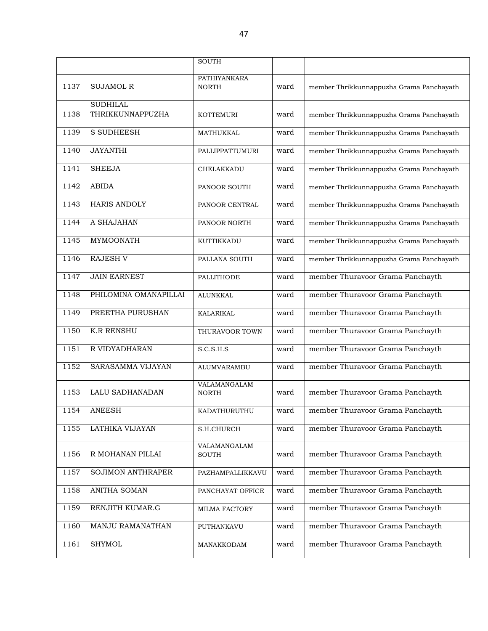|      |                          | <b>SOUTH</b>                 |      |                                          |
|------|--------------------------|------------------------------|------|------------------------------------------|
|      |                          | <b>PATHIYANKARA</b>          |      |                                          |
| 1137 | <b>SUJAMOL R</b>         | <b>NORTH</b>                 | ward | member Thrikkunnappuzha Grama Panchayath |
|      | <b>SUDHILAL</b>          |                              |      |                                          |
| 1138 | THRIKKUNNAPPUZHA         | <b>KOTTEMURI</b>             | ward | member Thrikkunnappuzha Grama Panchayath |
| 1139 | <b>S SUDHEESH</b>        | MATHUKKAL                    | ward | member Thrikkunnappuzha Grama Panchayath |
| 1140 | <b>JAYANTHI</b>          | PALLIPPATTUMURI              | ward | member Thrikkunnappuzha Grama Panchayath |
| 1141 | <b>SHEEJA</b>            | CHELAKKADU                   | ward | member Thrikkunnappuzha Grama Panchayath |
| 1142 | <b>ABIDA</b>             | PANOOR SOUTH                 | ward | member Thrikkunnappuzha Grama Panchayath |
| 1143 | <b>HARIS ANDOLY</b>      | PANOOR CENTRAL               | ward | member Thrikkunnappuzha Grama Panchayath |
| 1144 | A SHAJAHAN               | PANOOR NORTH                 | ward | member Thrikkunnappuzha Grama Panchayath |
| 1145 | <b>MYMOONATH</b>         | KUTTIKKADU                   | ward | member Thrikkunnappuzha Grama Panchayath |
| 1146 | <b>RAJESH V</b>          | PALLANA SOUTH                | ward | member Thrikkunnappuzha Grama Panchayath |
| 1147 | <b>JAIN EARNEST</b>      | PALLITHODE                   | ward | member Thuravoor Grama Panchayth         |
| 1148 | PHILOMINA OMANAPILLAI    | <b>ALUNKKAL</b>              | ward | member Thuravoor Grama Panchayth         |
| 1149 | PREETHA PURUSHAN         | KALARIKAL                    | ward | member Thuravoor Grama Panchayth         |
| 1150 | <b>K.R RENSHU</b>        | THURAVOOR TOWN               | ward | member Thuravoor Grama Panchayth         |
| 1151 | R VIDYADHARAN            | S.C.S.H.S                    | ward | member Thuravoor Grama Panchayth         |
| 1152 | SARASAMMA VIJAYAN        | <b>ALUMVARAMBU</b>           | ward | member Thuravoor Grama Panchayth         |
| 1153 | LALU SADHANADAN          | VALAMANGALAM<br><b>NORTH</b> | ward | member Thuravoor Grama Panchayth         |
| 1154 | <b>ANEESH</b>            | KADATHURUTHU                 | ward | member Thuravoor Grama Panchayth         |
| 1155 | LATHIKA VIJAYAN          | S.H.CHURCH                   | ward | member Thuravoor Grama Panchayth         |
| 1156 | R MOHANAN PILLAI         | VALAMANGALAM<br><b>SOUTH</b> | ward | member Thuravoor Grama Panchayth         |
| 1157 | <b>SOJIMON ANTHRAPER</b> | PAZHAMPALLIKKAVU             | ward | member Thuravoor Grama Panchayth         |
| 1158 | ANITHA SOMAN             | PANCHAYAT OFFICE             | ward | member Thuravoor Grama Panchayth         |
| 1159 | RENJITH KUMAR.G          | MILMA FACTORY                | ward | member Thuravoor Grama Panchayth         |
| 1160 | MANJU RAMANATHAN         | PUTHANKAVU                   | ward | member Thuravoor Grama Panchayth         |
| 1161 | <b>SHYMOL</b>            | MANAKKODAM                   | ward | member Thuravoor Grama Panchayth         |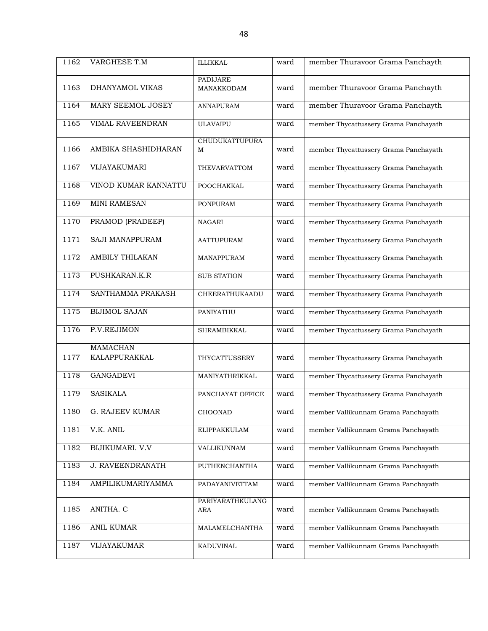| 1162 | VARGHESE T.M            | <b>ILLIKKAL</b>            | ward | member Thuravoor Grama Panchayth      |
|------|-------------------------|----------------------------|------|---------------------------------------|
|      |                         | PADIJARE                   |      |                                       |
| 1163 | DHANYAMOL VIKAS         | MANAKKODAM                 | ward | member Thuravoor Grama Panchayth      |
| 1164 | MARY SEEMOL JOSEY       | ANNAPURAM                  | ward | member Thuravoor Grama Panchayth      |
| 1165 | VIMAL RAVEENDRAN        | <b>ULAVAIPU</b>            | ward | member Thycattussery Grama Panchayath |
| 1166 | AMBIKA SHASHIDHARAN     | <b>CHUDUKATTUPURA</b><br>M | ward | member Thycattussery Grama Panchayath |
| 1167 | VIJAYAKUMARI            | THEVARVATTOM               | ward | member Thycattussery Grama Panchayath |
| 1168 | VINOD KUMAR KANNATTU    | POOCHAKKAL                 | ward | member Thycattussery Grama Panchayath |
| 1169 | <b>MINI RAMESAN</b>     | <b>PONPURAM</b>            | ward | member Thycattussery Grama Panchayath |
| 1170 | PRAMOD (PRADEEP)        | <b>NAGARI</b>              | ward | member Thycattussery Grama Panchayath |
| 1171 | SAJI MANAPPURAM         | <b>AATTUPURAM</b>          | ward | member Thycattussery Grama Panchayath |
| 1172 | <b>AMBILY THILAKAN</b>  | MANAPPURAM                 | ward | member Thycattussery Grama Panchayath |
| 1173 | PUSHKARAN.K.R           | <b>SUB STATION</b>         | ward | member Thycattussery Grama Panchayath |
| 1174 | SANTHAMMA PRAKASH       | CHEERATHUKAADU             | ward | member Thycattussery Grama Panchayath |
| 1175 | <b>BIJIMOL SAJAN</b>    | PANIYATHU                  | ward | member Thycattussery Grama Panchayath |
| 1176 | P.V.REJIMON             | SHRAMBIKKAL                | ward | member Thycattussery Grama Panchayath |
|      | <b>MAMACHAN</b>         |                            |      |                                       |
| 1177 | KALAPPURAKKAL           | THYCATTUSSERY              | ward | member Thycattussery Grama Panchayath |
| 1178 | <b>GANGADEVI</b>        | MANIYATHRIKKAL             | ward | member Thycattussery Grama Panchayath |
| 1179 | <b>SASIKALA</b>         | PANCHAYAT OFFICE           | ward | member Thycattussery Grama Panchayath |
| 1180 | G. RAJEEV KUMAR         | CHOONAD                    | ward | member Vallikunnam Grama Panchayath   |
| 1181 | V.K. ANIL               | ELIPPAKKULAM               | ward | member Vallikunnam Grama Panchayath   |
| 1182 | <b>BIJIKUMARI. V.V</b>  | VALLIKUNNAM                | ward | member Vallikunnam Grama Panchayath   |
| 1183 | <b>J. RAVEENDRANATH</b> | <b>PUTHENCHANTHA</b>       | ward | member Vallikunnam Grama Panchayath   |
| 1184 | AMPILIKUMARIYAMMA       | PADAYANIVETTAM             | ward | member Vallikunnam Grama Panchayath   |
| 1185 | ANITHA. C               | PARIYARATHKULANG<br>ARA    | ward | member Vallikunnam Grama Panchayath   |
| 1186 | ANIL KUMAR              | MALAMELCHANTHA             | ward | member Vallikunnam Grama Panchayath   |
| 1187 | VIJAYAKUMAR             | KADUVINAL                  | ward | member Vallikunnam Grama Panchayath   |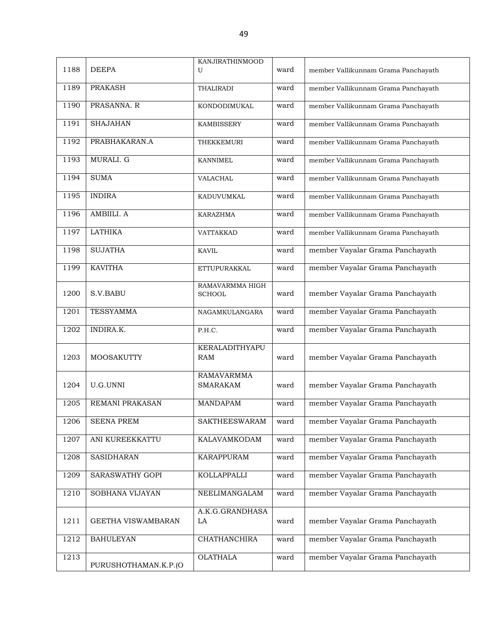| 1188 | <b>DEEPA</b>           | KANJIRATHINMOOD<br>U                 | ward | member Vallikunnam Grama Panchayath |
|------|------------------------|--------------------------------------|------|-------------------------------------|
| 1189 | <b>PRAKASH</b>         | THALIRADI                            | ward | member Vallikunnam Grama Panchayath |
| 1190 | PRASANNA. R            | KONDODIMUKAL                         | ward | member Vallikunnam Grama Panchayath |
| 1191 | <b>SHAJAHAN</b>        | <b>KAMBISSERY</b>                    | ward | member Vallikunnam Grama Panchayath |
| 1192 | PRABHAKARAN.A          | <b>THEKKEMURI</b>                    | ward | member Vallikunnam Grama Panchayath |
| 1193 | MURALI. G              | <b>KANNIMEL</b>                      | ward | member Vallikunnam Grama Panchayath |
| 1194 | <b>SUMA</b>            | VALACHAL                             | ward | member Vallikunnam Grama Panchayath |
| 1195 | <b>INDIRA</b>          | KADUVUMKAL                           | ward | member Vallikunnam Grama Panchayath |
| 1196 | AMBIILI. A             | <b>KARAZHMA</b>                      | ward | member Vallikunnam Grama Panchayath |
| 1197 | <b>LATHIKA</b>         | VATTAKKAD                            | ward | member Vallikunnam Grama Panchayath |
| 1198 | <b>SUJATHA</b>         | <b>KAVIL</b>                         | ward | member Vayalar Grama Panchayath     |
| 1199 | <b>KAVITHA</b>         | ETTUPURAKKAL                         | ward | member Vayalar Grama Panchayath     |
| 1200 | S.V.BABU               | RAMAVARMMA HIGH<br><b>SCHOOL</b>     | ward | member Vayalar Grama Panchayath     |
| 1201 | <b>TESSYAMMA</b>       | NAGAMKULANGARA                       | ward | member Vayalar Grama Panchayath     |
| 1202 | INDIRA.K.              | P.H.C.                               | ward | member Vayalar Grama Panchayath     |
| 1203 | <b>MOOSAKUTTY</b>      | KERALADITHYAPU<br><b>RAM</b>         | ward | member Vayalar Grama Panchayath     |
| 1204 | U.G.UNNI               | <b>RAMAVARMMA</b><br><b>SMARAKAM</b> | ward | member Vayalar Grama Panchayath     |
| 1205 | <b>REMANI PRAKASAN</b> | <b>MANDAPAM</b>                      | ward | member Vayalar Grama Panchayath     |
| 1206 | <b>SEENA PREM</b>      | <b>SAKTHEESWARAM</b>                 | ward | member Vayalar Grama Panchayath     |
| 1207 | ANI KUREEKKATTU        | KALAVAMKODAM                         | ward | member Vayalar Grama Panchayath     |
| 1208 | <b>SASIDHARAN</b>      | <b>KARAPPURAM</b>                    | ward | member Vayalar Grama Panchayath     |
| 1209 | SARASWATHY GOPI        | KOLLAPPALLI                          | ward | member Vayalar Grama Panchayath     |
| 1210 | SOBHANA VIJAYAN        | NEELIMANGALAM                        | ward | member Vayalar Grama Panchayath     |
| 1211 | GEETHA VISWAMBARAN     | A.K.G.GRANDHASA<br>LA                | ward | member Vayalar Grama Panchayath     |
| 1212 | <b>BAHULEYAN</b>       | CHATHANCHIRA                         | ward | member Vayalar Grama Panchayath     |
| 1213 | PURUSHOTHAMAN.K.P.(O   | <b>OLATHALA</b>                      | ward | member Vayalar Grama Panchayath     |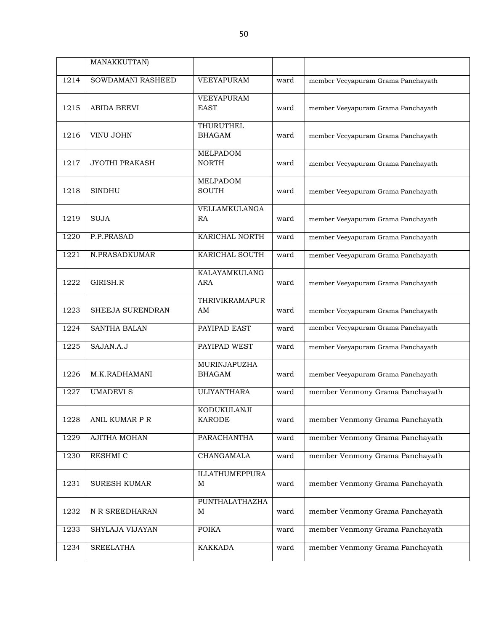|      | MANAKKUTTAN)          |                                    |      |                                    |
|------|-----------------------|------------------------------------|------|------------------------------------|
| 1214 | SOWDAMANI RASHEED     | <b>VEEYAPURAM</b>                  | ward | member Veeyapuram Grama Panchayath |
| 1215 | <b>ABIDA BEEVI</b>    | VEEYAPURAM<br><b>EAST</b>          | ward | member Veeyapuram Grama Panchayath |
| 1216 | <b>VINU JOHN</b>      | THURUTHEL<br><b>BHAGAM</b>         | ward | member Veeyapuram Grama Panchayath |
| 1217 | <b>JYOTHI PRAKASH</b> | <b>MELPADOM</b><br><b>NORTH</b>    | ward | member Veeyapuram Grama Panchayath |
| 1218 | <b>SINDHU</b>         | MELPADOM<br><b>SOUTH</b>           | ward | member Veeyapuram Grama Panchayath |
| 1219 | <b>SUJA</b>           | VELLAMKULANGA<br>RA                | ward | member Veeyapuram Grama Panchayath |
| 1220 | P.P.PRASAD            | KARICHAL NORTH                     | ward | member Veeyapuram Grama Panchayath |
| 1221 | N.PRASADKUMAR         | KARICHAL SOUTH                     | ward | member Veeyapuram Grama Panchayath |
| 1222 | GIRISH.R              | <b>KALAYAMKULANG</b><br><b>ARA</b> | ward | member Veeyapuram Grama Panchayath |
| 1223 | SHEEJA SURENDRAN      | <b>THRIVIKRAMAPUR</b><br>AM        | ward | member Veeyapuram Grama Panchayath |
| 1224 | <b>SANTHA BALAN</b>   | PAYIPAD EAST                       | ward | member Veeyapuram Grama Panchayath |
| 1225 | SAJAN.A.J             | PAYIPAD WEST                       | ward | member Veeyapuram Grama Panchayath |
| 1226 | M.K.RADHAMANI         | MURINJAPUZHA<br><b>BHAGAM</b>      | ward | member Veeyapuram Grama Panchayath |
| 1227 | <b>UMADEVI S</b>      | <b>ULIYANTHARA</b>                 | ward | member Venmony Grama Panchayath    |
| 1228 | ANIL KUMAR P R        | KODUKULANJI<br><b>KARODE</b>       | ward | member Venmony Grama Panchayath    |
| 1229 | <b>AJITHA MOHAN</b>   | PARACHANTHA                        | ward | member Venmony Grama Panchayath    |
| 1230 | RESHMI C              | CHANGAMALA                         | ward | member Venmony Grama Panchayath    |
| 1231 | <b>SURESH KUMAR</b>   | <b>ILLATHUMEPPURA</b><br>M         | ward | member Venmony Grama Panchayath    |
| 1232 | N R SREEDHARAN        | <b>PUNTHALATHAZHA</b><br>M         | ward | member Venmony Grama Panchayath    |
| 1233 | SHYLAJA VIJAYAN       | <b>POIKA</b>                       | ward | member Venmony Grama Panchayath    |
| 1234 | <b>SREELATHA</b>      | KAKKADA                            | ward | member Venmony Grama Panchayath    |